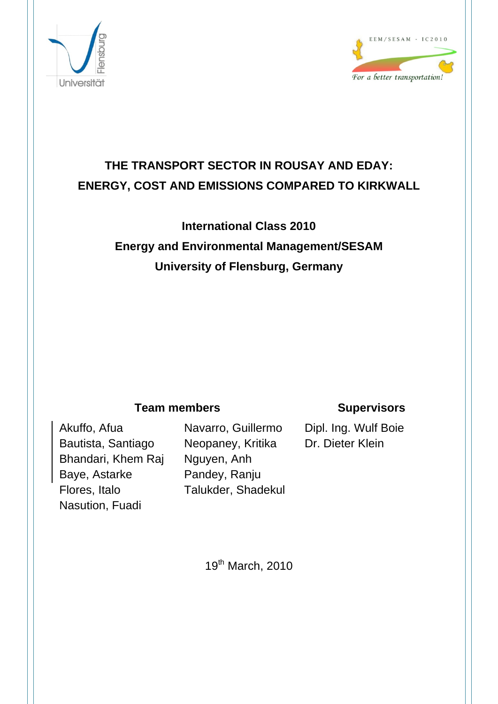



## **THE TRANSPORT SECTOR IN ROUSAY AND EDAY: ENERGY, COST AND EMISSIONS COMPARED TO KIRKWALL**

## **International Class 2010 Energy and Environmental Management/SESAM University of Flensburg, Germany**

## **Team members Supervisors**

Akuffo, Afua Bautista, Santiago Bhandari, Khem Raj Baye, Astarke Flores, Italo Nasution, Fuadi

Navarro, Guillermo Neopaney, Kritika Nguyen, Anh Pandey, Ranju Talukder, Shadekul

Dipl. Ing. Wulf Boie Dr. Dieter Klein

19th March, 2010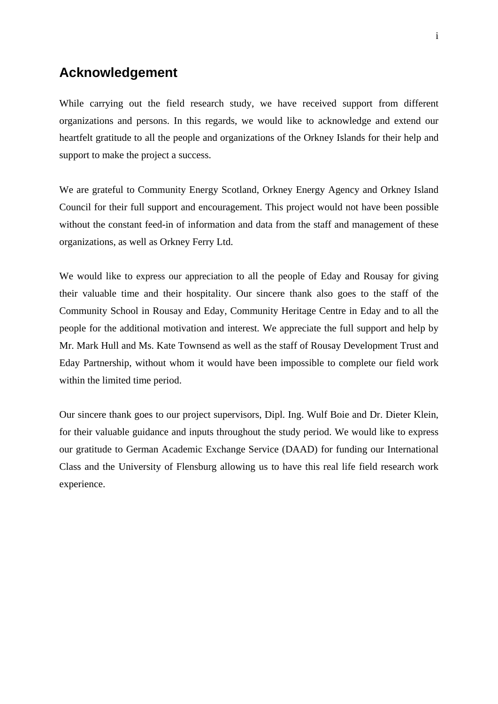### **Acknowledgement**

While carrying out the field research study, we have received support from different organizations and persons. In this regards, we would like to acknowledge and extend our heartfelt gratitude to all the people and organizations of the Orkney Islands for their help and support to make the project a success.

We are grateful to Community Energy Scotland, Orkney Energy Agency and Orkney Island Council for their full support and encouragement. This project would not have been possible without the constant feed-in of information and data from the staff and management of these organizations, as well as Orkney Ferry Ltd.

We would like to express our appreciation to all the people of Eday and Rousay for giving their valuable time and their hospitality. Our sincere thank also goes to the staff of the Community School in Rousay and Eday, Community Heritage Centre in Eday and to all the people for the additional motivation and interest. We appreciate the full support and help by Mr. Mark Hull and Ms. Kate Townsend as well as the staff of Rousay Development Trust and Eday Partnership, without whom it would have been impossible to complete our field work within the limited time period.

Our sincere thank goes to our project supervisors, Dipl. Ing. Wulf Boie and Dr. Dieter Klein, for their valuable guidance and inputs throughout the study period. We would like to express our gratitude to German Academic Exchange Service (DAAD) for funding our International Class and the University of Flensburg allowing us to have this real life field research work experience.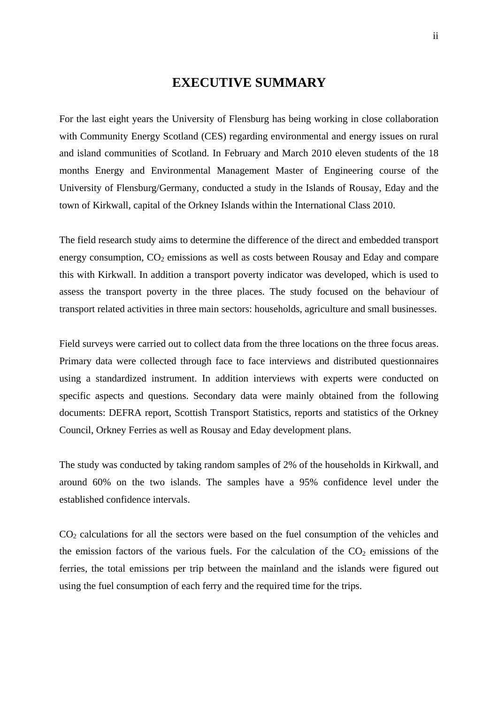### **EXECUTIVE SUMMARY**

For the last eight years the University of Flensburg has being working in close collaboration with Community Energy Scotland (CES) regarding environmental and energy issues on rural and island communities of Scotland. In February and March 2010 eleven students of the 18 months Energy and Environmental Management Master of Engineering course of the University of Flensburg/Germany, conducted a study in the Islands of Rousay, Eday and the town of Kirkwall, capital of the Orkney Islands within the International Class 2010.

The field research study aims to determine the difference of the direct and embedded transport energy consumption,  $CO<sub>2</sub>$  emissions as well as costs between Rousay and Eday and compare this with Kirkwall. In addition a transport poverty indicator was developed, which is used to assess the transport poverty in the three places. The study focused on the behaviour of transport related activities in three main sectors: households, agriculture and small businesses.

Field surveys were carried out to collect data from the three locations on the three focus areas. Primary data were collected through face to face interviews and distributed questionnaires using a standardized instrument. In addition interviews with experts were conducted on specific aspects and questions. Secondary data were mainly obtained from the following documents: DEFRA report, Scottish Transport Statistics, reports and statistics of the Orkney Council, Orkney Ferries as well as Rousay and Eday development plans.

The study was conducted by taking random samples of 2% of the households in Kirkwall, and around 60% on the two islands. The samples have a 95% confidence level under the established confidence intervals.

CO2 calculations for all the sectors were based on the fuel consumption of the vehicles and the emission factors of the various fuels. For the calculation of the  $CO<sub>2</sub>$  emissions of the ferries, the total emissions per trip between the mainland and the islands were figured out using the fuel consumption of each ferry and the required time for the trips.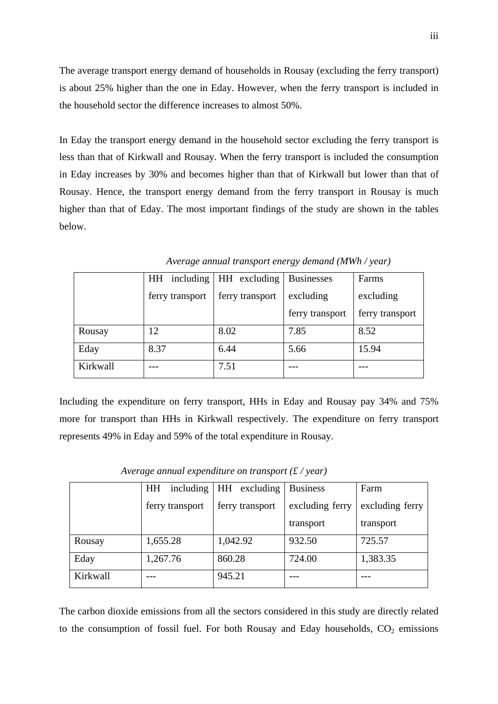The average transport energy demand of households in Rousay (excluding the ferry transport) is about 25% higher than the one in Eday. However, when the ferry transport is included in the household sector the difference increases to almost 50%.

In Eday the transport energy demand in the household sector excluding the ferry transport is less than that of Kirkwall and Rousay. When the ferry transport is included the consumption in Eday increases by 30% and becomes higher than that of Kirkwall but lower than that of Rousay. Hence, the transport energy demand from the ferry transport in Rousay is much higher than that of Eday. The most important findings of the study are shown in the tables below.

|          | HH              | including $\vert$ HH excluding | <b>Businesses</b> | Farms           |
|----------|-----------------|--------------------------------|-------------------|-----------------|
|          | ferry transport | ferry transport                | excluding         | excluding       |
|          |                 |                                | ferry transport   | ferry transport |
| Rousay   | 12              | 8.02                           | 7.85              | 8.52            |
| Eday     | 8.37            | 6.44                           | 5.66              | 15.94           |
| Kirkwall |                 | 7.51                           |                   |                 |

*Average annual transport energy demand (MWh / year)* 

Including the expenditure on ferry transport, HHs in Eday and Rousay pay 34% and 75% more for transport than HHs in Kirkwall respectively. The expenditure on ferry transport represents 49% in Eday and 59% of the total expenditure in Rousay.

|          | including<br>HH | HH excluding    | <b>Business</b> | Farm            |
|----------|-----------------|-----------------|-----------------|-----------------|
|          | ferry transport | ferry transport | excluding ferry | excluding ferry |
|          |                 |                 | transport       | transport       |
| Rousay   | 1,655.28        | 1,042.92        | 932.50          | 725.57          |
| Eday     | 1,267.76        | 860.28          | 724.00          | 1,383.35        |
| Kirkwall |                 | 945.21          |                 |                 |

 *Average annual expenditure on transport (£ / year)* 

The carbon dioxide emissions from all the sectors considered in this study are directly related to the consumption of fossil fuel. For both Rousay and Eday households,  $CO<sub>2</sub>$  emissions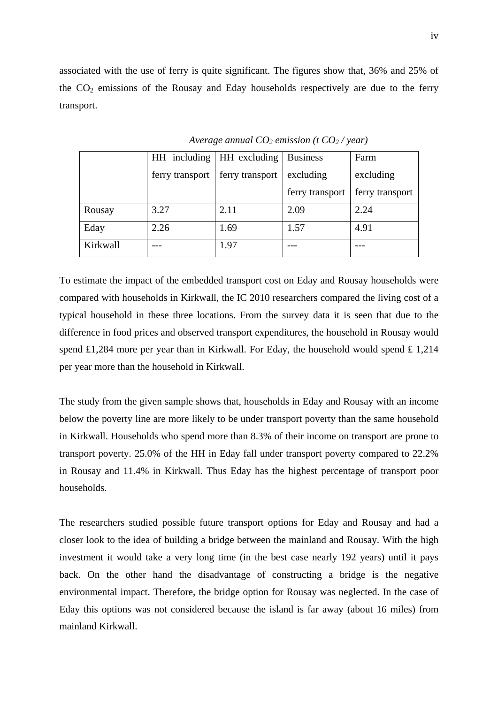associated with the use of ferry is quite significant. The figures show that, 36% and 25% of the  $CO<sub>2</sub>$  emissions of the Rousay and Eday households respectively are due to the ferry transport.

|          |                 | HH including   HH excluding   Business |                 | Farm            |
|----------|-----------------|----------------------------------------|-----------------|-----------------|
|          | ferry transport | ferry transport                        | excluding       | excluding       |
|          |                 |                                        | ferry transport | ferry transport |
| Rousay   | 3.27            | 2.11                                   | 2.09            | 2.24            |
| Eday     | 2.26            | 1.69                                   | 1.57            | 4.91            |
| Kirkwall |                 | 1.97                                   |                 |                 |

*Average annual CO2 emission (t CO2 / year)* 

To estimate the impact of the embedded transport cost on Eday and Rousay households were compared with households in Kirkwall, the IC 2010 researchers compared the living cost of a typical household in these three locations. From the survey data it is seen that due to the difference in food prices and observed transport expenditures, the household in Rousay would spend £1,284 more per year than in Kirkwall. For Eday, the household would spend £ 1,214 per year more than the household in Kirkwall.

The study from the given sample shows that, households in Eday and Rousay with an income below the poverty line are more likely to be under transport poverty than the same household in Kirkwall. Households who spend more than 8.3% of their income on transport are prone to transport poverty. 25.0% of the HH in Eday fall under transport poverty compared to 22.2% in Rousay and 11.4% in Kirkwall. Thus Eday has the highest percentage of transport poor households.

The researchers studied possible future transport options for Eday and Rousay and had a closer look to the idea of building a bridge between the mainland and Rousay. With the high investment it would take a very long time (in the best case nearly 192 years) until it pays back. On the other hand the disadvantage of constructing a bridge is the negative environmental impact. Therefore, the bridge option for Rousay was neglected. In the case of Eday this options was not considered because the island is far away (about 16 miles) from mainland Kirkwall.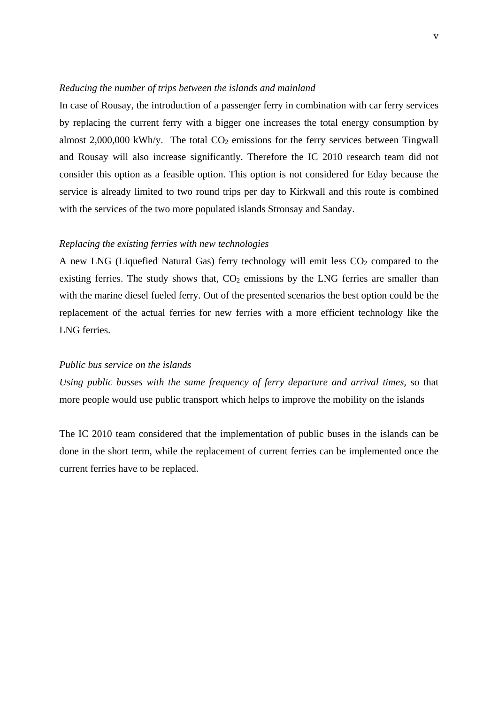#### *Reducing the number of trips between the islands and mainland*

In case of Rousay, the introduction of a passenger ferry in combination with car ferry services by replacing the current ferry with a bigger one increases the total energy consumption by almost  $2,000,000$  kWh/y. The total  $CO<sub>2</sub>$  emissions for the ferry services between Tingwall and Rousay will also increase significantly. Therefore the IC 2010 research team did not consider this option as a feasible option. This option is not considered for Eday because the service is already limited to two round trips per day to Kirkwall and this route is combined with the services of the two more populated islands Stronsay and Sanday.

#### *Replacing the existing ferries with new technologies*

A new LNG (Liquefied Natural Gas) ferry technology will emit less  $CO<sub>2</sub>$  compared to the existing ferries. The study shows that,  $CO<sub>2</sub>$  emissions by the LNG ferries are smaller than with the marine diesel fueled ferry. Out of the presented scenarios the best option could be the replacement of the actual ferries for new ferries with a more efficient technology like the LNG ferries.

#### *Public bus service on the islands*

*Using public busses with the same frequency of ferry departure and arrival times,* so that more people would use public transport which helps to improve the mobility on the islands

The IC 2010 team considered that the implementation of public buses in the islands can be done in the short term, while the replacement of current ferries can be implemented once the current ferries have to be replaced.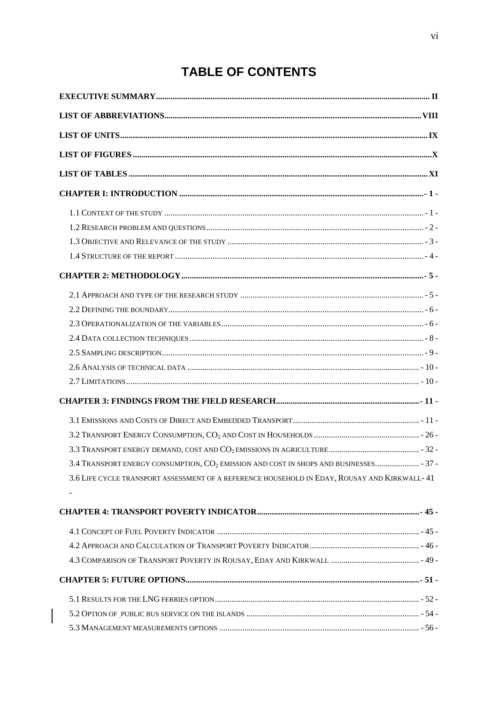## **TABLE OF CONTENTS**

| 3.4 TRANSPORT ENERGY CONSUMPTION, CO <sub>2</sub> EMISSION AND COST IN SHOPS AND BUSINESSES 37 - |  |
|--------------------------------------------------------------------------------------------------|--|
| 3.6 LIFE CYCLE TRANSPORT ASSESSMENT OF A REFERENCE HOUSEHOLD IN EDAY, ROUSAY AND KIRKWALL- 41    |  |
|                                                                                                  |  |
|                                                                                                  |  |
|                                                                                                  |  |
|                                                                                                  |  |
|                                                                                                  |  |
|                                                                                                  |  |
|                                                                                                  |  |
|                                                                                                  |  |
|                                                                                                  |  |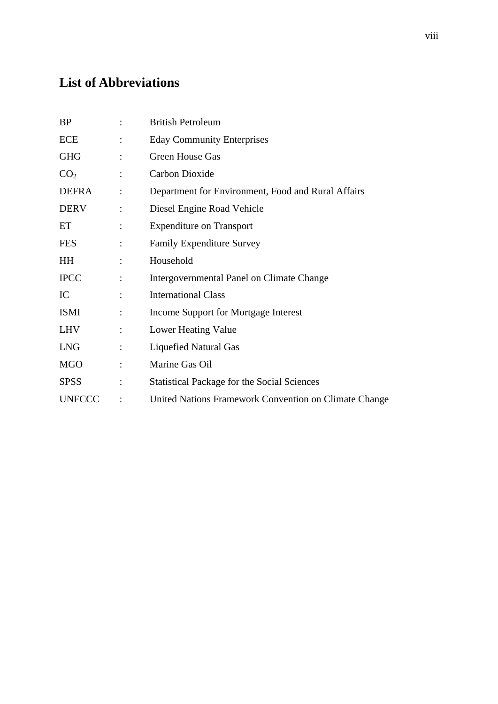## **List of Abbreviations**

| <b>BP</b>       |                | <b>British Petroleum</b>                              |
|-----------------|----------------|-------------------------------------------------------|
| <b>ECE</b>      |                | <b>Eday Community Enterprises</b>                     |
| <b>GHG</b>      | $\ddot{\cdot}$ | Green House Gas                                       |
| CO <sub>2</sub> | $\ddot{\cdot}$ | Carbon Dioxide                                        |
| <b>DEFRA</b>    |                | Department for Environment, Food and Rural Affairs    |
| <b>DERV</b>     | $\ddot{\cdot}$ | Diesel Engine Road Vehicle                            |
| ET              |                | <b>Expenditure on Transport</b>                       |
| <b>FES</b>      | $\ddot{\cdot}$ | <b>Family Expenditure Survey</b>                      |
| <b>HH</b>       |                | Household                                             |
| <b>IPCC</b>     | $\ddot{\cdot}$ | Intergovernmental Panel on Climate Change             |
| IC              |                | <b>International Class</b>                            |
| <b>ISMI</b>     | $\ddot{\cdot}$ | Income Support for Mortgage Interest                  |
| <b>LHV</b>      |                | Lower Heating Value                                   |
| <b>LNG</b>      | $\ddot{\cdot}$ | <b>Liquefied Natural Gas</b>                          |
| <b>MGO</b>      |                | Marine Gas Oil                                        |
| <b>SPSS</b>     |                | <b>Statistical Package for the Social Sciences</b>    |
| <b>UNFCCC</b>   |                | United Nations Framework Convention on Climate Change |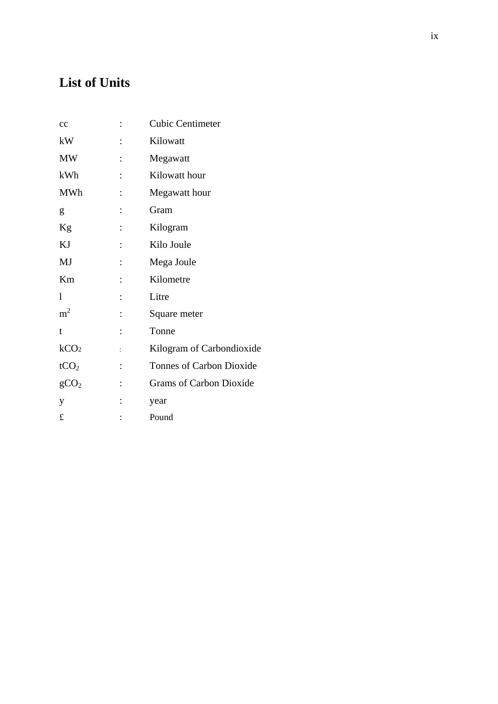## **List of Units**

| cc               |                | <b>Cubic Centimeter</b>         |
|------------------|----------------|---------------------------------|
| kW               |                | Kilowatt                        |
| <b>MW</b>        |                | Megawatt                        |
| kWh              |                | Kilowatt hour                   |
| <b>MWh</b>       |                | Megawatt hour                   |
| g                | $\ddot{\cdot}$ | Gram                            |
| Kg               | $\ddot{\cdot}$ | Kilogram                        |
| KJ               |                | Kilo Joule                      |
| MJ               |                | Mega Joule                      |
| Km               |                | Kilometre                       |
| 1                |                | Litre                           |
| m <sup>2</sup>   |                | Square meter                    |
| t                |                | Tonne                           |
| kCO <sub>2</sub> | $\ddot{\cdot}$ | Kilogram of Carbondioxide       |
| tCO <sub>2</sub> | $\ddot{\cdot}$ | <b>Tonnes of Carbon Dioxide</b> |
| gCO <sub>2</sub> |                | <b>Grams of Carbon Dioxide</b>  |
| y                |                | year                            |
| £                |                | Pound                           |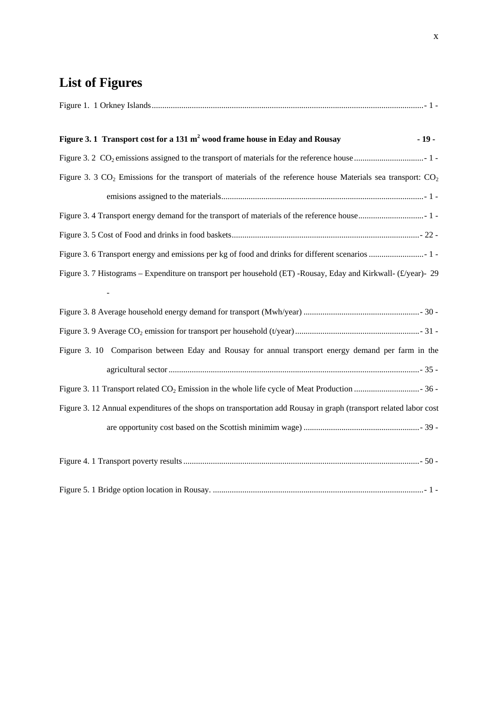# **List of Figures**

| Figure 3.1 Transport cost for a 131 m <sup>2</sup> wood frame house in Eday and Rousay<br>$-19-$                   |
|--------------------------------------------------------------------------------------------------------------------|
|                                                                                                                    |
| Figure 3. 3 $CO_2$ Emissions for the transport of materials of the reference house Materials sea transport: $CO_2$ |
|                                                                                                                    |
|                                                                                                                    |
|                                                                                                                    |
|                                                                                                                    |
| Figure 3. 7 Histograms – Expenditure on transport per household (ET) -Rousay, Eday and Kirkwall- (£/year)- 29      |
|                                                                                                                    |
|                                                                                                                    |
|                                                                                                                    |
| Figure 3. 10 Comparison between Eday and Rousay for annual transport energy demand per farm in the                 |
|                                                                                                                    |
|                                                                                                                    |
| Figure 3. 12 Annual expenditures of the shops on transportation add Rousay in graph (transport related labor cost  |
|                                                                                                                    |
|                                                                                                                    |
|                                                                                                                    |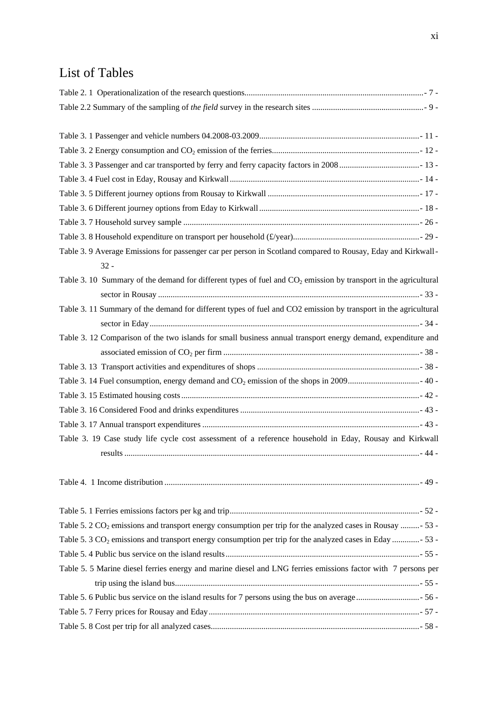## List of Tables

| Table 3. 9 Average Emissions for passenger car per person in Scotland compared to Rousay, Eday and Kirkwall-           |
|------------------------------------------------------------------------------------------------------------------------|
| $32 -$                                                                                                                 |
| Table 3. 10 Summary of the demand for different types of fuel and $CO2$ emission by transport in the agricultural      |
|                                                                                                                        |
| Table 3. 11 Summary of the demand for different types of fuel and CO2 emission by transport in the agricultural        |
|                                                                                                                        |
| Table 3. 12 Comparison of the two islands for small business annual transport energy demand, expenditure and           |
|                                                                                                                        |
|                                                                                                                        |
|                                                                                                                        |
|                                                                                                                        |
|                                                                                                                        |
|                                                                                                                        |
| Table 3. 19 Case study life cycle cost assessment of a reference household in Eday, Rousay and Kirkwall                |
|                                                                                                                        |
|                                                                                                                        |
|                                                                                                                        |
|                                                                                                                        |
|                                                                                                                        |
| Table 5. 2 CO <sub>2</sub> emissions and transport energy consumption per trip for the analyzed cases in Rousay - 53 - |
| Table 5. 3 CO <sub>2</sub> emissions and transport energy consumption per trip for the analyzed cases in Eday - 53 -   |
|                                                                                                                        |
| Table 5. 5 Marine diesel ferries energy and marine diesel and LNG ferries emissions factor with 7 persons per          |
|                                                                                                                        |
|                                                                                                                        |
|                                                                                                                        |
|                                                                                                                        |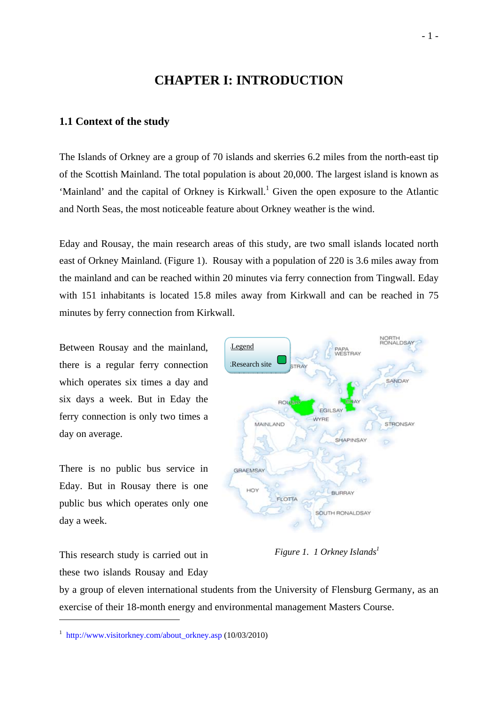## **CHAPTER I: INTRODUCTION**

#### **1.1 Context of the study**

The Islands of Orkney are a group of 70 islands and skerries 6.2 miles from the north-east tip of the Scottish Mainland. The total population is about 20,000. The largest island is known as 'Mainland' and the capital of Orkney is Kirkwall.<sup>1</sup> Given the open exposure to the Atlantic and North Seas, the most noticeable feature about Orkney weather is the wind.

Eday and Rousay, the main research areas of this study, are two small islands located north east of Orkney Mainland. (Figure 1). Rousay with a population of 220 is 3.6 miles away from the mainland and can be reached within 20 minutes via ferry connection from Tingwall. Eday with 151 inhabitants is located 15.8 miles away from Kirkwall and can be reached in 75 minutes by ferry connection from Kirkwall.

Between Rousay and the mainland, there is a regular ferry connection which operates six times a day and six days a week. But in Eday the ferry connection is only two times a day on average.

There is no public bus service in Eday. But in Rousay there is one public bus which operates only one day a week.



*Figure 1. 1 Orkney Islands*<sup>1</sup>

This research study is carried out in these two islands Rousay and Eday

1

by a group of eleven international students from the University of Flensburg Germany, as an exercise of their 18-month energy and environmental management Masters Course.

<sup>1</sup> http://www.visitorkney.com/about\_orkney.asp (10/03/2010)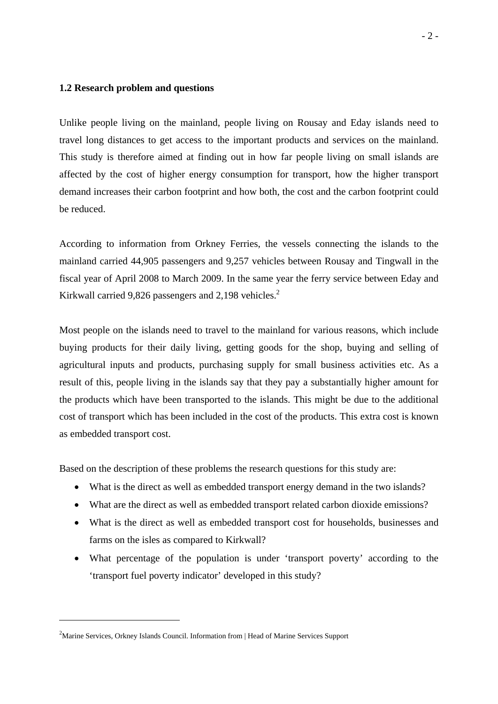#### **1.2 Research problem and questions**

Unlike people living on the mainland, people living on Rousay and Eday islands need to travel long distances to get access to the important products and services on the mainland. This study is therefore aimed at finding out in how far people living on small islands are affected by the cost of higher energy consumption for transport, how the higher transport demand increases their carbon footprint and how both, the cost and the carbon footprint could be reduced.

According to information from Orkney Ferries, the vessels connecting the islands to the mainland carried 44,905 passengers and 9,257 vehicles between Rousay and Tingwall in the fiscal year of April 2008 to March 2009. In the same year the ferry service between Eday and Kirkwall carried 9,826 passengers and 2,198 vehicles. $2$ 

Most people on the islands need to travel to the mainland for various reasons, which include buying products for their daily living, getting goods for the shop, buying and selling of agricultural inputs and products, purchasing supply for small business activities etc. As a result of this, people living in the islands say that they pay a substantially higher amount for the products which have been transported to the islands. This might be due to the additional cost of transport which has been included in the cost of the products. This extra cost is known as embedded transport cost.

Based on the description of these problems the research questions for this study are:

- What is the direct as well as embedded transport energy demand in the two islands?
- What are the direct as well as embedded transport related carbon dioxide emissions?
- What is the direct as well as embedded transport cost for households, businesses and farms on the isles as compared to Kirkwall?
- What percentage of the population is under 'transport poverty' according to the 'transport fuel poverty indicator' developed in this study?

<sup>&</sup>lt;sup>2</sup>Marine Services, Orkney Islands Council. Information from | Head of Marine Services Support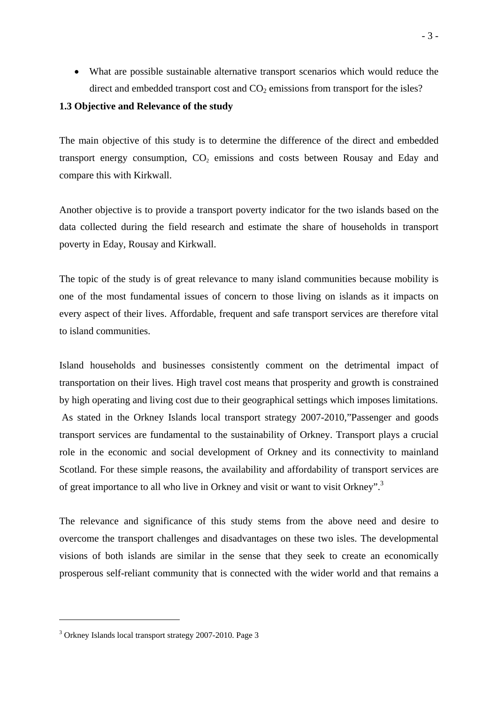• What are possible sustainable alternative transport scenarios which would reduce the direct and embedded transport cost and  $CO<sub>2</sub>$  emissions from transport for the isles?

#### **1.3 Objective and Relevance of the study**

The main objective of this study is to determine the difference of the direct and embedded transport energy consumption,  $CO<sub>2</sub>$  emissions and costs between Rousay and Eday and compare this with Kirkwall.

Another objective is to provide a transport poverty indicator for the two islands based on the data collected during the field research and estimate the share of households in transport poverty in Eday, Rousay and Kirkwall.

The topic of the study is of great relevance to many island communities because mobility is one of the most fundamental issues of concern to those living on islands as it impacts on every aspect of their lives. Affordable, frequent and safe transport services are therefore vital to island communities.

Island households and businesses consistently comment on the detrimental impact of transportation on their lives. High travel cost means that prosperity and growth is constrained by high operating and living cost due to their geographical settings which imposes limitations. As stated in the Orkney Islands local transport strategy 2007-2010,"Passenger and goods transport services are fundamental to the sustainability of Orkney. Transport plays a crucial role in the economic and social development of Orkney and its connectivity to mainland Scotland. For these simple reasons, the availability and affordability of transport services are of great importance to all who live in Orkney and visit or want to visit Orkney".3

The relevance and significance of this study stems from the above need and desire to overcome the transport challenges and disadvantages on these two isles. The developmental visions of both islands are similar in the sense that they seek to create an economically prosperous self-reliant community that is connected with the wider world and that remains a

<sup>3</sup> Orkney Islands local transport strategy 2007-2010. Page 3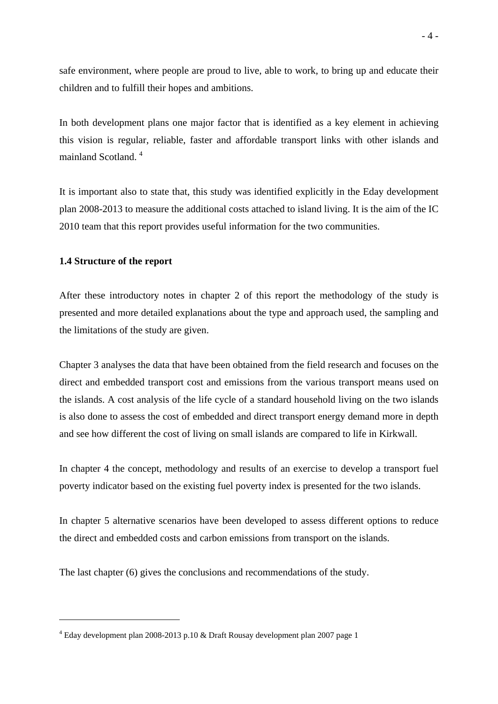safe environment, where people are proud to live, able to work, to bring up and educate their children and to fulfill their hopes and ambitions.

In both development plans one major factor that is identified as a key element in achieving this vision is regular, reliable, faster and affordable transport links with other islands and mainland Scotland. 4

It is important also to state that, this study was identified explicitly in the Eday development plan 2008-2013 to measure the additional costs attached to island living. It is the aim of the IC 2010 team that this report provides useful information for the two communities.

#### **1.4 Structure of the report**

1

After these introductory notes in chapter 2 of this report the methodology of the study is presented and more detailed explanations about the type and approach used, the sampling and the limitations of the study are given.

Chapter 3 analyses the data that have been obtained from the field research and focuses on the direct and embedded transport cost and emissions from the various transport means used on the islands. A cost analysis of the life cycle of a standard household living on the two islands is also done to assess the cost of embedded and direct transport energy demand more in depth and see how different the cost of living on small islands are compared to life in Kirkwall.

In chapter 4 the concept, methodology and results of an exercise to develop a transport fuel poverty indicator based on the existing fuel poverty index is presented for the two islands.

In chapter 5 alternative scenarios have been developed to assess different options to reduce the direct and embedded costs and carbon emissions from transport on the islands.

The last chapter (6) gives the conclusions and recommendations of the study.

<sup>4</sup> Eday development plan 2008-2013 p.10 & Draft Rousay development plan 2007 page 1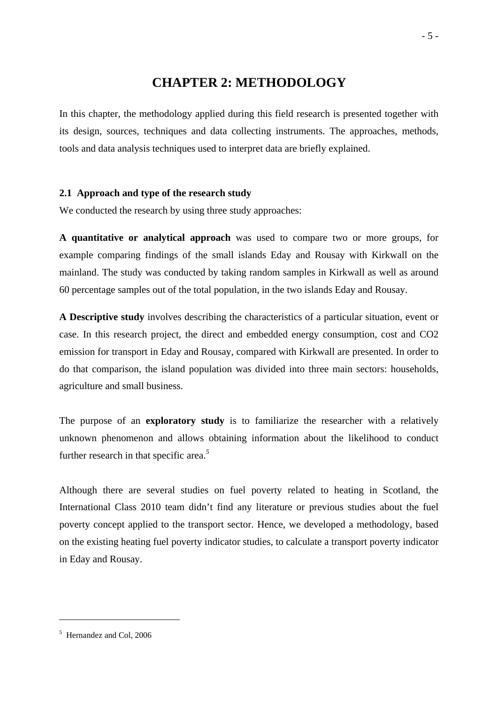### **CHAPTER 2: METHODOLOGY**

In this chapter, the methodology applied during this field research is presented together with its design, sources, techniques and data collecting instruments. The approaches, methods, tools and data analysis techniques used to interpret data are briefly explained.

#### **2.1 Approach and type of the research study**

We conducted the research by using three study approaches:

**A quantitative or analytical approach** was used to compare two or more groups, for example comparing findings of the small islands Eday and Rousay with Kirkwall on the mainland. The study was conducted by taking random samples in Kirkwall as well as around 60 percentage samples out of the total population, in the two islands Eday and Rousay.

**A Descriptive study** involves describing the characteristics of a particular situation, event or case. In this research project, the direct and embedded energy consumption, cost and CO2 emission for transport in Eday and Rousay, compared with Kirkwall are presented. In order to do that comparison, the island population was divided into three main sectors: households, agriculture and small business.

The purpose of an **exploratory study** is to familiarize the researcher with a relatively unknown phenomenon and allows obtaining information about the likelihood to conduct further research in that specific area.*<sup>5</sup>*

Although there are several studies on fuel poverty related to heating in Scotland, the International Class 2010 team didn't find any literature or previous studies about the fuel poverty concept applied to the transport sector. Hence, we developed a methodology, based on the existing heating fuel poverty indicator studies, to calculate a transport poverty indicator in Eday and Rousay.

<sup>5</sup> Hernandez and Col, 2006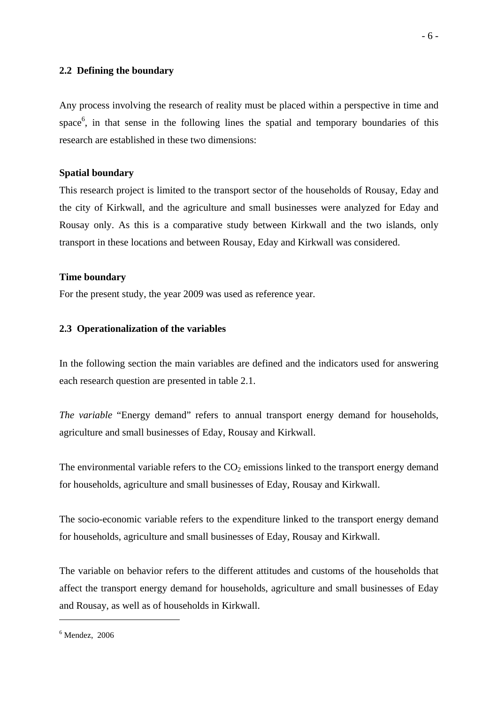#### **2.2 Defining the boundary**

Any process involving the research of reality must be placed within a perspective in time and space<sup>6</sup>, in that sense in the following lines the spatial and temporary boundaries of this research are established in these two dimensions:

#### **Spatial boundary**

This research project is limited to the transport sector of the households of Rousay, Eday and the city of Kirkwall, and the agriculture and small businesses were analyzed for Eday and Rousay only. As this is a comparative study between Kirkwall and the two islands, only transport in these locations and between Rousay, Eday and Kirkwall was considered.

#### **Time boundary**

For the present study, the year 2009 was used as reference year.

#### **2.3 Operationalization of the variables**

In the following section the main variables are defined and the indicators used for answering each research question are presented in table 2.1.

*The variable* "Energy demand" refers to annual transport energy demand for households, agriculture and small businesses of Eday, Rousay and Kirkwall.

The environmental variable refers to the  $CO<sub>2</sub>$  emissions linked to the transport energy demand for households, agriculture and small businesses of Eday, Rousay and Kirkwall.

The socio-economic variable refers to the expenditure linked to the transport energy demand for households, agriculture and small businesses of Eday, Rousay and Kirkwall.

The variable on behavior refers to the different attitudes and customs of the households that affect the transport energy demand for households, agriculture and small businesses of Eday and Rousay, as well as of households in Kirkwall.

 $6$  Mendez, 2006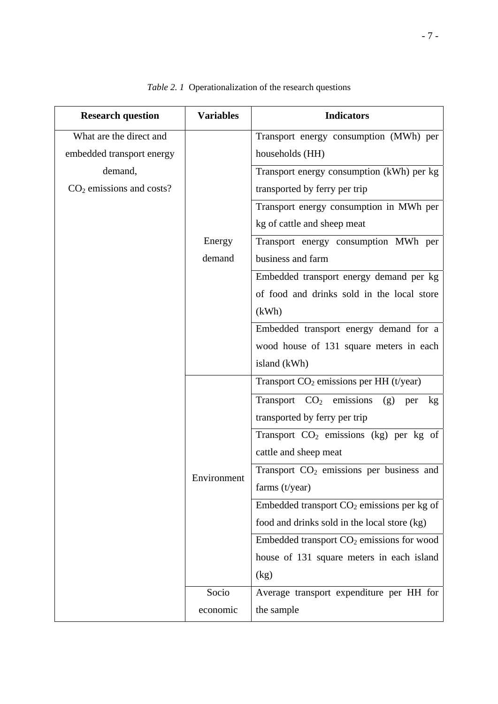| <b>Research question</b>   | <b>Variables</b> | <b>Indicators</b>                                          |
|----------------------------|------------------|------------------------------------------------------------|
| What are the direct and    |                  | Transport energy consumption (MWh) per                     |
| embedded transport energy  |                  | households (HH)                                            |
| demand,                    |                  | Transport energy consumption (kWh) per kg                  |
| $CO2$ emissions and costs? |                  | transported by ferry per trip                              |
|                            |                  | Transport energy consumption in MWh per                    |
|                            |                  | kg of cattle and sheep meat                                |
|                            | Energy           | Transport energy consumption MWh per                       |
|                            | demand           | business and farm                                          |
|                            |                  | Embedded transport energy demand per kg                    |
|                            |                  | of food and drinks sold in the local store                 |
|                            |                  | (kWh)                                                      |
|                            |                  | Embedded transport energy demand for a                     |
|                            |                  | wood house of 131 square meters in each                    |
|                            |                  | island (kWh)                                               |
|                            |                  | Transport $CO2$ emissions per HH (t/year)                  |
|                            |                  | Transport $CO2$ emissions<br>(g)<br>per<br>kg <sub>1</sub> |
|                            |                  | transported by ferry per trip                              |
|                            |                  | Transport $CO2$ emissions (kg) per kg of                   |
|                            |                  | cattle and sheep meat                                      |
|                            | Environment      | Transport CO <sub>2</sub> emissions per business and       |
|                            |                  | farms $(t$ /year)                                          |
|                            |                  | Embedded transport CO <sub>2</sub> emissions per kg of     |
|                            |                  | food and drinks sold in the local store (kg)               |
|                            |                  | Embedded transport $CO2$ emissions for wood                |
|                            |                  | house of 131 square meters in each island                  |
|                            |                  | (kg)                                                       |
|                            | Socio            | Average transport expenditure per HH for                   |
|                            | economic         | the sample                                                 |

*Table 2. 1* Operationalization of the research questions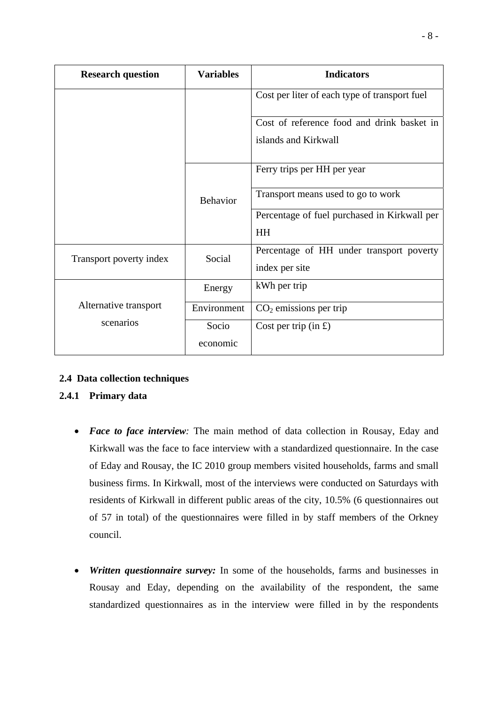| <b>Research question</b> | <b>Variables</b>  | <b>Indicators</b>                                                  |
|--------------------------|-------------------|--------------------------------------------------------------------|
|                          |                   | Cost per liter of each type of transport fuel                      |
|                          |                   | Cost of reference food and drink basket in<br>islands and Kirkwall |
|                          | <b>Behavior</b>   | Ferry trips per HH per year                                        |
|                          |                   | Transport means used to go to work                                 |
|                          |                   | Percentage of fuel purchased in Kirkwall per<br><b>HH</b>          |
| Transport poverty index  | Social            | Percentage of HH under transport poverty<br>index per site         |
|                          | Energy            | kWh per trip                                                       |
| Alternative transport    | Environment       | $CO2$ emissions per trip                                           |
| scenarios                | Socio<br>economic | Cost per trip $(in f)$                                             |

### **2.4 Data collection techniques**

### **2.4.1 Primary data**

- *Face to face interview:* The main method of data collection in Rousay, Eday and Kirkwall was the face to face interview with a standardized questionnaire. In the case of Eday and Rousay, the IC 2010 group members visited households, farms and small business firms. In Kirkwall, most of the interviews were conducted on Saturdays with residents of Kirkwall in different public areas of the city, 10.5% (6 questionnaires out of 57 in total) of the questionnaires were filled in by staff members of the Orkney council.
- *Written questionnaire survey:* In some of the households, farms and businesses in Rousay and Eday, depending on the availability of the respondent, the same standardized questionnaires as in the interview were filled in by the respondents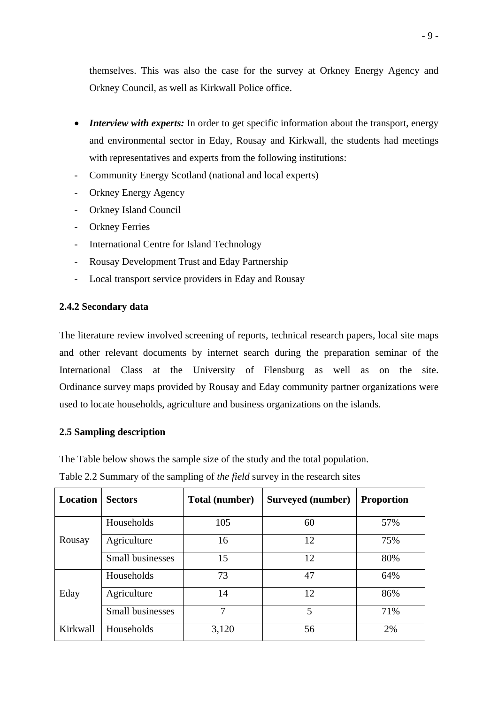themselves. This was also the case for the survey at Orkney Energy Agency and Orkney Council, as well as Kirkwall Police office.

- *Interview with experts:* In order to get specific information about the transport, energy and environmental sector in Eday, Rousay and Kirkwall, the students had meetings with representatives and experts from the following institutions:
- Community Energy Scotland (national and local experts)
- Orkney Energy Agency
- Orkney Island Council
- Orkney Ferries
- International Centre for Island Technology
- Rousay Development Trust and Eday Partnership
- Local transport service providers in Eday and Rousay

#### **2.4.2 Secondary data**

The literature review involved screening of reports, technical research papers, local site maps and other relevant documents by internet search during the preparation seminar of the International Class at the University of Flensburg as well as on the site. Ordinance survey maps provided by Rousay and Eday community partner organizations were used to locate households, agriculture and business organizations on the islands.

#### **2.5 Sampling description**

The Table below shows the sample size of the study and the total population.

Table 2*.*2 Summary of the sampling of *the field* survey in the research sites

| <b>Location</b> | <b>Sectors</b>   | Total (number) | Surveyed (number) | <b>Proportion</b> |
|-----------------|------------------|----------------|-------------------|-------------------|
|                 | Households       | 105            | 60                | 57%               |
| Rousay          | Agriculture      | 16             | 12                | 75%               |
|                 | Small businesses | 15             | 12                | 80%               |
|                 | Households       | 73             | 47                | 64%               |
| Eday            | Agriculture      | 14             | 12                | 86%               |
|                 | Small businesses | 7              | 5                 | 71%               |
| Kirkwall        | Households       | 3,120          | 56                | 2%                |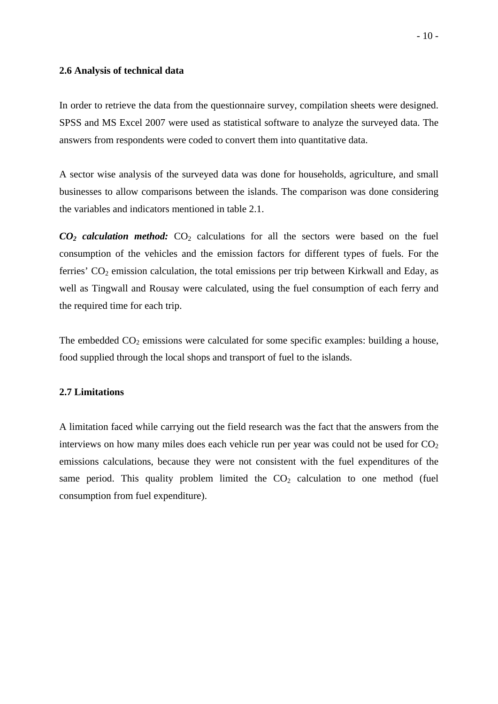#### **2.6 Analysis of technical data**

In order to retrieve the data from the questionnaire survey, compilation sheets were designed. SPSS and MS Excel 2007 were used as statistical software to analyze the surveyed data. The answers from respondents were coded to convert them into quantitative data.

A sector wise analysis of the surveyed data was done for households, agriculture, and small businesses to allow comparisons between the islands. The comparison was done considering the variables and indicators mentioned in table 2.1.

 $CO<sub>2</sub>$  *calculation method:*  $CO<sub>2</sub>$  calculations for all the sectors were based on the fuel consumption of the vehicles and the emission factors for different types of fuels. For the ferries'  $CO<sub>2</sub>$  emission calculation, the total emissions per trip between Kirkwall and Eday, as well as Tingwall and Rousay were calculated, using the fuel consumption of each ferry and the required time for each trip.

The embedded  $CO<sub>2</sub>$  emissions were calculated for some specific examples: building a house, food supplied through the local shops and transport of fuel to the islands.

#### **2.7 Limitations**

A limitation faced while carrying out the field research was the fact that the answers from the interviews on how many miles does each vehicle run per year was could not be used for  $CO<sub>2</sub>$ emissions calculations, because they were not consistent with the fuel expenditures of the same period. This quality problem limited the  $CO<sub>2</sub>$  calculation to one method (fuel consumption from fuel expenditure).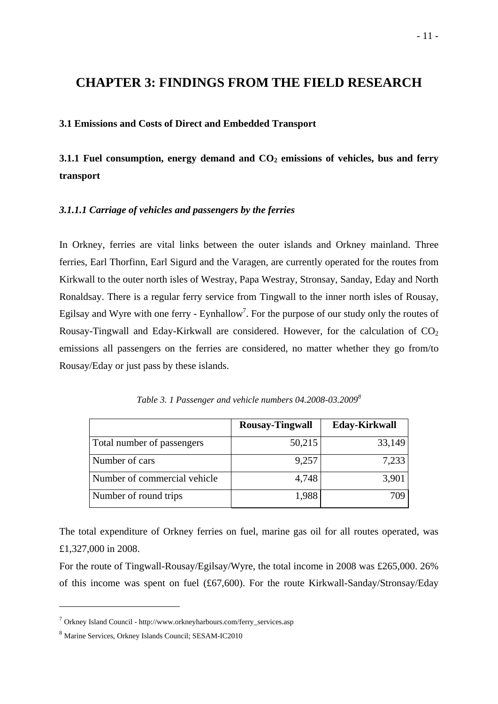### **CHAPTER 3: FINDINGS FROM THE FIELD RESEARCH**

#### **3.1 Emissions and Costs of Direct and Embedded Transport**

**3.1.1 Fuel consumption, energy demand and CO<sub>2</sub> emissions of vehicles, bus and ferry transport** 

#### *3.1.1.1 Carriage of vehicles and passengers by the ferries*

In Orkney, ferries are vital links between the outer islands and Orkney mainland. Three ferries, Earl Thorfinn, Earl Sigurd and the Varagen, are currently operated for the routes from Kirkwall to the outer north isles of Westray, Papa Westray, Stronsay, Sanday, Eday and North Ronaldsay. There is a regular ferry service from Tingwall to the inner north isles of Rousay, Egilsay and Wyre with one ferry - Eynhallow<sup>7</sup>. For the purpose of our study only the routes of Rousay-Tingwall and Eday-Kirkwall are considered. However, for the calculation of  $CO<sub>2</sub>$ emissions all passengers on the ferries are considered, no matter whether they go from/to Rousay/Eday or just pass by these islands.

|                              | <b>Rousay-Tingwall</b> | <b>Eday-Kirkwall</b> |
|------------------------------|------------------------|----------------------|
| Total number of passengers   | 50,215                 | 33,149               |
| Number of cars               | 9,257                  | 7,233                |
| Number of commercial vehicle | 4,748                  | 3,901                |
| Number of round trips        | 1,988                  | 709                  |

*Table 3. 1 Passenger and vehicle numbers 04.2008-03.2009<sup>8</sup>*

The total expenditure of Orkney ferries on fuel, marine gas oil for all routes operated, was £1,327,000 in 2008.

For the route of Tingwall-Rousay/Egilsay/Wyre, the total income in 2008 was £265,000. 26% of this income was spent on fuel (£67,600). For the route Kirkwall-Sanday/Stronsay/Eday

<sup>7</sup> Orkney Island Council - http://www.orkneyharbours.com/ferry\_services.asp

<sup>8</sup> Marine Services, Orkney Islands Council; SESAM-IC2010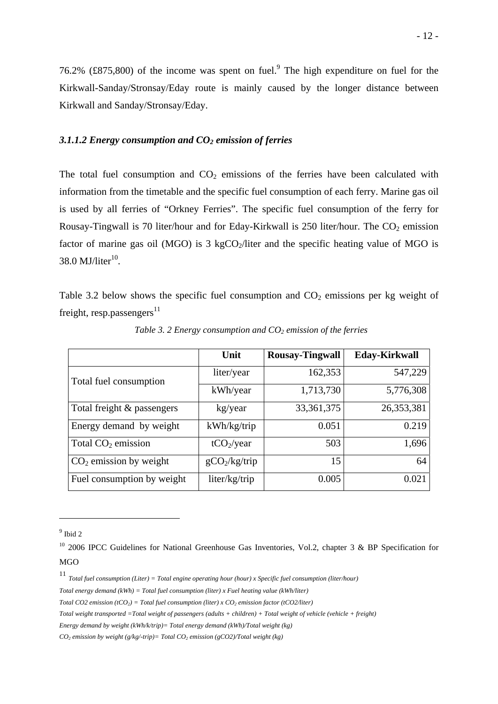76.2% (£875,800) of the income was spent on fuel.<sup>9</sup> The high expenditure on fuel for the Kirkwall-Sanday/Stronsay/Eday route is mainly caused by the longer distance between Kirkwall and Sanday/Stronsay/Eday.

#### *3.1.1.2 Energy consumption and CO2 emission of ferries*

The total fuel consumption and  $CO<sub>2</sub>$  emissions of the ferries have been calculated with information from the timetable and the specific fuel consumption of each ferry. Marine gas oil is used by all ferries of "Orkney Ferries". The specific fuel consumption of the ferry for Rousay-Tingwall is 70 liter/hour and for Eday-Kirkwall is 250 liter/hour. The  $CO<sub>2</sub>$  emission factor of marine gas oil (MGO) is  $3 \text{ kgCO}_2$ /liter and the specific heating value of MGO is  $38.0$  MJ/liter $^{10}$ .

Table 3.2 below shows the specific fuel consumption and  $CO<sub>2</sub>$  emissions per kg weight of freight, resp.passengers $^{11}$ 

|                                | Unit                   | <b>Rousay-Tingwall</b> | <b>Eday-Kirkwall</b> |
|--------------------------------|------------------------|------------------------|----------------------|
| Total fuel consumption         | liter/year             | 162,353                | 547,229              |
|                                | kWh/year               | 1,713,730              | 5,776,308            |
| Total freight & passengers     | kg/year                | 33, 361, 375           | 26,353,381           |
| Energy demand by weight        | kWh/kg/trip            | 0.051                  | 0.219                |
| Total CO <sub>2</sub> emission | tCO <sub>2</sub> /year | 503                    | 1,696                |
| $CO2$ emission by weight       | $gCO_2/kg/trip$        | 15                     | 64                   |
| Fuel consumption by weight     | liter/kg/trip          | 0.005                  | 0.021                |

*Table 3. 2 Energy consumption and CO<sub>2</sub> emission of the ferries* 

 $9$  Ibid 2

 $10$  2006 IPCC Guidelines for National Greenhouse Gas Inventories, Vol.2, chapter 3 & BP Specification for MGO

<sup>11</sup> *Total fuel consumption (Liter) = Total engine operating hour (hour) x Specific fuel consumption (liter/hour)* 

*Total energy demand (kWh) = Total fuel consumption (liter) x Fuel heating value (kWh/liter)* 

*Total CO2 emission (tCO<sub>2</sub>) = Total fuel consumption (liter) x CO<sub>2</sub> emission factor (tCO2/liter)* 

*Total weight transported =Total weight of passengers (adults + children) + Total weight of vehicle (vehicle + freight)* 

*Energy demand by weight (kWh/k/trip)= Total energy demand (kWh)/Total weight (kg)* 

 $CO<sub>2</sub>$  emission by weight (g/kg/-trip)= Total  $CO<sub>2</sub>$  emission (gCO2)/Total weight (kg)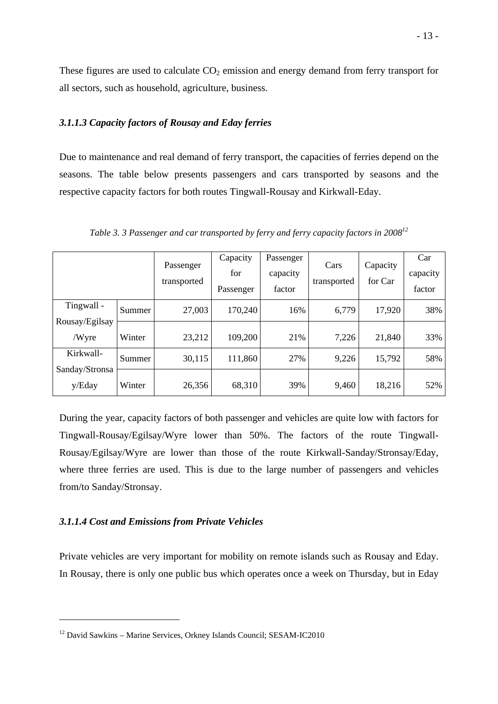These figures are used to calculate  $CO<sub>2</sub>$  emission and energy demand from ferry transport for all sectors, such as household, agriculture, business.

#### *3.1.1.3 Capacity factors of Rousay and Eday ferries*

Due to maintenance and real demand of ferry transport, the capacities of ferries depend on the seasons. The table below presents passengers and cars transported by seasons and the respective capacity factors for both routes Tingwall-Rousay and Kirkwall-Eday.

|                          |        | Passenger<br>transported | Capacity<br>for<br>Passenger | Passenger<br>capacity<br>factor | Cars<br>transported | Capacity<br>for Car | Car<br>capacity<br>factor |
|--------------------------|--------|--------------------------|------------------------------|---------------------------------|---------------------|---------------------|---------------------------|
| Tingwall -               | Summer | 27,003                   | 170,240                      | 16%                             | 6,779               | 17,920              | 38%                       |
| Rousay/Egilsay<br>/Wyre  | Winter | 23,212                   | 109,200                      | 21%                             | 7,226               | 21,840              | 33%                       |
| Kirkwall-                | Summer | 30,115                   | 111,860                      | 27%                             | 9,226               | 15,792              | 58%                       |
| Sanday/Stronsa<br>y/Eday | Winter | 26,356                   | 68,310                       | 39%                             | 9,460               | 18,216              | 52%                       |

*Table 3. 3 Passenger and car transported by ferry and ferry capacity factors in 200812*

During the year, capacity factors of both passenger and vehicles are quite low with factors for Tingwall-Rousay/Egilsay/Wyre lower than 50%. The factors of the route Tingwall-Rousay/Egilsay/Wyre are lower than those of the route Kirkwall-Sanday/Stronsay/Eday, where three ferries are used. This is due to the large number of passengers and vehicles from/to Sanday/Stronsay.

#### *3.1.1.4 Cost and Emissions from Private Vehicles*

1

Private vehicles are very important for mobility on remote islands such as Rousay and Eday. In Rousay, there is only one public bus which operates once a week on Thursday, but in Eday

<sup>&</sup>lt;sup>12</sup> David Sawkins – Marine Services, Orkney Islands Council; SESAM-IC2010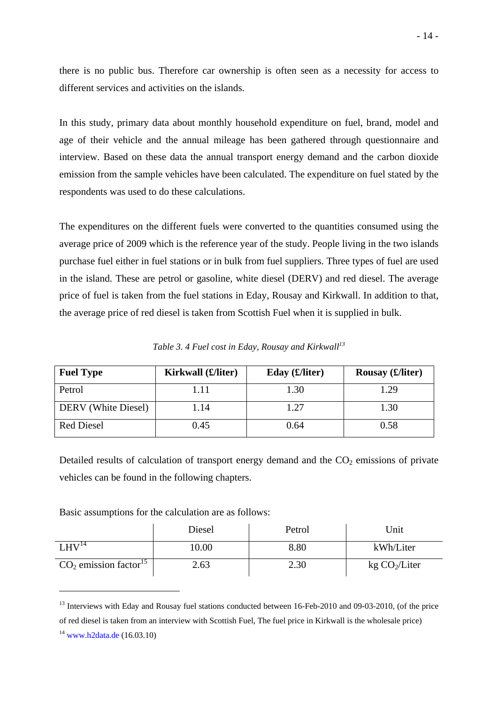there is no public bus. Therefore car ownership is often seen as a necessity for access to different services and activities on the islands.

In this study, primary data about monthly household expenditure on fuel, brand, model and age of their vehicle and the annual mileage has been gathered through questionnaire and interview. Based on these data the annual transport energy demand and the carbon dioxide emission from the sample vehicles have been calculated. The expenditure on fuel stated by the respondents was used to do these calculations.

The expenditures on the different fuels were converted to the quantities consumed using the average price of 2009 which is the reference year of the study. People living in the two islands purchase fuel either in fuel stations or in bulk from fuel suppliers. Three types of fuel are used in the island. These are petrol or gasoline, white diesel (DERV) and red diesel. The average price of fuel is taken from the fuel stations in Eday, Rousay and Kirkwall. In addition to that, the average price of red diesel is taken from Scottish Fuel when it is supplied in bulk.

*Table 3. 4 Fuel cost in Eday, Rousay and Kirkwall*<sup>13</sup>

| <b>Fuel Type</b>    | Kirkwall (£/liter) | Eday $(E/liter)$ | Rousay $(E/liter)$ |
|---------------------|--------------------|------------------|--------------------|
| Petrol              | 1.11               | 1.30             | 1.29               |
| DERV (White Diesel) | 1.14               | 1.27             | 1.30               |
| <b>Red Diesel</b>   | 0.45               | 0.64             | 0.58               |

Detailed results of calculation of transport energy demand and the  $CO<sub>2</sub>$  emissions of private vehicles can be found in the following chapters.

Basic assumptions for the calculation are as follows:

|                                     | Diesel | Petrol | Unit                      |
|-------------------------------------|--------|--------|---------------------------|
| LHV <sup>14</sup>                   | 0.00   | 8.80   | kWh/Liter                 |
| $CO2$ emission factor <sup>15</sup> | 2.63   | 2.30   | kg CO <sub>2</sub> /Liter |

<sup>&</sup>lt;sup>13</sup> Interviews with Eday and Rousay fuel stations conducted between 16-Feb-2010 and 09-03-2010, (of the price of red diesel is taken from an interview with Scottish Fuel, The fuel price in Kirkwall is the wholesale price)  $14$  www.h2data.de (16.03.10)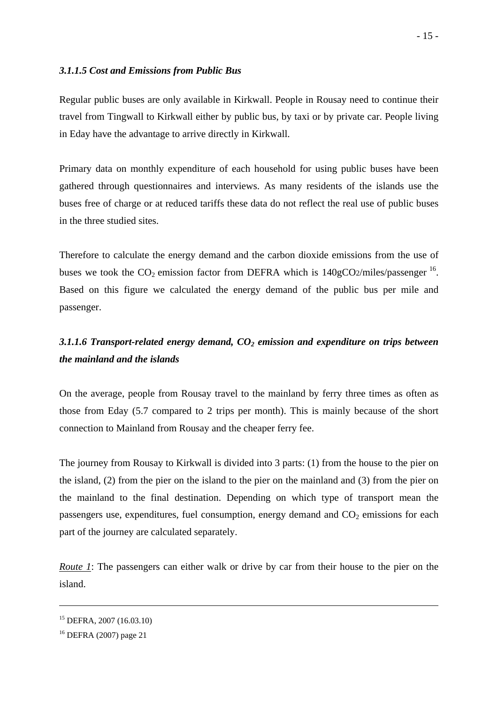#### *3.1.1.5 Cost and Emissions from Public Bus*

Regular public buses are only available in Kirkwall. People in Rousay need to continue their travel from Tingwall to Kirkwall either by public bus, by taxi or by private car. People living in Eday have the advantage to arrive directly in Kirkwall.

Primary data on monthly expenditure of each household for using public buses have been gathered through questionnaires and interviews. As many residents of the islands use the buses free of charge or at reduced tariffs these data do not reflect the real use of public buses in the three studied sites.

Therefore to calculate the energy demand and the carbon dioxide emissions from the use of buses we took the  $CO_2$  emission factor from DEFRA which is 140gCO2/miles/passenger  $^{16}$ . Based on this figure we calculated the energy demand of the public bus per mile and passenger.

### *3.1.1.6 Transport-related energy demand, CO2 emission and expenditure on trips between the mainland and the islands*

On the average, people from Rousay travel to the mainland by ferry three times as often as those from Eday (5.7 compared to 2 trips per month). This is mainly because of the short connection to Mainland from Rousay and the cheaper ferry fee.

The journey from Rousay to Kirkwall is divided into 3 parts: (1) from the house to the pier on the island, (2) from the pier on the island to the pier on the mainland and (3) from the pier on the mainland to the final destination. Depending on which type of transport mean the passengers use, expenditures, fuel consumption, energy demand and  $CO<sub>2</sub>$  emissions for each part of the journey are calculated separately.

*Route 1*: The passengers can either walk or drive by car from their house to the pier on the island.

<sup>15</sup> DEFRA, 2007 (16.03.10)

<sup>16</sup> DEFRA (2007) page 21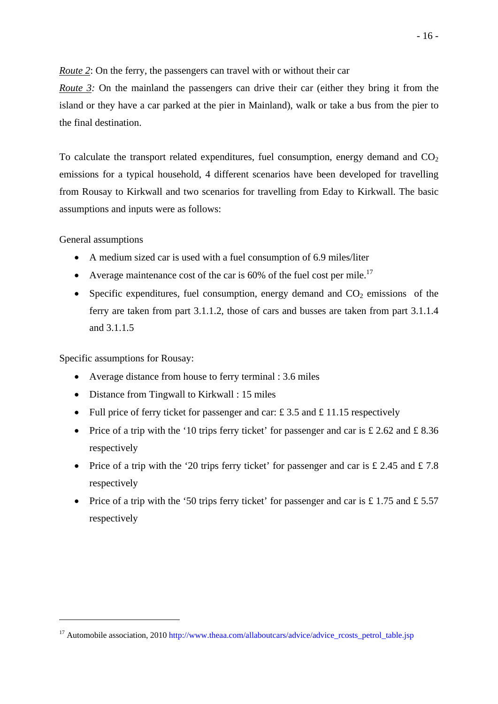*Route 2*: On the ferry, the passengers can travel with or without their car

*Route 3:* On the mainland the passengers can drive their car (either they bring it from the island or they have a car parked at the pier in Mainland), walk or take a bus from the pier to the final destination.

To calculate the transport related expenditures, fuel consumption, energy demand and  $CO<sub>2</sub>$ emissions for a typical household, 4 different scenarios have been developed for travelling from Rousay to Kirkwall and two scenarios for travelling from Eday to Kirkwall. The basic assumptions and inputs were as follows:

General assumptions

1

- A medium sized car is used with a fuel consumption of 6.9 miles/liter
- Average maintenance cost of the car is  $60\%$  of the fuel cost per mile.<sup>17</sup>
- Specific expenditures, fuel consumption, energy demand and  $CO<sub>2</sub>$  emissions of the ferry are taken from part 3.1.1.2, those of cars and busses are taken from part 3.1.1.4 and 3.1.1.5

Specific assumptions for Rousay:

- Average distance from house to ferry terminal : 3.6 miles
- Distance from Tingwall to Kirkwall : 15 miles
- Full price of ferry ticket for passenger and car:  $\pounds$  3.5 and  $\pounds$  11.15 respectively
- Price of a trip with the '10 trips ferry ticket' for passenger and car is  $\text{\pounds} 2.62$  and  $\text{\pounds} 8.36$ respectively
- Price of a trip with the '20 trips ferry ticket' for passenger and car is  $\pounds$  2.45 and  $\pounds$  7.8 respectively
- Price of a trip with the '50 trips ferry ticket' for passenger and car is £ 1.75 and £ 5.57 respectively

<sup>&</sup>lt;sup>17</sup> Automobile association, 2010 http://www.theaa.com/allaboutcars/advice/advice\_rcosts\_petrol\_table.jsp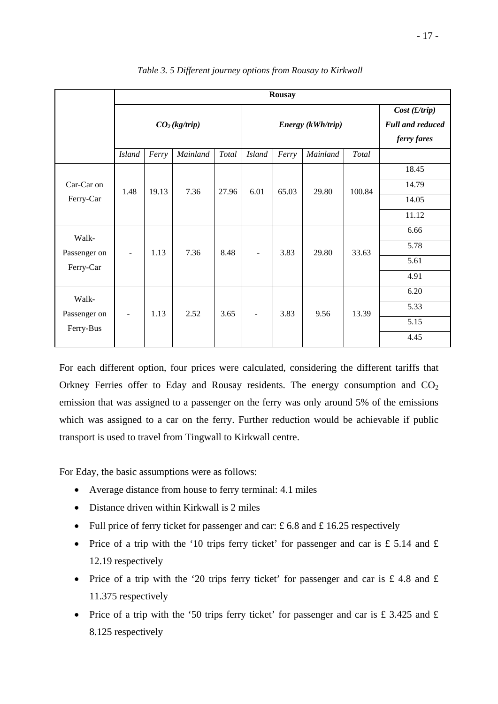|              | <b>Rousay</b>             |              |          |       |                   |       |                                   |        |                                                        |       |      |
|--------------|---------------------------|--------------|----------|-------|-------------------|-------|-----------------------------------|--------|--------------------------------------------------------|-------|------|
|              | CO <sub>2</sub> (kg/trip) |              |          |       | Energy (kWh/trip) |       |                                   |        | Cost(f/trip)<br><b>Full and reduced</b><br>ferry fares |       |      |
|              | <b>Island</b>             | Ferry        | Mainland | Total | <b>Island</b>     | Ferry | Mainland                          | Total  |                                                        |       |      |
|              |                           |              |          |       |                   |       |                                   |        | 18.45                                                  |       |      |
| Car-Car on   | 1.48                      | 19.13        | 7.36     | 27.96 | 6.01              | 65.03 | 29.80                             | 100.84 | 14.79                                                  |       |      |
| Ferry-Car    |                           |              |          |       |                   |       |                                   |        | 14.05                                                  |       |      |
|              |                           |              |          |       |                   |       |                                   |        | 11.12                                                  |       |      |
| Walk-        |                           |              |          |       |                   |       |                                   |        | 6.66                                                   |       |      |
| Passenger on | $\overline{\phantom{a}}$  | 1.13         | 7.36     | 8.48  |                   | 3.83  | 29.80<br>$\overline{\phantom{a}}$ |        |                                                        | 33.63 | 5.78 |
| Ferry-Car    |                           |              |          |       |                   |       |                                   |        |                                                        |       |      |
|              |                           |              |          |       |                   |       |                                   |        | 4.91                                                   |       |      |
| Walk-        |                           |              |          |       |                   |       |                                   |        | 6.20                                                   |       |      |
| Passenger on | $\overline{\phantom{a}}$  | 2.52<br>1.13 | 3.65     |       | 3.83              | 9.56  | 13.39                             | 5.33   |                                                        |       |      |
| Ferry-Bus    |                           |              |          |       |                   |       |                                   |        | 5.15                                                   |       |      |
|              |                           |              |          |       |                   |       |                                   |        | 4.45                                                   |       |      |

 *Table 3. 5 Different journey options from Rousay to Kirkwall* 

For each different option, four prices were calculated, considering the different tariffs that Orkney Ferries offer to Eday and Rousay residents. The energy consumption and  $CO<sub>2</sub>$ emission that was assigned to a passenger on the ferry was only around 5% of the emissions which was assigned to a car on the ferry. Further reduction would be achievable if public transport is used to travel from Tingwall to Kirkwall centre.

For Eday, the basic assumptions were as follows:

- Average distance from house to ferry terminal: 4.1 miles
- Distance driven within Kirkwall is 2 miles
- Full price of ferry ticket for passenger and car:  $\pounds$  6.8 and  $\pounds$  16.25 respectively
- Price of a trip with the '10 trips ferry ticket' for passenger and car is  $\pounds$  5.14 and  $\pounds$ 12.19 respectively
- Price of a trip with the '20 trips ferry ticket' for passenger and car is  $\pounds$  4.8 and  $\pounds$ 11.375 respectively
- Price of a trip with the '50 trips ferry ticket' for passenger and car is £ 3.425 and  $\pounds$ 8.125 respectively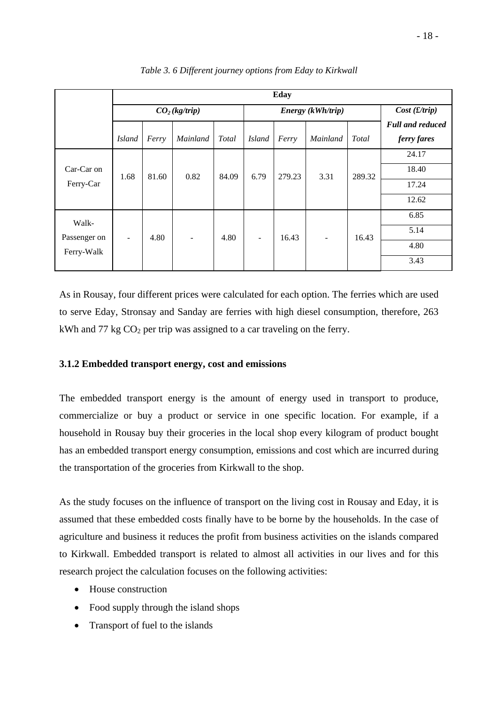|  | 18 |  |
|--|----|--|
|  |    |  |

|                         | Eday                      |       |          |              |                          |        |          |        |                                        |
|-------------------------|---------------------------|-------|----------|--------------|--------------------------|--------|----------|--------|----------------------------------------|
|                         | CO <sub>2</sub> (kg/trip) |       |          |              | Energy (kWh/trip)        |        |          |        | Cost(f/trip)                           |
|                         | <b>Island</b>             | Ferry | Mainland | <b>Total</b> | <b>Island</b>            | Ferry  | Mainland | Total  | <b>Full and reduced</b><br>ferry fares |
|                         |                           |       |          |              |                          |        |          | 289.32 | 24.17                                  |
| Car-Car on<br>Ferry-Car | 1.68                      | 81.60 | 0.82     | 84.09        | 6.79                     | 279.23 | 3.31     |        | 18.40                                  |
|                         |                           |       |          |              |                          |        |          |        | 17.24                                  |
|                         |                           |       |          |              |                          |        |          | 12.62  |                                        |
| Walk-                   |                           |       |          |              |                          |        |          |        | 6.85                                   |
| Passenger on            | -                         | 4.80  |          | 4.80         | $\overline{\phantom{0}}$ | 16.43  |          | 16.43  | 5.14                                   |
| Ferry-Walk              |                           |       |          |              |                          |        |          |        | 4.80                                   |
|                         |                           |       |          |              |                          |        |          |        | 3.43                                   |

*Table 3. 6 Different journey options from Eday to Kirkwall* 

As in Rousay, four different prices were calculated for each option. The ferries which are used to serve Eday, Stronsay and Sanday are ferries with high diesel consumption, therefore, 263 kWh and 77 kg  $CO<sub>2</sub>$  per trip was assigned to a car traveling on the ferry.

### **3.1.2 Embedded transport energy, cost and emissions**

The embedded transport energy is the amount of energy used in transport to produce, commercialize or buy a product or service in one specific location. For example, if a household in Rousay buy their groceries in the local shop every kilogram of product bought has an embedded transport energy consumption, emissions and cost which are incurred during the transportation of the groceries from Kirkwall to the shop.

As the study focuses on the influence of transport on the living cost in Rousay and Eday, it is assumed that these embedded costs finally have to be borne by the households. In the case of agriculture and business it reduces the profit from business activities on the islands compared to Kirkwall. Embedded transport is related to almost all activities in our lives and for this research project the calculation focuses on the following activities:

- House construction
- Food supply through the island shops
- Transport of fuel to the islands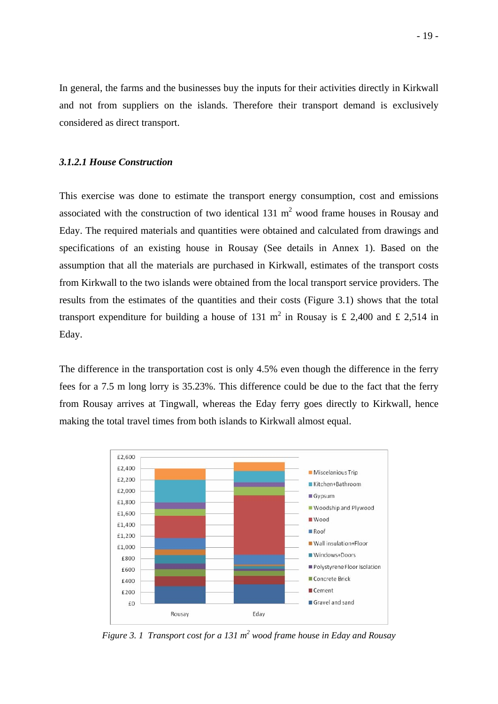In general, the farms and the businesses buy the inputs for their activities directly in Kirkwall and not from suppliers on the islands. Therefore their transport demand is exclusively considered as direct transport.

#### *3.1.2.1 House Construction*

This exercise was done to estimate the transport energy consumption, cost and emissions associated with the construction of two identical  $131 \text{ m}^2$  wood frame houses in Rousay and Eday. The required materials and quantities were obtained and calculated from drawings and specifications of an existing house in Rousay (See details in Annex 1). Based on the assumption that all the materials are purchased in Kirkwall, estimates of the transport costs from Kirkwall to the two islands were obtained from the local transport service providers. The results from the estimates of the quantities and their costs (Figure 3.1) shows that the total transport expenditure for building a house of 131 m<sup>2</sup> in Rousay is £ 2,400 and £ 2,514 in Eday.

The difference in the transportation cost is only 4.5% even though the difference in the ferry fees for a 7.5 m long lorry is 35.23%. This difference could be due to the fact that the ferry from Rousay arrives at Tingwall, whereas the Eday ferry goes directly to Kirkwall, hence making the total travel times from both islands to Kirkwall almost equal.



*Figure 3. 1 Transport cost for a 131 m<sup>2</sup> wood frame house in Eday and Rousay*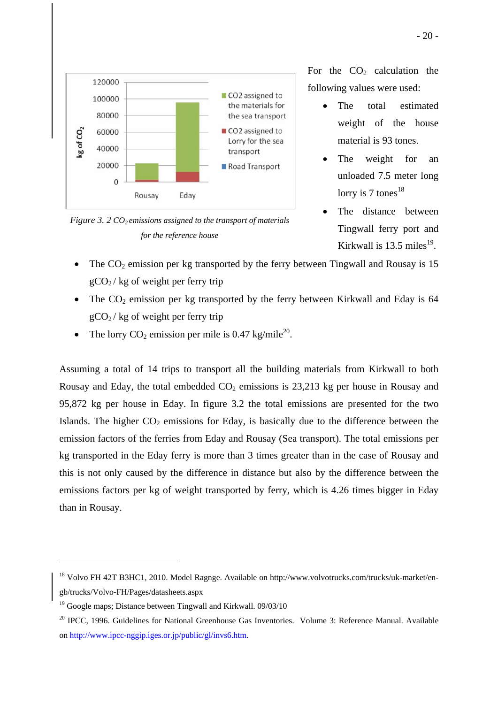



For the  $CO<sub>2</sub>$  calculation the following values were used:

- The total estimated weight of the house material is 93 tones.
- The weight for an unloaded 7.5 meter long lorry is  $7 \text{ tones}^{18}$
- The distance between Tingwall ferry port and Kirkwall is  $13.5$  miles<sup>19</sup>.
- The  $CO<sub>2</sub>$  emission per kg transported by the ferry between Tingwall and Rousay is 15  $gCO<sub>2</sub>$ / kg of weight per ferry trip
- The  $CO<sub>2</sub>$  emission per kg transported by the ferry between Kirkwall and Eday is 64  $gCO<sub>2</sub>$ / kg of weight per ferry trip
- The lorry  $CO<sub>2</sub>$  emission per mile is 0.47 kg/mile<sup>20</sup>.

Assuming a total of 14 trips to transport all the building materials from Kirkwall to both Rousay and Eday, the total embedded  $CO<sub>2</sub>$  emissions is 23,213 kg per house in Rousay and 95,872 kg per house in Eday. In figure 3.2 the total emissions are presented for the two Islands. The higher  $CO<sub>2</sub>$  emissions for Eday, is basically due to the difference between the emission factors of the ferries from Eday and Rousay (Sea transport). The total emissions per kg transported in the Eday ferry is more than 3 times greater than in the case of Rousay and this is not only caused by the difference in distance but also by the difference between the emissions factors per kg of weight transported by ferry, which is 4.26 times bigger in Eday than in Rousay.

<u>.</u>

<sup>&</sup>lt;sup>18</sup> Volvo FH 42T B3HC1, 2010. Model Ragnge. Available on http://www.volvotrucks.com/trucks/uk-market/engb/trucks/Volvo-FH/Pages/datasheets.aspx

<sup>&</sup>lt;sup>19</sup> Google maps; Distance between Tingwall and Kirkwall. 09/03/10

<sup>&</sup>lt;sup>20</sup> IPCC, 1996. Guidelines for National Greenhouse Gas Inventories. Volume 3: Reference Manual. Available on http://www.ipcc-nggip.iges.or.jp/public/gl/invs6.htm.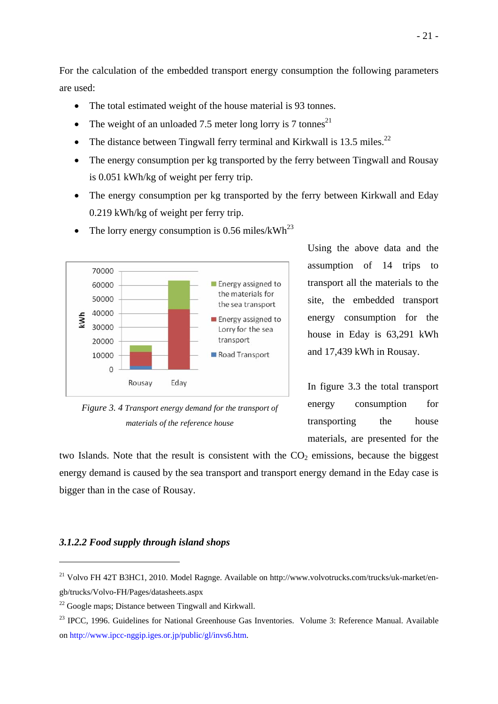For the calculation of the embedded transport energy consumption the following parameters are used:

- The total estimated weight of the house material is 93 tonnes.
- The weight of an unloaded 7.5 meter long lorry is 7 tonnes<sup>21</sup>
- The distance between Tingwall ferry terminal and Kirkwall is 13.5 miles.<sup>22</sup>
- The energy consumption per kg transported by the ferry between Tingwall and Rousay is 0.051 kWh/kg of weight per ferry trip.
- The energy consumption per kg transported by the ferry between Kirkwall and Eday 0.219 kWh/kg of weight per ferry trip.



• The lorry energy consumption is 0.56 miles/kWh<sup>23</sup>

*Figure 3. 4 Transport energy demand for the transport of materials of the reference house* 

Using the above data and the assumption of 14 trips to transport all the materials to the site, the embedded transport energy consumption for the house in Eday is 63,291 kWh and 17,439 kWh in Rousay.

In figure 3.3 the total transport energy consumption for transporting the house materials, are presented for the

two Islands. Note that the result is consistent with the  $CO<sub>2</sub>$  emissions, because the biggest energy demand is caused by the sea transport and transport energy demand in the Eday case is bigger than in the case of Rousay.

#### *3.1.2.2 Food supply through island shops*

<u>.</u>

<sup>&</sup>lt;sup>21</sup> Volvo FH 42T B3HC1, 2010. Model Ragnge. Available on http://www.volvotrucks.com/trucks/uk-market/engb/trucks/Volvo-FH/Pages/datasheets.aspx

 $22$  Google maps; Distance between Tingwall and Kirkwall.

<sup>&</sup>lt;sup>23</sup> IPCC, 1996. Guidelines for National Greenhouse Gas Inventories. Volume 3: Reference Manual. Available on http://www.ipcc-nggip.iges.or.jp/public/gl/invs6.htm.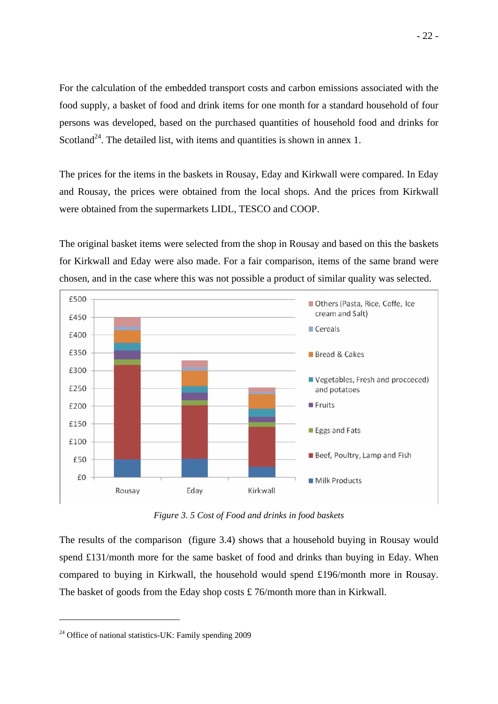For the calculation of the embedded transport costs and carbon emissions associated with the food supply, a basket of food and drink items for one month for a standard household of four persons was developed, based on the purchased quantities of household food and drinks for Scotland<sup>24</sup>. The detailed list, with items and quantities is shown in annex 1.

The prices for the items in the baskets in Rousay, Eday and Kirkwall were compared. In Eday and Rousay, the prices were obtained from the local shops. And the prices from Kirkwall were obtained from the supermarkets LIDL, TESCO and COOP.

The original basket items were selected from the shop in Rousay and based on this the baskets for Kirkwall and Eday were also made. For a fair comparison, items of the same brand were chosen, and in the case where this was not possible a product of similar quality was selected.



*Figure 3. 5 Cost of Food and drinks in food baskets* 

The results of the comparison (figure 3.4) shows that a household buying in Rousay would spend £131/month more for the same basket of food and drinks than buying in Eday. When compared to buying in Kirkwall, the household would spend £196/month more in Rousay. The basket of goods from the Eday shop costs £ 76/month more than in Kirkwall.

<sup>&</sup>lt;sup>24</sup> Office of national statistics-UK: Family spending 2009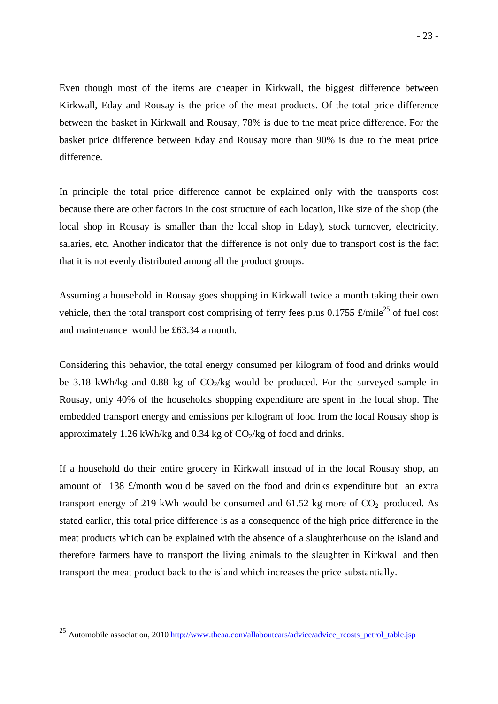Even though most of the items are cheaper in Kirkwall, the biggest difference between Kirkwall, Eday and Rousay is the price of the meat products. Of the total price difference between the basket in Kirkwall and Rousay, 78% is due to the meat price difference. For the basket price difference between Eday and Rousay more than 90% is due to the meat price difference.

In principle the total price difference cannot be explained only with the transports cost because there are other factors in the cost structure of each location, like size of the shop (the local shop in Rousay is smaller than the local shop in Eday), stock turnover, electricity, salaries, etc. Another indicator that the difference is not only due to transport cost is the fact that it is not evenly distributed among all the product groups.

Assuming a household in Rousay goes shopping in Kirkwall twice a month taking their own vehicle, then the total transport cost comprising of ferry fees plus 0.1755  $\pounds$ /mile<sup>25</sup> of fuel cost and maintenance would be £63.34 a month.

Considering this behavior, the total energy consumed per kilogram of food and drinks would be 3.18 kWh/kg and 0.88 kg of  $CO<sub>2</sub>/kg$  would be produced. For the surveyed sample in Rousay, only 40% of the households shopping expenditure are spent in the local shop. The embedded transport energy and emissions per kilogram of food from the local Rousay shop is approximately 1.26 kWh/kg and 0.34 kg of  $CO<sub>2</sub>/kg$  of food and drinks.

If a household do their entire grocery in Kirkwall instead of in the local Rousay shop, an amount of 138 £/month would be saved on the food and drinks expenditure but an extra transport energy of 219 kWh would be consumed and  $61.52$  kg more of  $CO<sub>2</sub>$  produced. As stated earlier, this total price difference is as a consequence of the high price difference in the meat products which can be explained with the absence of a slaughterhouse on the island and therefore farmers have to transport the living animals to the slaughter in Kirkwall and then transport the meat product back to the island which increases the price substantially.

<u>.</u>

<sup>&</sup>lt;sup>25</sup> Automobile association, 2010 http://www.theaa.com/allaboutcars/advice/advice\_rcosts\_petrol\_table.jsp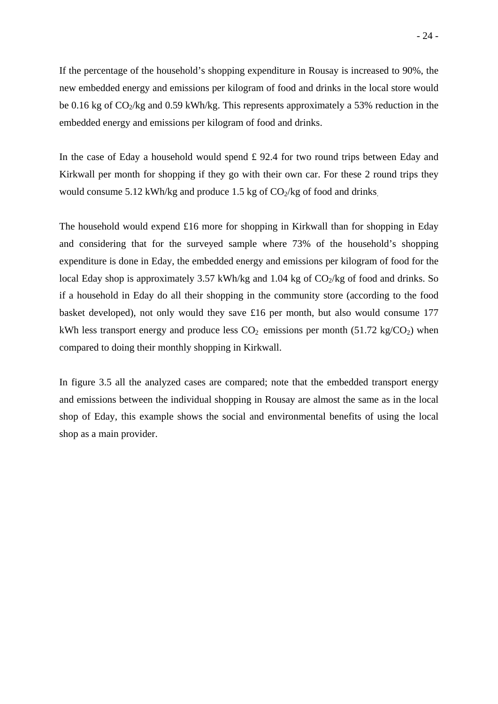If the percentage of the household's shopping expenditure in Rousay is increased to 90%, the new embedded energy and emissions per kilogram of food and drinks in the local store would be 0.16 kg of  $CO_2$ /kg and 0.59 kWh/kg. This represents approximately a 53% reduction in the embedded energy and emissions per kilogram of food and drinks.

In the case of Eday a household would spend  $\pounds$  92.4 for two round trips between Eday and Kirkwall per month for shopping if they go with their own car. For these 2 round trips they would consume 5.12 kWh/kg and produce 1.5 kg of  $CO<sub>2</sub>/kg$  of food and drinks.

The household would expend £16 more for shopping in Kirkwall than for shopping in Eday and considering that for the surveyed sample where 73% of the household's shopping expenditure is done in Eday, the embedded energy and emissions per kilogram of food for the local Eday shop is approximately 3.57 kWh/kg and 1.04 kg of  $CO<sub>2</sub>/kg$  of food and drinks. So if a household in Eday do all their shopping in the community store (according to the food basket developed), not only would they save £16 per month, but also would consume 177 kWh less transport energy and produce less  $CO<sub>2</sub>$  emissions per month (51.72 kg/ $CO<sub>2</sub>$ ) when compared to doing their monthly shopping in Kirkwall.

In figure 3.5 all the analyzed cases are compared; note that the embedded transport energy and emissions between the individual shopping in Rousay are almost the same as in the local shop of Eday, this example shows the social and environmental benefits of using the local shop as a main provider.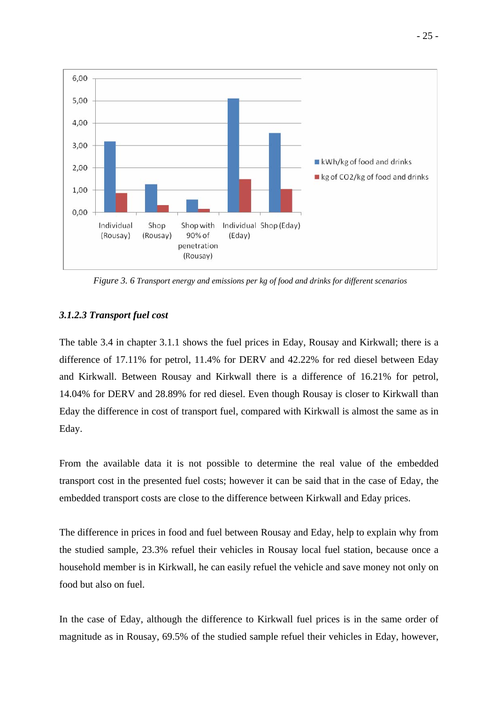

*Figure 3. 6 Transport energy and emissions per kg of food and drinks for different scenarios* 

# *3.1.2.3 Transport fuel cost*

The table 3.4 in chapter 3.1.1 shows the fuel prices in Eday, Rousay and Kirkwall; there is a difference of 17.11% for petrol, 11.4% for DERV and 42.22% for red diesel between Eday and Kirkwall. Between Rousay and Kirkwall there is a difference of 16.21% for petrol, 14.04% for DERV and 28.89% for red diesel. Even though Rousay is closer to Kirkwall than Eday the difference in cost of transport fuel, compared with Kirkwall is almost the same as in Eday.

From the available data it is not possible to determine the real value of the embedded transport cost in the presented fuel costs; however it can be said that in the case of Eday, the embedded transport costs are close to the difference between Kirkwall and Eday prices.

The difference in prices in food and fuel between Rousay and Eday, help to explain why from the studied sample, 23.3% refuel their vehicles in Rousay local fuel station, because once a household member is in Kirkwall, he can easily refuel the vehicle and save money not only on food but also on fuel.

In the case of Eday, although the difference to Kirkwall fuel prices is in the same order of magnitude as in Rousay, 69.5% of the studied sample refuel their vehicles in Eday, however,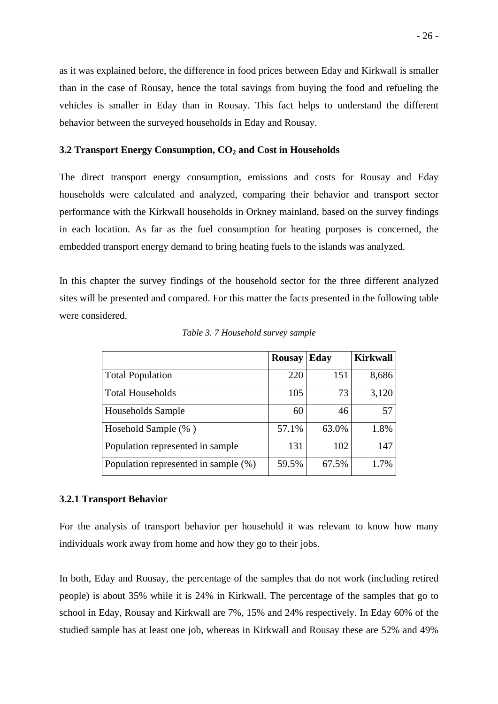as it was explained before, the difference in food prices between Eday and Kirkwall is smaller than in the case of Rousay, hence the total savings from buying the food and refueling the vehicles is smaller in Eday than in Rousay. This fact helps to understand the different behavior between the surveyed households in Eday and Rousay.

## **3.2 Transport Energy Consumption, CO<sub>2</sub> and Cost in Households**

The direct transport energy consumption, emissions and costs for Rousay and Eday households were calculated and analyzed, comparing their behavior and transport sector performance with the Kirkwall households in Orkney mainland, based on the survey findings in each location. As far as the fuel consumption for heating purposes is concerned, the embedded transport energy demand to bring heating fuels to the islands was analyzed.

In this chapter the survey findings of the household sector for the three different analyzed sites will be presented and compared. For this matter the facts presented in the following table were considered.

|                                      | <b>Rousay</b> | Eday  | <b>Kirkwall</b> |
|--------------------------------------|---------------|-------|-----------------|
| <b>Total Population</b>              | 220           | 151   | 8,686           |
| <b>Total Households</b>              | 105           | 73    | 3,120           |
| Households Sample                    | 60            | 46    | 57              |
| Hosehold Sample (%)                  | 57.1%         | 63.0% | 1.8%            |
| Population represented in sample     | 131           | 102   | 147             |
| Population represented in sample (%) | 59.5%         | 67.5% | 1.7%            |

*Table 3. 7 Household survey sample* 

#### **3.2.1 Transport Behavior**

For the analysis of transport behavior per household it was relevant to know how many individuals work away from home and how they go to their jobs.

In both, Eday and Rousay, the percentage of the samples that do not work (including retired people) is about 35% while it is 24% in Kirkwall. The percentage of the samples that go to school in Eday, Rousay and Kirkwall are 7%, 15% and 24% respectively. In Eday 60% of the studied sample has at least one job, whereas in Kirkwall and Rousay these are 52% and 49%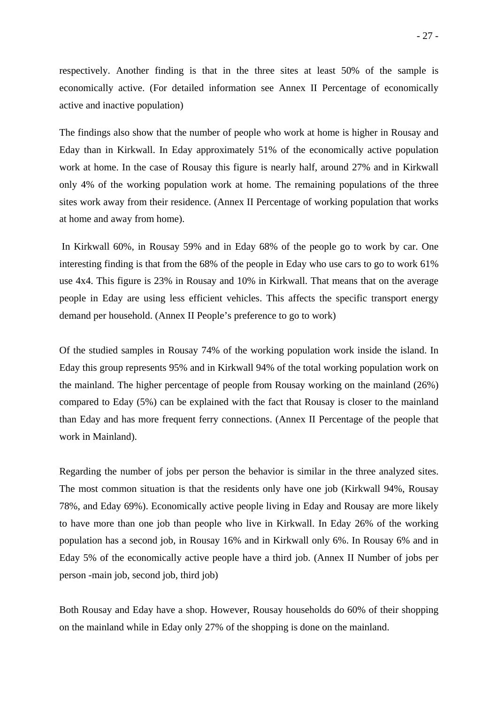respectively. Another finding is that in the three sites at least 50% of the sample is economically active. (For detailed information see Annex II Percentage of economically active and inactive population)

The findings also show that the number of people who work at home is higher in Rousay and Eday than in Kirkwall. In Eday approximately 51% of the economically active population work at home. In the case of Rousay this figure is nearly half, around 27% and in Kirkwall only 4% of the working population work at home. The remaining populations of the three sites work away from their residence. (Annex II Percentage of working population that works at home and away from home).

 In Kirkwall 60%, in Rousay 59% and in Eday 68% of the people go to work by car. One interesting finding is that from the 68% of the people in Eday who use cars to go to work 61% use 4x4. This figure is 23% in Rousay and 10% in Kirkwall. That means that on the average people in Eday are using less efficient vehicles. This affects the specific transport energy demand per household. (Annex II People's preference to go to work)

Of the studied samples in Rousay 74% of the working population work inside the island. In Eday this group represents 95% and in Kirkwall 94% of the total working population work on the mainland. The higher percentage of people from Rousay working on the mainland (26%) compared to Eday (5%) can be explained with the fact that Rousay is closer to the mainland than Eday and has more frequent ferry connections. (Annex II Percentage of the people that work in Mainland).

Regarding the number of jobs per person the behavior is similar in the three analyzed sites. The most common situation is that the residents only have one job (Kirkwall 94%, Rousay 78%, and Eday 69%). Economically active people living in Eday and Rousay are more likely to have more than one job than people who live in Kirkwall. In Eday 26% of the working population has a second job, in Rousay 16% and in Kirkwall only 6%. In Rousay 6% and in Eday 5% of the economically active people have a third job. (Annex II Number of jobs per person -main job, second job, third job)

Both Rousay and Eday have a shop. However, Rousay households do 60% of their shopping on the mainland while in Eday only 27% of the shopping is done on the mainland.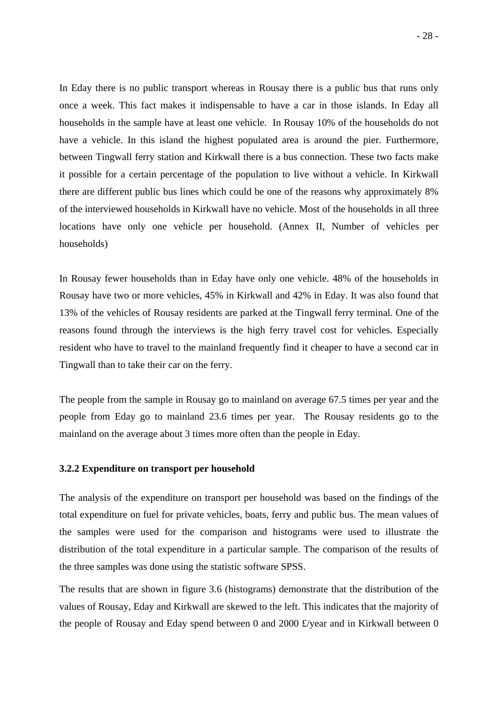In Eday there is no public transport whereas in Rousay there is a public bus that runs only once a week. This fact makes it indispensable to have a car in those islands. In Eday all households in the sample have at least one vehicle. In Rousay 10% of the households do not have a vehicle. In this island the highest populated area is around the pier. Furthermore, between Tingwall ferry station and Kirkwall there is a bus connection. These two facts make it possible for a certain percentage of the population to live without a vehicle. In Kirkwall there are different public bus lines which could be one of the reasons why approximately 8% of the interviewed households in Kirkwall have no vehicle. Most of the households in all three locations have only one vehicle per household. (Annex II, Number of vehicles per households)

In Rousay fewer households than in Eday have only one vehicle. 48% of the households in Rousay have two or more vehicles, 45% in Kirkwall and 42% in Eday. It was also found that 13% of the vehicles of Rousay residents are parked at the Tingwall ferry terminal. One of the reasons found through the interviews is the high ferry travel cost for vehicles. Especially resident who have to travel to the mainland frequently find it cheaper to have a second car in Tingwall than to take their car on the ferry.

The people from the sample in Rousay go to mainland on average 67.5 times per year and the people from Eday go to mainland 23.6 times per year. The Rousay residents go to the mainland on the average about 3 times more often than the people in Eday.

## **3.2.2 Expenditure on transport per household**

The analysis of the expenditure on transport per household was based on the findings of the total expenditure on fuel for private vehicles, boats, ferry and public bus. The mean values of the samples were used for the comparison and histograms were used to illustrate the distribution of the total expenditure in a particular sample. The comparison of the results of the three samples was done using the statistic software SPSS.

The results that are shown in figure 3.6 (histograms) demonstrate that the distribution of the values of Rousay, Eday and Kirkwall are skewed to the left. This indicates that the majority of the people of Rousay and Eday spend between 0 and 2000 £/year and in Kirkwall between 0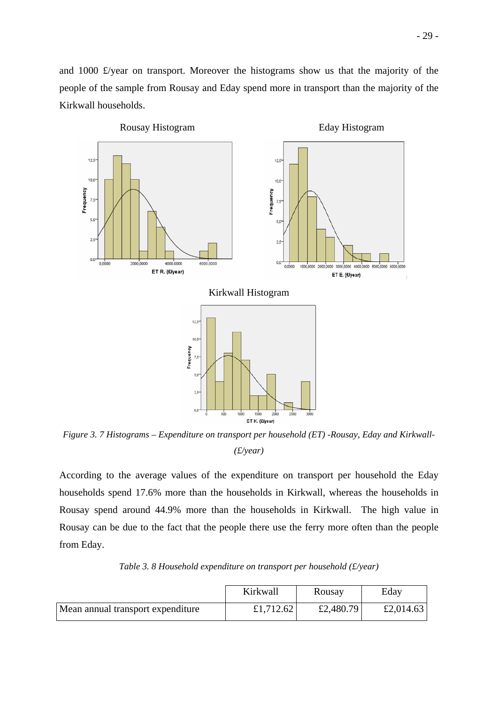- 29 -

and 1000 £/year on transport. Moreover the histograms show us that the majority of the people of the sample from Rousay and Eday spend more in transport than the majority of the Kirkwall households.



*Figure 3. 7 Histograms – Expenditure on transport per household (ET) -Rousay, Eday and Kirkwall- (£/year)* 

According to the average values of the expenditure on transport per household the Eday households spend 17.6% more than the households in Kirkwall, whereas the households in Rousay spend around 44.9% more than the households in Kirkwall. The high value in Rousay can be due to the fact that the people there use the ferry more often than the people from Eday.

|                                   | Kirkwall  | Rousay    | Edav      |
|-----------------------------------|-----------|-----------|-----------|
| Mean annual transport expenditure | £1,712.62 | £2,480.79 | £2,014.63 |

*Table 3. 8 Household expenditure on transport per household (£/year)*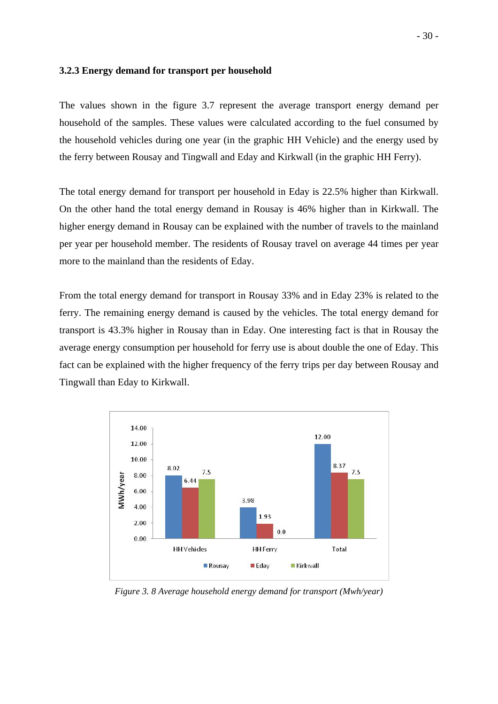## **3.2.3 Energy demand for transport per household**

The values shown in the figure 3.7 represent the average transport energy demand per household of the samples. These values were calculated according to the fuel consumed by the household vehicles during one year (in the graphic HH Vehicle) and the energy used by the ferry between Rousay and Tingwall and Eday and Kirkwall (in the graphic HH Ferry).

The total energy demand for transport per household in Eday is 22.5% higher than Kirkwall. On the other hand the total energy demand in Rousay is 46% higher than in Kirkwall. The higher energy demand in Rousay can be explained with the number of travels to the mainland per year per household member. The residents of Rousay travel on average 44 times per year more to the mainland than the residents of Eday.

From the total energy demand for transport in Rousay 33% and in Eday 23% is related to the ferry. The remaining energy demand is caused by the vehicles. The total energy demand for transport is 43.3% higher in Rousay than in Eday. One interesting fact is that in Rousay the average energy consumption per household for ferry use is about double the one of Eday. This fact can be explained with the higher frequency of the ferry trips per day between Rousay and Tingwall than Eday to Kirkwall.



*Figure 3. 8 Average household energy demand for transport (Mwh/year)*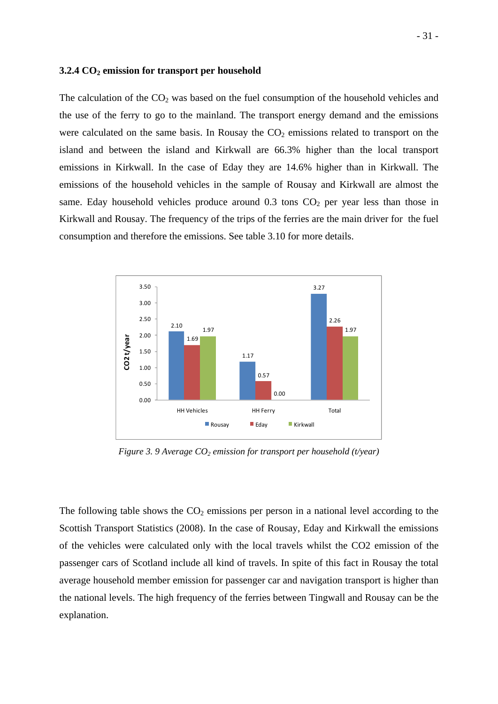#### **3.2.4 CO2 emission for transport per household**

The calculation of the  $CO<sub>2</sub>$  was based on the fuel consumption of the household vehicles and the use of the ferry to go to the mainland. The transport energy demand and the emissions were calculated on the same basis. In Rousay the  $CO<sub>2</sub>$  emissions related to transport on the island and between the island and Kirkwall are 66.3% higher than the local transport emissions in Kirkwall. In the case of Eday they are 14.6% higher than in Kirkwall. The emissions of the household vehicles in the sample of Rousay and Kirkwall are almost the same. Eday household vehicles produce around  $0.3$  tons  $CO<sub>2</sub>$  per year less than those in Kirkwall and Rousay. The frequency of the trips of the ferries are the main driver for the fuel consumption and therefore the emissions. See table 3.10 for more details.



*Figure 3. 9 Average CO<sub>2</sub> emission for transport per household (t/year)* 

The following table shows the  $CO<sub>2</sub>$  emissions per person in a national level according to the Scottish Transport Statistics (2008). In the case of Rousay, Eday and Kirkwall the emissions of the vehicles were calculated only with the local travels whilst the CO2 emission of the passenger cars of Scotland include all kind of travels. In spite of this fact in Rousay the total average household member emission for passenger car and navigation transport is higher than the national levels. The high frequency of the ferries between Tingwall and Rousay can be the explanation.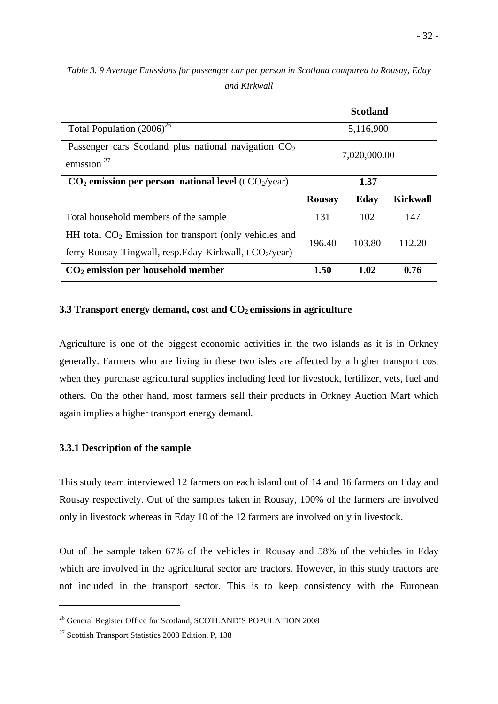|                                                                                                                         | <b>Scotland</b> |           |                 |  |
|-------------------------------------------------------------------------------------------------------------------------|-----------------|-----------|-----------------|--|
| Total Population $(2006)^{26}$                                                                                          |                 | 5,116,900 |                 |  |
| Passenger cars Scotland plus national navigation $CO2$<br>emission $27$                                                 | 7,020,000.00    |           |                 |  |
| $CO2$ emission per person national level (t $CO2/year$ )                                                                |                 | 1.37      |                 |  |
|                                                                                                                         |                 |           |                 |  |
|                                                                                                                         | <b>Rousay</b>   | Eday      | <b>Kirkwall</b> |  |
| Total household members of the sample                                                                                   | 131             | 102       | 147             |  |
| HH total $CO2$ Emission for transport (only vehicles and<br>ferry Rousay-Tingwall, resp. Eday-Kirkwall, t $CO_2$ /year) | 196.40          | 103.80    | 112.20          |  |

*Table 3. 9 Average Emissions for passenger car per person in Scotland compared to Rousay, Eday and Kirkwall* 

#### **3.3 Transport energy demand, cost and CO<sub>2</sub> emissions in agriculture**

Agriculture is one of the biggest economic activities in the two islands as it is in Orkney generally. Farmers who are living in these two isles are affected by a higher transport cost when they purchase agricultural supplies including feed for livestock, fertilizer, vets, fuel and others. On the other hand, most farmers sell their products in Orkney Auction Mart which again implies a higher transport energy demand.

## **3.3.1 Description of the sample**

This study team interviewed 12 farmers on each island out of 14 and 16 farmers on Eday and Rousay respectively. Out of the samples taken in Rousay, 100% of the farmers are involved only in livestock whereas in Eday 10 of the 12 farmers are involved only in livestock.

Out of the sample taken 67% of the vehicles in Rousay and 58% of the vehicles in Eday which are involved in the agricultural sector are tractors. However, in this study tractors are not included in the transport sector. This is to keep consistency with the European

1

<sup>&</sup>lt;sup>26</sup> General Register Office for Scotland, SCOTLAND'S POPULATION 2008

<sup>27</sup> Scottish Transport Statistics 2008 Edition, P, 138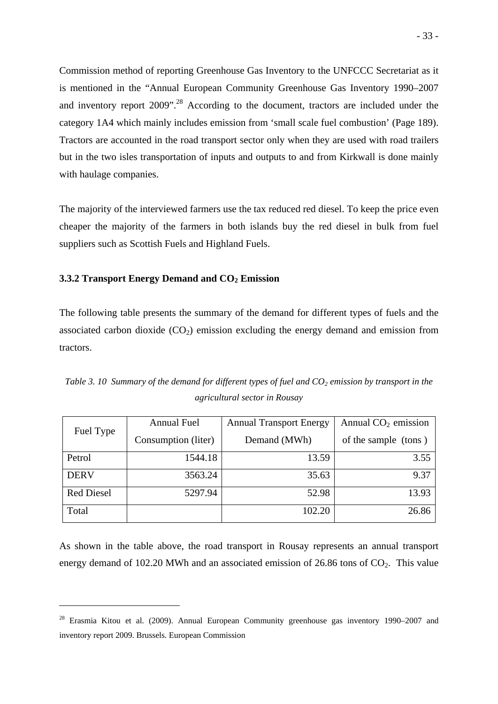Commission method of reporting Greenhouse Gas Inventory to the UNFCCC Secretariat as it is mentioned in the "Annual European Community Greenhouse Gas Inventory 1990–2007 and inventory report 2009".<sup>28</sup> According to the document, tractors are included under the category 1A4 which mainly includes emission from 'small scale fuel combustion' (Page 189). Tractors are accounted in the road transport sector only when they are used with road trailers but in the two isles transportation of inputs and outputs to and from Kirkwall is done mainly with haulage companies.

The majority of the interviewed farmers use the tax reduced red diesel. To keep the price even cheaper the majority of the farmers in both islands buy the red diesel in bulk from fuel suppliers such as Scottish Fuels and Highland Fuels.

## **3.3.2 Transport Energy Demand and CO<sub>2</sub> Emission**

1

The following table presents the summary of the demand for different types of fuels and the associated carbon dioxide  $(CO_2)$  emission excluding the energy demand and emission from tractors.

|                   | <b>Annual Fuel</b>  | <b>Annual Transport Energy</b> | Annual $CO2$ emission |
|-------------------|---------------------|--------------------------------|-----------------------|
| Fuel Type         | Consumption (liter) | Demand (MWh)                   | of the sample (tons)  |
| Petrol            | 1544.18             | 13.59                          | 3.55                  |
| <b>DERV</b>       | 3563.24             | 35.63                          | 9.37                  |
| <b>Red Diesel</b> | 5297.94             | 52.98                          | 13.93                 |
| Total             |                     | 102.20                         | 26.86                 |

*Table 3. 10 Summary of the demand for different types of fuel and*  $CO<sub>2</sub>$  *emission by transport in the agricultural sector in Rousay* 

As shown in the table above, the road transport in Rousay represents an annual transport energy demand of 102.20 MWh and an associated emission of 26.86 tons of  $CO<sub>2</sub>$ . This value

<sup>&</sup>lt;sup>28</sup> Erasmia Kitou et al. (2009). Annual European Community greenhouse gas inventory 1990–2007 and inventory report 2009. Brussels. European Commission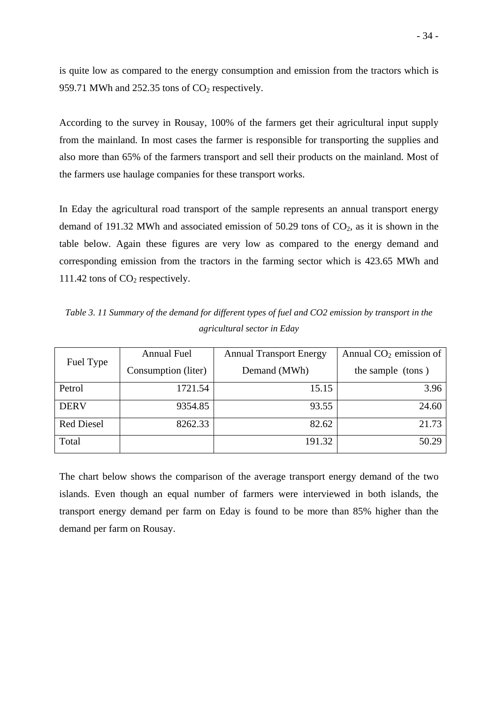is quite low as compared to the energy consumption and emission from the tractors which is 959.71 MWh and 252.35 tons of  $CO<sub>2</sub>$  respectively.

According to the survey in Rousay, 100% of the farmers get their agricultural input supply from the mainland. In most cases the farmer is responsible for transporting the supplies and also more than 65% of the farmers transport and sell their products on the mainland. Most of the farmers use haulage companies for these transport works.

In Eday the agricultural road transport of the sample represents an annual transport energy demand of 191.32 MWh and associated emission of  $50.29$  tons of  $CO<sub>2</sub>$ , as it is shown in the table below. Again these figures are very low as compared to the energy demand and corresponding emission from the tractors in the farming sector which is 423.65 MWh and 111.42 tons of  $CO<sub>2</sub>$  respectively.

*Table 3. 11 Summary of the demand for different types of fuel and CO2 emission by transport in the agricultural sector in Eday* 

|                   | <b>Annual Fuel</b>  | <b>Annual Transport Energy</b> | Annual $CO2$ emission of |
|-------------------|---------------------|--------------------------------|--------------------------|
| Fuel Type         | Consumption (liter) | Demand (MWh)                   | the sample (tons)        |
| Petrol            | 1721.54             | 15.15                          | 3.96                     |
| <b>DERV</b>       | 9354.85             | 93.55                          | 24.60                    |
| <b>Red Diesel</b> | 8262.33             | 82.62                          | 21.73                    |
| Total             |                     | 191.32                         | 50.29                    |

The chart below shows the comparison of the average transport energy demand of the two islands. Even though an equal number of farmers were interviewed in both islands, the transport energy demand per farm on Eday is found to be more than 85% higher than the demand per farm on Rousay.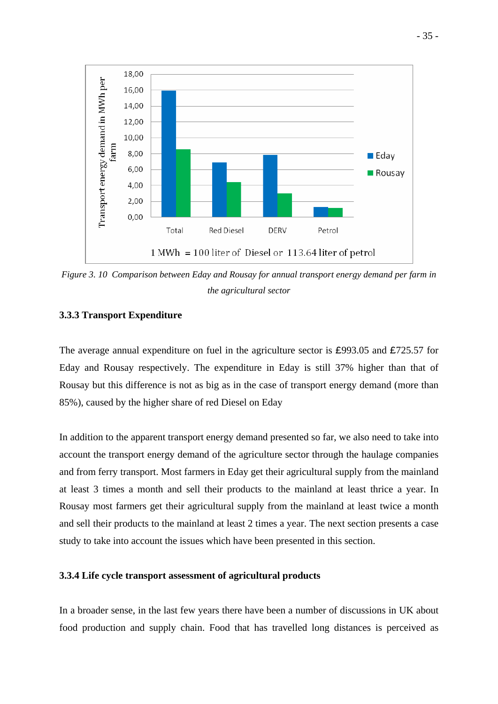

*Figure 3. 10 Comparison between Eday and Rousay for annual transport energy demand per farm in the agricultural sector* 

# **3.3.3 Transport Expenditure**

The average annual expenditure on fuel in the agriculture sector is £993.05 and £725.57 for Eday and Rousay respectively. The expenditure in Eday is still 37% higher than that of Rousay but this difference is not as big as in the case of transport energy demand (more than 85%), caused by the higher share of red Diesel on Eday

In addition to the apparent transport energy demand presented so far, we also need to take into account the transport energy demand of the agriculture sector through the haulage companies and from ferry transport. Most farmers in Eday get their agricultural supply from the mainland at least 3 times a month and sell their products to the mainland at least thrice a year. In Rousay most farmers get their agricultural supply from the mainland at least twice a month and sell their products to the mainland at least 2 times a year. The next section presents a case study to take into account the issues which have been presented in this section.

## **3.3.4 Life cycle transport assessment of agricultural products**

In a broader sense, in the last few years there have been a number of discussions in UK about food production and supply chain. Food that has travelled long distances is perceived as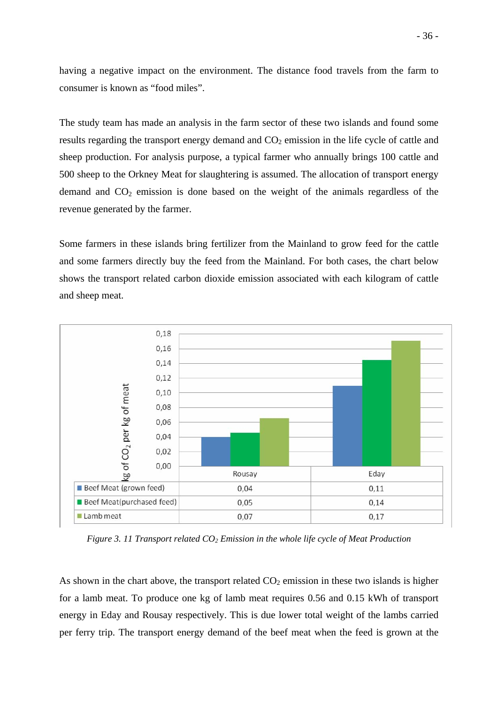having a negative impact on the environment. The distance food travels from the farm to consumer is known as "food miles".

The study team has made an analysis in the farm sector of these two islands and found some results regarding the transport energy demand and  $CO<sub>2</sub>$  emission in the life cycle of cattle and sheep production. For analysis purpose, a typical farmer who annually brings 100 cattle and 500 sheep to the Orkney Meat for slaughtering is assumed. The allocation of transport energy demand and  $CO<sub>2</sub>$  emission is done based on the weight of the animals regardless of the revenue generated by the farmer.

Some farmers in these islands bring fertilizer from the Mainland to grow feed for the cattle and some farmers directly buy the feed from the Mainland. For both cases, the chart below shows the transport related carbon dioxide emission associated with each kilogram of cattle and sheep meat.



*Figure 3. 11 Transport related CO2 Emission in the whole life cycle of Meat Production* 

As shown in the chart above, the transport related  $CO<sub>2</sub>$  emission in these two islands is higher for a lamb meat. To produce one kg of lamb meat requires 0.56 and 0.15 kWh of transport energy in Eday and Rousay respectively. This is due lower total weight of the lambs carried per ferry trip. The transport energy demand of the beef meat when the feed is grown at the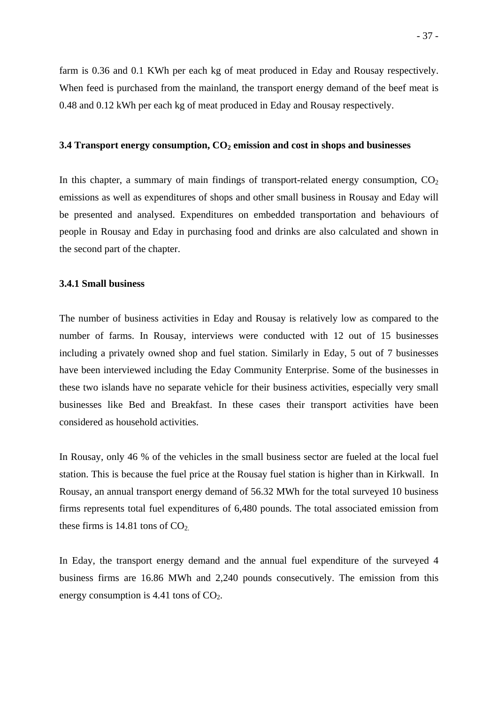farm is 0.36 and 0.1 KWh per each kg of meat produced in Eday and Rousay respectively. When feed is purchased from the mainland, the transport energy demand of the beef meat is 0.48 and 0.12 kWh per each kg of meat produced in Eday and Rousay respectively.

#### **3.4 Transport energy consumption, CO<sub>2</sub> emission and cost in shops and businesses**

In this chapter, a summary of main findings of transport-related energy consumption,  $CO<sub>2</sub>$ emissions as well as expenditures of shops and other small business in Rousay and Eday will be presented and analysed. Expenditures on embedded transportation and behaviours of people in Rousay and Eday in purchasing food and drinks are also calculated and shown in the second part of the chapter.

## **3.4.1 Small business**

The number of business activities in Eday and Rousay is relatively low as compared to the number of farms. In Rousay, interviews were conducted with 12 out of 15 businesses including a privately owned shop and fuel station. Similarly in Eday, 5 out of 7 businesses have been interviewed including the Eday Community Enterprise. Some of the businesses in these two islands have no separate vehicle for their business activities, especially very small businesses like Bed and Breakfast. In these cases their transport activities have been considered as household activities.

In Rousay, only 46 % of the vehicles in the small business sector are fueled at the local fuel station. This is because the fuel price at the Rousay fuel station is higher than in Kirkwall. In Rousay, an annual transport energy demand of 56.32 MWh for the total surveyed 10 business firms represents total fuel expenditures of 6,480 pounds. The total associated emission from these firms is 14.81 tons of  $CO<sub>2</sub>$ .

In Eday, the transport energy demand and the annual fuel expenditure of the surveyed 4 business firms are 16.86 MWh and 2,240 pounds consecutively. The emission from this energy consumption is  $4.41$  tons of  $CO<sub>2</sub>$ .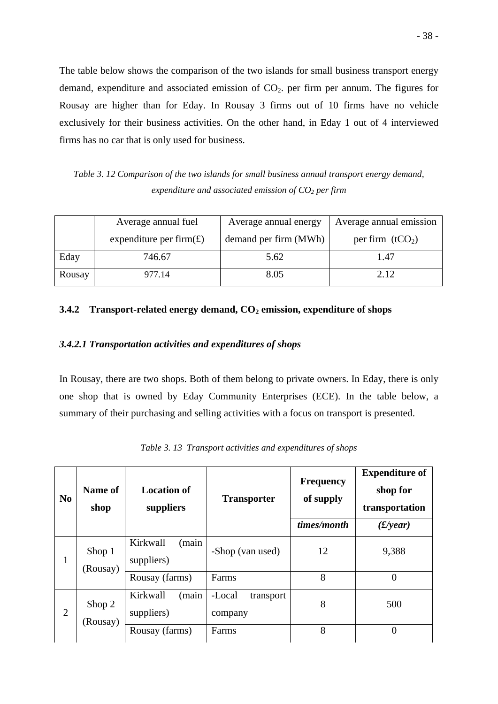The table below shows the comparison of the two islands for small business transport energy demand, expenditure and associated emission of  $CO<sub>2</sub>$ , per firm per annum. The figures for Rousay are higher than for Eday. In Rousay 3 firms out of 10 firms have no vehicle exclusively for their business activities. On the other hand, in Eday 1 out of 4 interviewed firms has no car that is only used for business.

*Table 3. 12 Comparison of the two islands for small business annual transport energy demand, expenditure and associated emission of CO2 per firm* 

|        | Average annual fuel        | Average annual energy | Average annual emission |
|--------|----------------------------|-----------------------|-------------------------|
|        | expenditure per firm $(E)$ | demand per firm (MWh) | per firm $(tCO2)$       |
| Eday   | 746.67                     | 5.62                  | 1.47                    |
| Rousay | 977.14                     | 8.05                  | 2.12.                   |

## **3.4.2 Transport-related energy demand, CO<sub>2</sub> emission, expenditure of shops**

## *3.4.2.1 Transportation activities and expenditures of shops*

In Rousay, there are two shops. Both of them belong to private owners. In Eday, there is only one shop that is owned by Eday Community Enterprises (ECE). In the table below, a summary of their purchasing and selling activities with a focus on transport is presented.

| N <sub>0</sub> | Name of<br>shop    | <b>Location of</b><br>suppliers | <b>Transporter</b>             | <b>Frequency</b><br>of supply<br>times/month | <b>Expenditure of</b><br>shop for<br>transportation<br>$(E\)/{year})$ |
|----------------|--------------------|---------------------------------|--------------------------------|----------------------------------------------|-----------------------------------------------------------------------|
| 1              | Shop 1<br>(Rousay) | (main<br>Kirkwall<br>suppliers) | -Shop (van used)               | 12                                           | 9,388                                                                 |
|                |                    | Rousay (farms)                  | Farms                          | 8                                            | $\theta$                                                              |
| $\overline{2}$ | Shop 2<br>(Rousay) | Kirkwall<br>(main<br>suppliers) | -Local<br>transport<br>company | 8                                            | 500                                                                   |
|                |                    | Rousay (farms)                  | Farms                          | 8                                            | $\theta$                                                              |

*Table 3. 13 Transport activities and expenditures of shops*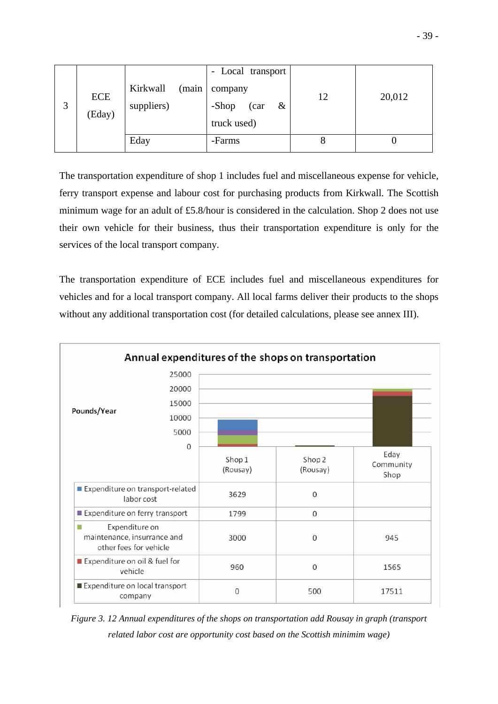|   |            |                   | - Local transport  |    |        |
|---|------------|-------------------|--------------------|----|--------|
|   |            | Kirkwall<br>(main | company            |    |        |
| 3 | <b>ECE</b> | suppliers)        | -Shop<br>&<br>(car | 12 | 20,012 |
|   | (Eday)     |                   | truck used)        |    |        |
|   |            | Eday              | -Farms             |    |        |

The transportation expenditure of shop 1 includes fuel and miscellaneous expense for vehicle, ferry transport expense and labour cost for purchasing products from Kirkwall. The Scottish minimum wage for an adult of £5.8/hour is considered in the calculation. Shop 2 does not use their own vehicle for their business, thus their transportation expenditure is only for the services of the local transport company.

The transportation expenditure of ECE includes fuel and miscellaneous expenditures for vehicles and for a local transport company. All local farms deliver their products to the shops without any additional transportation cost (for detailed calculations, please see annex III).



*Figure 3. 12 Annual expenditures of the shops on transportation add Rousay in graph (transport related labor cost are opportunity cost based on the Scottish minimim wage)*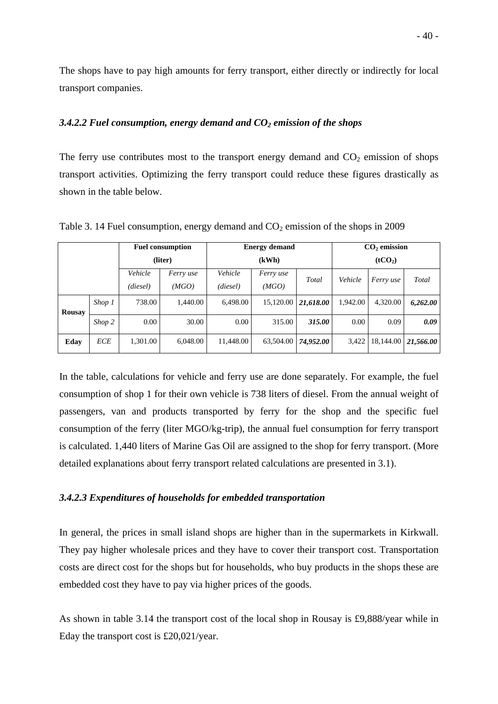The shops have to pay high amounts for ferry transport, either directly or indirectly for local transport companies.

## *3.4.2.2 Fuel consumption, energy demand and CO2 emission of the shops*

The ferry use contributes most to the transport energy demand and  $CO<sub>2</sub>$  emission of shops transport activities. Optimizing the ferry transport could reduce these figures drastically as shown in the table below.

|               |            | <b>Fuel consumption</b> |           | <b>Energy demand</b>         |           |           | $CO2$ emission |           |           |
|---------------|------------|-------------------------|-----------|------------------------------|-----------|-----------|----------------|-----------|-----------|
|               |            |                         | (liter)   | (kWh)<br>(tCO <sub>2</sub> ) |           |           |                |           |           |
|               |            | Vehicle                 | Ferry use | Vehicle                      | Ferry use | Total     | Vehicle        | Ferry use | Total     |
|               |            | (diesel)                | (MGO)     | (diesel)                     | (MGO)     |           |                |           |           |
| <b>Rousay</b> | Shop 1     | 738.00                  | 1.440.00  | 6,498.00                     | 15,120.00 | 21,618.00 | 1,942.00       | 4,320.00  | 6,262.00  |
|               | Shop 2     | 0.00                    | 30.00     | $0.00\,$                     | 315.00    | 315.00    | 0.00           | 0.09      | 0.09      |
| Eday          | <b>ECE</b> | 1,301.00                | 6.048.00  | 11,448.00                    | 63,504.00 | 74,952.00 | 3,422          | 18,144.00 | 21,566.00 |

Table 3. 14 Fuel consumption, energy demand and  $CO<sub>2</sub>$  emission of the shops in 2009

In the table, calculations for vehicle and ferry use are done separately. For example, the fuel consumption of shop 1 for their own vehicle is 738 liters of diesel. From the annual weight of passengers, van and products transported by ferry for the shop and the specific fuel consumption of the ferry (liter MGO/kg-trip), the annual fuel consumption for ferry transport is calculated. 1,440 liters of Marine Gas Oil are assigned to the shop for ferry transport. (More detailed explanations about ferry transport related calculations are presented in 3.1).

## *3.4.2.3 Expenditures of households for embedded transportation*

In general, the prices in small island shops are higher than in the supermarkets in Kirkwall. They pay higher wholesale prices and they have to cover their transport cost. Transportation costs are direct cost for the shops but for households, who buy products in the shops these are embedded cost they have to pay via higher prices of the goods.

As shown in table 3.14 the transport cost of the local shop in Rousay is £9,888/year while in Eday the transport cost is £20,021/year.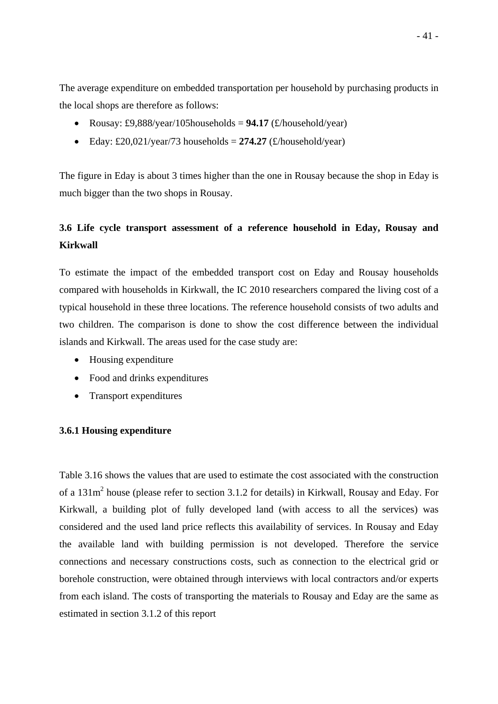The average expenditure on embedded transportation per household by purchasing products in the local shops are therefore as follows:

- Rousay: £9,888/year/105households =  $94.17$  ( $\pounds$ /household/year)
- Eday: £20,021/year/73 households =  $274.27$  ( $\pounds$ /household/year)

The figure in Eday is about 3 times higher than the one in Rousay because the shop in Eday is much bigger than the two shops in Rousay.

# **3.6 Life cycle transport assessment of a reference household in Eday, Rousay and Kirkwall**

To estimate the impact of the embedded transport cost on Eday and Rousay households compared with households in Kirkwall, the IC 2010 researchers compared the living cost of a typical household in these three locations. The reference household consists of two adults and two children. The comparison is done to show the cost difference between the individual islands and Kirkwall. The areas used for the case study are:

- Housing expenditure
- Food and drinks expenditures
- Transport expenditures

## **3.6.1 Housing expenditure**

Table 3.16 shows the values that are used to estimate the cost associated with the construction of a 131m<sup>2</sup> house (please refer to section 3.1.2 for details) in Kirkwall, Rousay and Eday. For Kirkwall, a building plot of fully developed land (with access to all the services) was considered and the used land price reflects this availability of services. In Rousay and Eday the available land with building permission is not developed. Therefore the service connections and necessary constructions costs, such as connection to the electrical grid or borehole construction, were obtained through interviews with local contractors and/or experts from each island. The costs of transporting the materials to Rousay and Eday are the same as estimated in section 3.1.2 of this report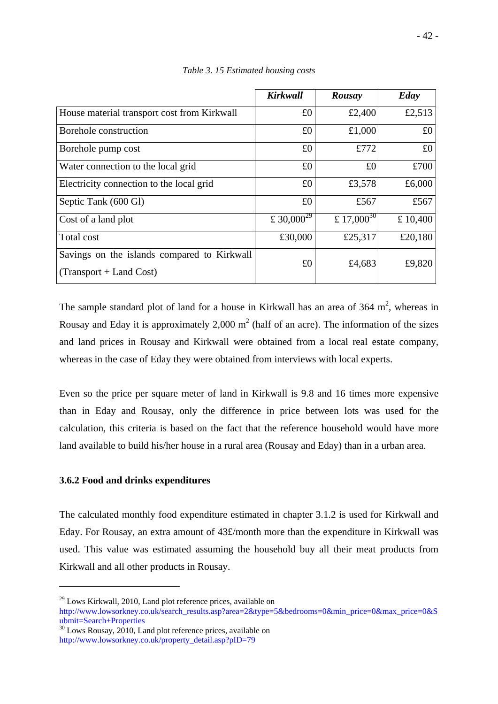|                                                                          | <b>Kirkwall</b>        | Rousay          | Eday    |
|--------------------------------------------------------------------------|------------------------|-----------------|---------|
| House material transport cost from Kirkwall                              | £0                     | £2,400          | £2,513  |
| Borehole construction                                                    | £0                     | £1,000          | £0      |
| Borehole pump cost                                                       | £0                     | £772            | £0      |
| Water connection to the local grid                                       | £0                     | £0              | £700    |
| Electricity connection to the local grid                                 | £0                     | £3,578          | £6,000  |
| Septic Tank (600 Gl)                                                     | £0                     | £567            | £567    |
| Cost of a land plot                                                      | £ 30,000 <sup>29</sup> | £ $17,000^{30}$ | £10,400 |
| Total cost                                                               | £30,000                | £25,317         | £20,180 |
| Savings on the islands compared to Kirkwall<br>$(Transport + Land Cost)$ | £0                     | £4,683          | £9,820  |

*Table 3. 15 Estimated housing costs* 

The sample standard plot of land for a house in Kirkwall has an area of  $364 \text{ m}^2$ , whereas in Rousay and Eday it is approximately 2,000  $m^2$  (half of an acre). The information of the sizes and land prices in Rousay and Kirkwall were obtained from a local real estate company, whereas in the case of Eday they were obtained from interviews with local experts.

Even so the price per square meter of land in Kirkwall is 9.8 and 16 times more expensive than in Eday and Rousay, only the difference in price between lots was used for the calculation, this criteria is based on the fact that the reference household would have more land available to build his/her house in a rural area (Rousay and Eday) than in a urban area.

# **3.6.2 Food and drinks expenditures**

1

The calculated monthly food expenditure estimated in chapter 3.1.2 is used for Kirkwall and Eday. For Rousay, an extra amount of 43£/month more than the expenditure in Kirkwall was used. This value was estimated assuming the household buy all their meat products from Kirkwall and all other products in Rousay.

 $29$  Lows Kirkwall, 2010, Land plot reference prices, available on http://www.lowsorkney.co.uk/search\_results.asp?area=2&type=5&bedrooms=0&min\_price=0&max\_price=0&S

ubmit=Search+Properties<br><sup>30</sup> Lows Rousay, 2010, Land plot reference prices, available on http://www.lowsorkney.co.uk/property\_detail.asp?pID=79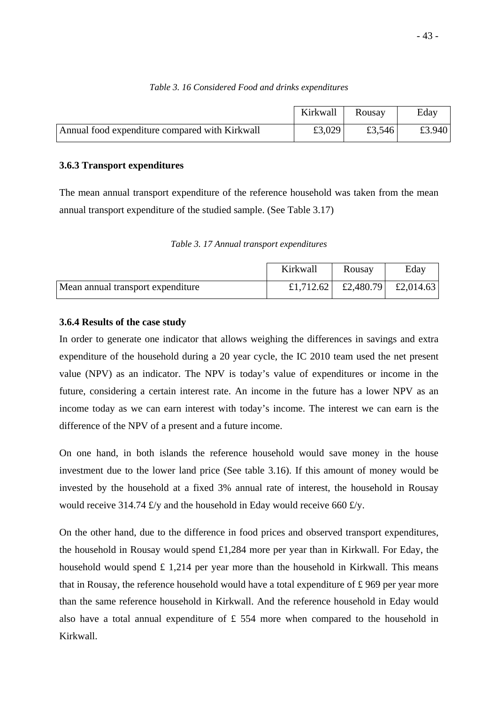|                                                | Kirkwall | Rousay | Eday   |
|------------------------------------------------|----------|--------|--------|
| Annual food expenditure compared with Kirkwall | £3,029   | £3,546 | £3.940 |

## *Table 3. 16 Considered Food and drinks expenditures*

## **3.6.3 Transport expenditures**

The mean annual transport expenditure of the reference household was taken from the mean annual transport expenditure of the studied sample. (See Table 3.17)

*Table 3. 17 Annual transport expenditures* 

|                                   | Kirkwall | Rousay                                        | Eday |
|-----------------------------------|----------|-----------------------------------------------|------|
| Mean annual transport expenditure |          | £1,712.62 $\vert$ £2,480.79 $\vert$ £2,014.63 |      |

## **3.6.4 Results of the case study**

In order to generate one indicator that allows weighing the differences in savings and extra expenditure of the household during a 20 year cycle, the IC 2010 team used the net present value (NPV) as an indicator. The NPV is today's value of expenditures or income in the future, considering a certain interest rate. An income in the future has a lower NPV as an income today as we can earn interest with today's income. The interest we can earn is the difference of the NPV of a present and a future income.

On one hand, in both islands the reference household would save money in the house investment due to the lower land price (See table 3.16). If this amount of money would be invested by the household at a fixed 3% annual rate of interest, the household in Rousay would receive 314.74  $\pounds$ /y and the household in Eday would receive 660  $\pounds$ /y.

On the other hand, due to the difference in food prices and observed transport expenditures, the household in Rousay would spend £1,284 more per year than in Kirkwall. For Eday, the household would spend  $\pounds$  1,214 per year more than the household in Kirkwall. This means that in Rousay, the reference household would have a total expenditure of  $\pounds$  969 per year more than the same reference household in Kirkwall. And the reference household in Eday would also have a total annual expenditure of  $\text{\pounds}$  554 more when compared to the household in Kirkwall.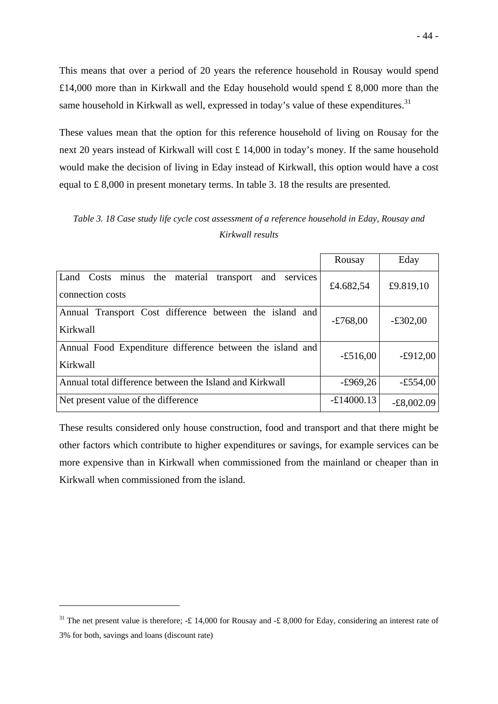This means that over a period of 20 years the reference household in Rousay would spend £14,000 more than in Kirkwall and the Eday household would spend £ 8,000 more than the same household in Kirkwall as well, expressed in today's value of these expenditures.<sup>31</sup>

These values mean that the option for this reference household of living on Rousay for the next 20 years instead of Kirkwall will cost £ 14,000 in today's money. If the same household would make the decision of living in Eday instead of Kirkwall, this option would have a cost equal to £ 8,000 in present monetary terms. In table 3. 18 the results are presented.

*Table 3. 18 Case study life cycle cost assessment of a reference household in Eday, Rousay and Kirkwall results* 

|                                                                                | Rousay       | Eday         |
|--------------------------------------------------------------------------------|--------------|--------------|
| Land Costs minus the material<br>transport and<br>services<br>connection costs | £4.682,54    | £9.819,10    |
| Annual Transport Cost difference between the island and<br>Kirkwall            | $-£768,00$   | $-£302,00$   |
| Annual Food Expenditure difference between the island and<br>Kirkwall          | $-£516,00$   | $-£912,00$   |
| Annual total difference between the Island and Kirkwall                        | $-£969,26$   | $-£554,00$   |
| Net present value of the difference                                            | $-£14000.13$ | $-E8,002.09$ |

These results considered only house construction, food and transport and that there might be other factors which contribute to higher expenditures or savings, for example services can be more expensive than in Kirkwall when commissioned from the mainland or cheaper than in Kirkwall when commissioned from the island.

1

<sup>&</sup>lt;sup>31</sup> The net present value is therefore; -£ 14,000 for Rousay and -£ 8,000 for Eday, considering an interest rate of 3% for both, savings and loans (discount rate)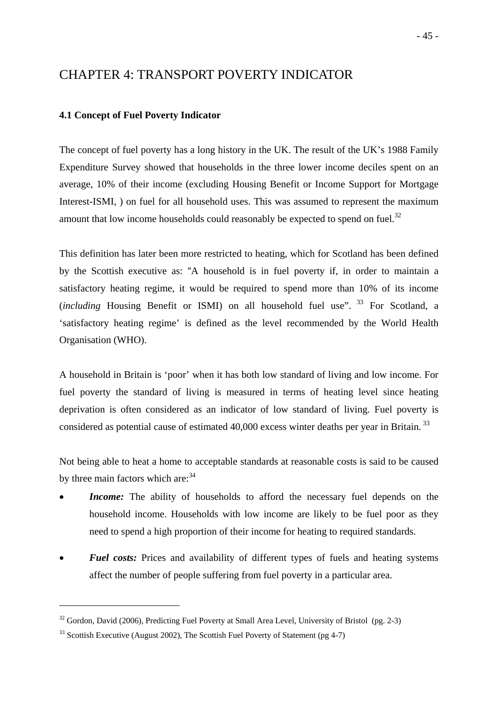# CHAPTER 4: TRANSPORT POVERTY INDICATOR

## **4.1 Concept of Fuel Poverty Indicator**

The concept of fuel poverty has a long history in the UK. The result of the UK's 1988 Family Expenditure Survey showed that households in the three lower income deciles spent on an average, 10% of their income (excluding Housing Benefit or Income Support for Mortgage Interest-ISMI, ) on fuel for all household uses. This was assumed to represent the maximum amount that low income households could reasonably be expected to spend on fuel. $32$ 

This definition has later been more restricted to heating, which for Scotland has been defined by the Scottish executive as: "A household is in fuel poverty if, in order to maintain a satisfactory heating regime, it would be required to spend more than 10% of its income (*including* Housing Benefit or ISMI) on all household fuel use". <sup>33</sup> For Scotland, a 'satisfactory heating regime' is defined as the level recommended by the World Health Organisation (WHO).

A household in Britain is 'poor' when it has both low standard of living and low income. For fuel poverty the standard of living is measured in terms of heating level since heating deprivation is often considered as an indicator of low standard of living. Fuel poverty is considered as potential cause of estimated 40,000 excess winter deaths per year in Britain.<sup>33</sup>

Not being able to heat a home to acceptable standards at reasonable costs is said to be caused by three main factors which are:  $34$ 

- **Income:** The ability of households to afford the necessary fuel depends on the household income. Households with low income are likely to be fuel poor as they need to spend a high proportion of their income for heating to required standards.
- **Fuel costs:** Prices and availability of different types of fuels and heating systems affect the number of people suffering from fuel poverty in a particular area.

1

 $32$  Gordon, David (2006), Predicting Fuel Poverty at Small Area Level, University of Bristol (pg. 2-3)

<sup>&</sup>lt;sup>33</sup> Scottish Executive (August 2002), The Scottish Fuel Poverty of Statement (pg 4-7)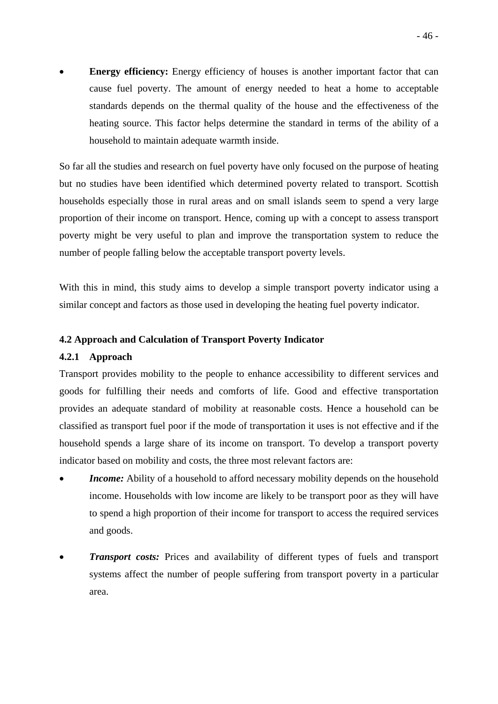**Energy efficiency:** Energy efficiency of houses is another important factor that can cause fuel poverty. The amount of energy needed to heat a home to acceptable standards depends on the thermal quality of the house and the effectiveness of the heating source. This factor helps determine the standard in terms of the ability of a household to maintain adequate warmth inside.

So far all the studies and research on fuel poverty have only focused on the purpose of heating but no studies have been identified which determined poverty related to transport. Scottish households especially those in rural areas and on small islands seem to spend a very large proportion of their income on transport. Hence, coming up with a concept to assess transport poverty might be very useful to plan and improve the transportation system to reduce the number of people falling below the acceptable transport poverty levels.

With this in mind, this study aims to develop a simple transport poverty indicator using a similar concept and factors as those used in developing the heating fuel poverty indicator.

## **4.2 Approach and Calculation of Transport Poverty Indicator**

#### **4.2.1 Approach**

Transport provides mobility to the people to enhance accessibility to different services and goods for fulfilling their needs and comforts of life. Good and effective transportation provides an adequate standard of mobility at reasonable costs. Hence a household can be classified as transport fuel poor if the mode of transportation it uses is not effective and if the household spends a large share of its income on transport. To develop a transport poverty indicator based on mobility and costs, the three most relevant factors are:

- **Income:** Ability of a household to afford necessary mobility depends on the household income. Households with low income are likely to be transport poor as they will have to spend a high proportion of their income for transport to access the required services and goods.
- *Transport costs:* Prices and availability of different types of fuels and transport systems affect the number of people suffering from transport poverty in a particular area.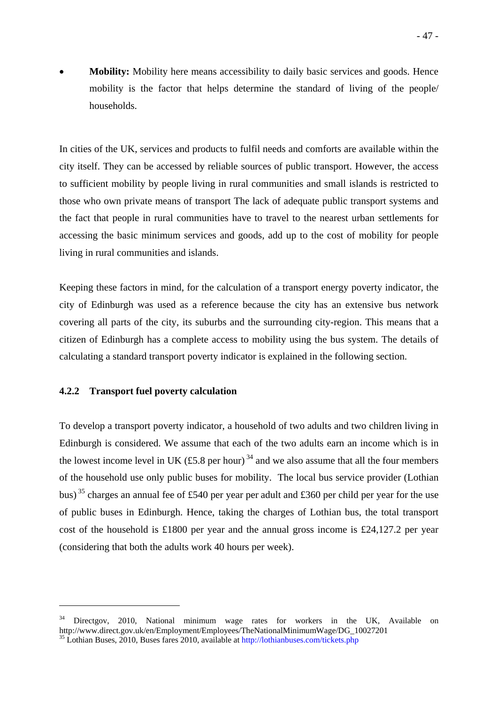**Mobility:** Mobility here means accessibility to daily basic services and goods. Hence mobility is the factor that helps determine the standard of living of the people/ households.

In cities of the UK, services and products to fulfil needs and comforts are available within the city itself. They can be accessed by reliable sources of public transport. However, the access to sufficient mobility by people living in rural communities and small islands is restricted to those who own private means of transport The lack of adequate public transport systems and the fact that people in rural communities have to travel to the nearest urban settlements for accessing the basic minimum services and goods, add up to the cost of mobility for people living in rural communities and islands.

Keeping these factors in mind, for the calculation of a transport energy poverty indicator, the city of Edinburgh was used as a reference because the city has an extensive bus network covering all parts of the city, its suburbs and the surrounding city-region. This means that a citizen of Edinburgh has a complete access to mobility using the bus system. The details of calculating a standard transport poverty indicator is explained in the following section.

## **4.2.2 Transport fuel poverty calculation**

1

To develop a transport poverty indicator, a household of two adults and two children living in Edinburgh is considered. We assume that each of the two adults earn an income which is in the lowest income level in UK (£5.8 per hour)<sup>34</sup> and we also assume that all the four members of the household use only public buses for mobility. The local bus service provider (Lothian bus)<sup>35</sup> charges an annual fee of £540 per year per adult and £360 per child per year for the use of public buses in Edinburgh. Hence, taking the charges of Lothian bus, the total transport cost of the household is £1800 per year and the annual gross income is £24,127.2 per year (considering that both the adults work 40 hours per week).

Directgov, 2010, National minimum wage rates for workers in the UK, Available on http://www.direct.gov.uk/en/Employment/Employees/TheNationalMinimumWage/DG\_10027201  $^{35}$  Lothian Buses, 2010, Buses fares 2010, available at http://lothianbuses.com/tickets.php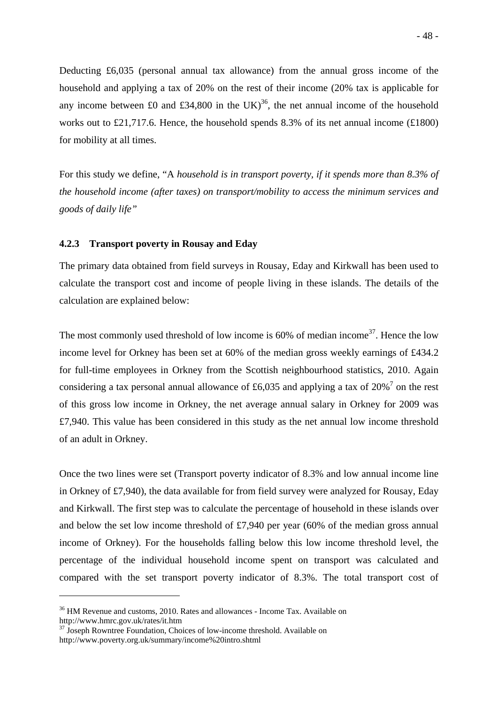Deducting £6,035 (personal annual tax allowance) from the annual gross income of the household and applying a tax of 20% on the rest of their income (20% tax is applicable for any income between £0 and £34,800 in the UK)<sup>36</sup>, the net annual income of the household works out to £21,717.6. Hence, the household spends 8.3% of its net annual income (£1800) for mobility at all times.

For this study we define, "A *household is in transport poverty, if it spends more than 8.3% of the household income (after taxes) on transport/mobility to access the minimum services and goods of daily life"* 

## **4.2.3 Transport poverty in Rousay and Eday**

The primary data obtained from field surveys in Rousay, Eday and Kirkwall has been used to calculate the transport cost and income of people living in these islands. The details of the calculation are explained below:

The most commonly used threshold of low income is  $60\%$  of median income<sup>37</sup>. Hence the low income level for Orkney has been set at 60% of the median gross weekly earnings of £434.2 for full-time employees in Orkney from the Scottish neighbourhood statistics, 2010. Again considering a tax personal annual allowance of £6,035 and applying a tax of 20%<sup>7</sup> on the rest of this gross low income in Orkney, the net average annual salary in Orkney for 2009 was £7,940. This value has been considered in this study as the net annual low income threshold of an adult in Orkney.

Once the two lines were set (Transport poverty indicator of 8.3% and low annual income line in Orkney of £7,940), the data available for from field survey were analyzed for Rousay, Eday and Kirkwall. The first step was to calculate the percentage of household in these islands over and below the set low income threshold of £7,940 per year (60% of the median gross annual income of Orkney). For the households falling below this low income threshold level, the percentage of the individual household income spent on transport was calculated and compared with the set transport poverty indicator of 8.3%. The total transport cost of

1

<sup>&</sup>lt;sup>36</sup> HM Revenue and customs, 2010. Rates and allowances - Income Tax. Available on http://www.hmrc.gov.uk/rates/it.htm 37 Joseph Rowntree Foundation, Choices of low-income threshold. Available on

http://www.poverty.org.uk/summary/income%20intro.shtml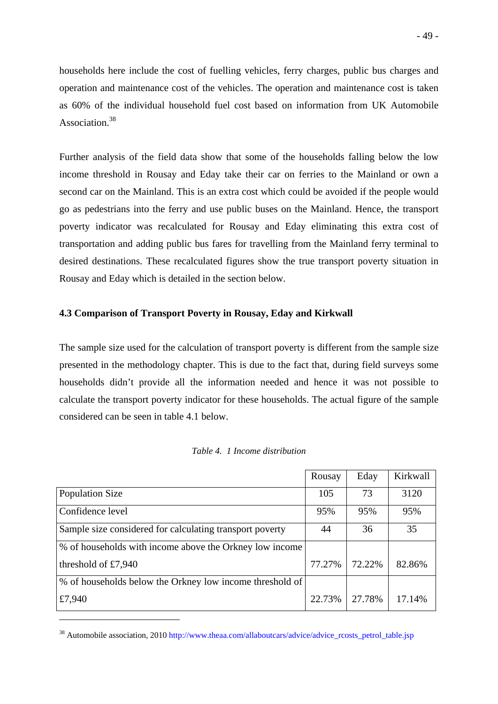households here include the cost of fuelling vehicles, ferry charges, public bus charges and operation and maintenance cost of the vehicles. The operation and maintenance cost is taken as 60% of the individual household fuel cost based on information from UK Automobile Association<sup>38</sup>

Further analysis of the field data show that some of the households falling below the low income threshold in Rousay and Eday take their car on ferries to the Mainland or own a second car on the Mainland. This is an extra cost which could be avoided if the people would go as pedestrians into the ferry and use public buses on the Mainland. Hence, the transport poverty indicator was recalculated for Rousay and Eday eliminating this extra cost of transportation and adding public bus fares for travelling from the Mainland ferry terminal to desired destinations. These recalculated figures show the true transport poverty situation in Rousay and Eday which is detailed in the section below.

## **4.3 Comparison of Transport Poverty in Rousay, Eday and Kirkwall**

The sample size used for the calculation of transport poverty is different from the sample size presented in the methodology chapter. This is due to the fact that, during field surveys some households didn't provide all the information needed and hence it was not possible to calculate the transport poverty indicator for these households. The actual figure of the sample considered can be seen in table 4.1 below.

|                                                          | Rousay | Eday   | Kirkwall |
|----------------------------------------------------------|--------|--------|----------|
| <b>Population Size</b>                                   | 105    | 73     | 3120     |
| Confidence level                                         | 95%    | 95%    | 95%      |
| Sample size considered for calculating transport poverty | 44     | 36     | 35       |
| % of households with income above the Orkney low income  |        |        |          |
| threshold of $£7,940$                                    | 77.27% | 72.22% | 82.86%   |
| % of households below the Orkney low income threshold of |        |        |          |
| £7,940                                                   | 22.73% | 27.78% | 17.14%   |

<sup>&</sup>lt;sup>38</sup> Automobile association, 2010 http://www.theaa.com/allaboutcars/advice/advice\_rcosts\_petrol\_table.jsp

1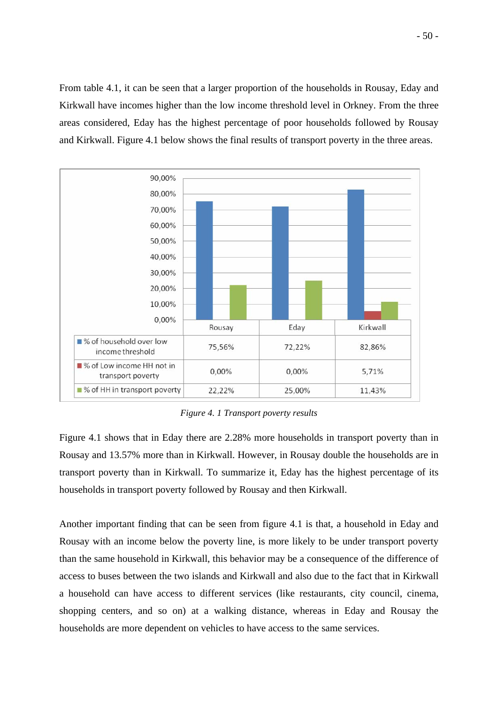From table 4.1, it can be seen that a larger proportion of the households in Rousay, Eday and Kirkwall have incomes higher than the low income threshold level in Orkney. From the three areas considered, Eday has the highest percentage of poor households followed by Rousay and Kirkwall. Figure 4.1 below shows the final results of transport poverty in the three areas.



*Figure 4. 1 Transport poverty results* 

Figure 4.1 shows that in Eday there are 2.28% more households in transport poverty than in Rousay and 13.57% more than in Kirkwall. However, in Rousay double the households are in transport poverty than in Kirkwall. To summarize it, Eday has the highest percentage of its households in transport poverty followed by Rousay and then Kirkwall.

Another important finding that can be seen from figure 4.1 is that, a household in Eday and Rousay with an income below the poverty line, is more likely to be under transport poverty than the same household in Kirkwall, this behavior may be a consequence of the difference of access to buses between the two islands and Kirkwall and also due to the fact that in Kirkwall a household can have access to different services (like restaurants, city council, cinema, shopping centers, and so on) at a walking distance, whereas in Eday and Rousay the households are more dependent on vehicles to have access to the same services.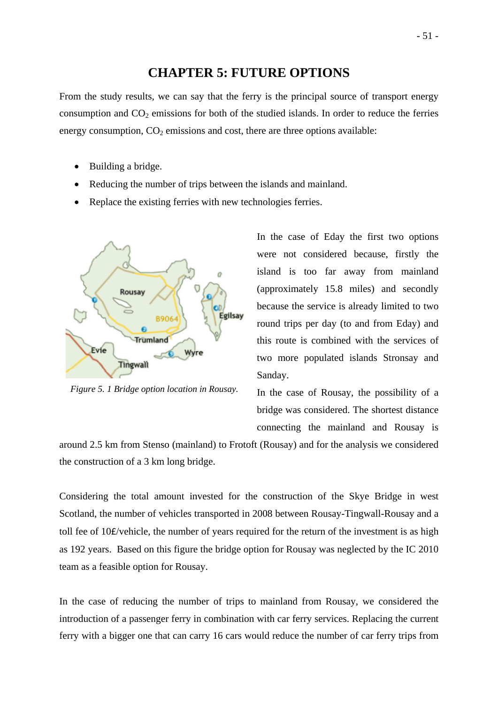# **CHAPTER 5: FUTURE OPTIONS**

From the study results, we can say that the ferry is the principal source of transport energy consumption and  $CO<sub>2</sub>$  emissions for both of the studied islands. In order to reduce the ferries energy consumption,  $CO<sub>2</sub>$  emissions and cost, there are three options available:

- Building a bridge.
- Reducing the number of trips between the islands and mainland.
- Replace the existing ferries with new technologies ferries.



*Figure 5. 1 Bridge option location in Rousay.* 

In the case of Eday the first two options were not considered because, firstly the island is too far away from mainland (approximately 15.8 miles) and secondly because the service is already limited to two round trips per day (to and from Eday) and this route is combined with the services of two more populated islands Stronsay and Sanday.

In the case of Rousay, the possibility of a bridge was considered. The shortest distance connecting the mainland and Rousay is

around 2.5 km from Stenso (mainland) to Frotoft (Rousay) and for the analysis we considered the construction of a 3 km long bridge.

Considering the total amount invested for the construction of the Skye Bridge in west Scotland, the number of vehicles transported in 2008 between Rousay-Tingwall-Rousay and a toll fee of 10£/vehicle, the number of years required for the return of the investment is as high as 192 years. Based on this figure the bridge option for Rousay was neglected by the IC 2010 team as a feasible option for Rousay.

In the case of reducing the number of trips to mainland from Rousay, we considered the introduction of a passenger ferry in combination with car ferry services. Replacing the current ferry with a bigger one that can carry 16 cars would reduce the number of car ferry trips from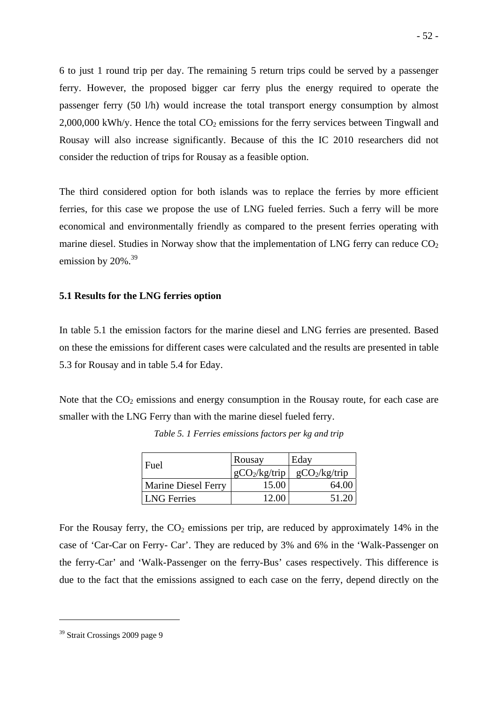6 to just 1 round trip per day. The remaining 5 return trips could be served by a passenger ferry. However, the proposed bigger car ferry plus the energy required to operate the passenger ferry (50 l/h) would increase the total transport energy consumption by almost  $2,000,000$  kWh/y. Hence the total  $CO<sub>2</sub>$  emissions for the ferry services between Tingwall and Rousay will also increase significantly. Because of this the IC 2010 researchers did not consider the reduction of trips for Rousay as a feasible option.

The third considered option for both islands was to replace the ferries by more efficient ferries, for this case we propose the use of LNG fueled ferries. Such a ferry will be more economical and environmentally friendly as compared to the present ferries operating with marine diesel. Studies in Norway show that the implementation of LNG ferry can reduce  $CO<sub>2</sub>$ emission by  $20\%$ .<sup>39</sup>

#### **5.1 Results for the LNG ferries option**

In table 5.1 the emission factors for the marine diesel and LNG ferries are presented. Based on these the emissions for different cases were calculated and the results are presented in table 5.3 for Rousay and in table 5.4 for Eday.

Note that the  $CO<sub>2</sub>$  emissions and energy consumption in the Rousay route, for each case are smaller with the LNG Ferry than with the marine diesel fueled ferry.

| Fuel                       | Rousay          | Eday            |
|----------------------------|-----------------|-----------------|
|                            | $gCO_2/kg/trip$ | $gCO_2/kg/trip$ |
| <b>Marine Diesel Ferry</b> | 15.00           | 64.00           |
| <b>LNG</b> Ferries         | 12.00           | 51.20           |

*Table 5. 1 Ferries emissions factors per kg and trip* 

For the Rousay ferry, the  $CO<sub>2</sub>$  emissions per trip, are reduced by approximately 14% in the case of 'Car-Car on Ferry- Car'. They are reduced by 3% and 6% in the 'Walk-Passenger on the ferry-Car' and 'Walk-Passenger on the ferry-Bus' cases respectively. This difference is due to the fact that the emissions assigned to each case on the ferry, depend directly on the

1

<sup>39</sup> Strait Crossings 2009 page 9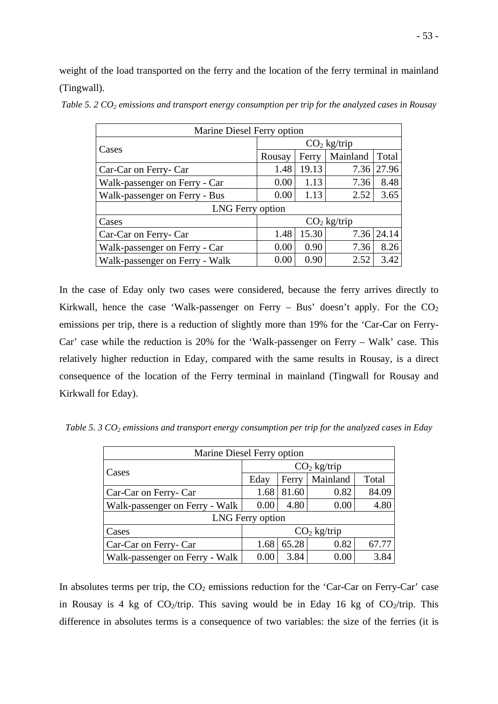weight of the load transported on the ferry and the location of the ferry terminal in mainland (Tingwall).

*Table 5. 2 CO<sub>2</sub> emissions and transport energy consumption per trip for the analyzed cases in Rousay* 

| Marine Diesel Ferry option |  |
|----------------------------|--|
| ____                       |  |

| Cases                          | $CO2$ kg/trip |       |          |            |  |
|--------------------------------|---------------|-------|----------|------------|--|
|                                | Rousay        | Ferry | Mainland | Total      |  |
| Car-Car on Ferry- Car          | 1.48          | 19.13 | 7.36     | 27.96      |  |
| Walk-passenger on Ferry - Car  | 0.00          | 1.13  | 7.36     | 8.48       |  |
| Walk-passenger on Ferry - Bus  | 0.00          | 1.13  | 2.52     | 3.65       |  |
| LNG Ferry option               |               |       |          |            |  |
| Cases                          | $CO2$ kg/trip |       |          |            |  |
| Car-Car on Ferry- Car          | 1.48          | 15.30 |          | 7.36 24.14 |  |
| Walk-passenger on Ferry - Car  | 0.00          | 0.90  | 7.36     | 8.26       |  |
| Walk-passenger on Ferry - Walk | 0.00          | 0.90  | 2.52     | 3.42       |  |

In the case of Eday only two cases were considered, because the ferry arrives directly to Kirkwall, hence the case 'Walk-passenger on Ferry – Bus' doesn't apply. For the  $CO<sub>2</sub>$ emissions per trip, there is a reduction of slightly more than 19% for the 'Car-Car on Ferry-Car' case while the reduction is 20% for the 'Walk-passenger on Ferry – Walk' case. This relatively higher reduction in Eday, compared with the same results in Rousay, is a direct consequence of the location of the Ferry terminal in mainland (Tingwall for Rousay and Kirkwall for Eday).

*Table 5. 3 CO<sub>2</sub> emissions and transport energy consumption per trip for the analyzed cases in Eday* 

| Marine Diesel Ferry option     |                                |       |          |       |  |  |  |
|--------------------------------|--------------------------------|-------|----------|-------|--|--|--|
|                                | $CO2$ kg/trip                  |       |          |       |  |  |  |
| Cases                          | Eday                           | Ferry | Mainland | Total |  |  |  |
| Car-Car on Ferry- Car          | 1.68                           | 81.60 | 0.82     | 84.09 |  |  |  |
| Walk-passenger on Ferry - Walk | 4.80<br>4.80<br>0.00<br>0.00   |       |          |       |  |  |  |
|                                | LNG Ferry option               |       |          |       |  |  |  |
| Cases                          | $CO2$ kg/trip                  |       |          |       |  |  |  |
| Car-Car on Ferry- Car          | 65.28<br>0.82<br>67.77<br>1.68 |       |          |       |  |  |  |
| Walk-passenger on Ferry - Walk | 0.00                           | 3.84  | 0.00     | 3.84  |  |  |  |

In absolutes terms per trip, the  $CO<sub>2</sub>$  emissions reduction for the 'Car-Car on Ferry-Car' case in Rousay is 4 kg of  $CO_2$ /trip. This saving would be in Eday 16 kg of  $CO_2$ /trip. This difference in absolutes terms is a consequence of two variables: the size of the ferries (it is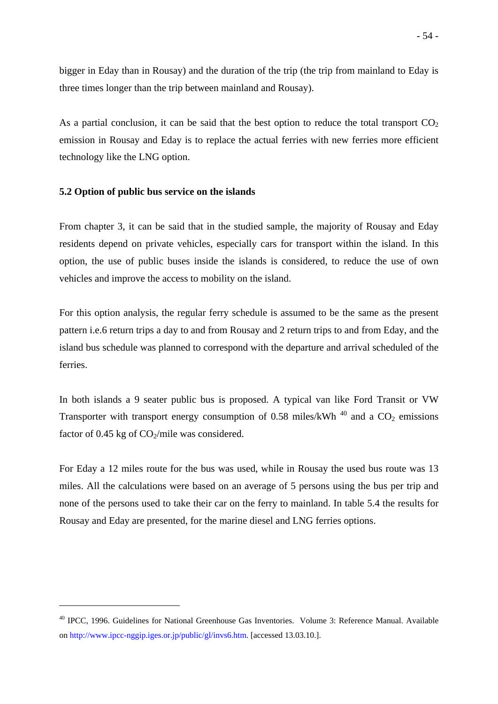bigger in Eday than in Rousay) and the duration of the trip (the trip from mainland to Eday is three times longer than the trip between mainland and Rousay).

As a partial conclusion, it can be said that the best option to reduce the total transport  $CO<sub>2</sub>$ emission in Rousay and Eday is to replace the actual ferries with new ferries more efficient technology like the LNG option.

#### **5.2 Option of public bus service on the islands**

1

From chapter 3, it can be said that in the studied sample, the majority of Rousay and Eday residents depend on private vehicles, especially cars for transport within the island. In this option, the use of public buses inside the islands is considered, to reduce the use of own vehicles and improve the access to mobility on the island.

For this option analysis, the regular ferry schedule is assumed to be the same as the present pattern i.e.6 return trips a day to and from Rousay and 2 return trips to and from Eday, and the island bus schedule was planned to correspond with the departure and arrival scheduled of the ferries.

In both islands a 9 seater public bus is proposed. A typical van like Ford Transit or VW Transporter with transport energy consumption of 0.58 miles/kWh<sup>40</sup> and a  $CO<sub>2</sub>$  emissions factor of 0.45 kg of  $CO<sub>2</sub>/mile$  was considered.

For Eday a 12 miles route for the bus was used, while in Rousay the used bus route was 13 miles. All the calculations were based on an average of 5 persons using the bus per trip and none of the persons used to take their car on the ferry to mainland. In table 5.4 the results for Rousay and Eday are presented, for the marine diesel and LNG ferries options.

<sup>40</sup> IPCC, 1996. Guidelines for National Greenhouse Gas Inventories. Volume 3: Reference Manual. Available on http://www.ipcc-nggip.iges.or.jp/public/gl/invs6.htm. [accessed 13.03.10.].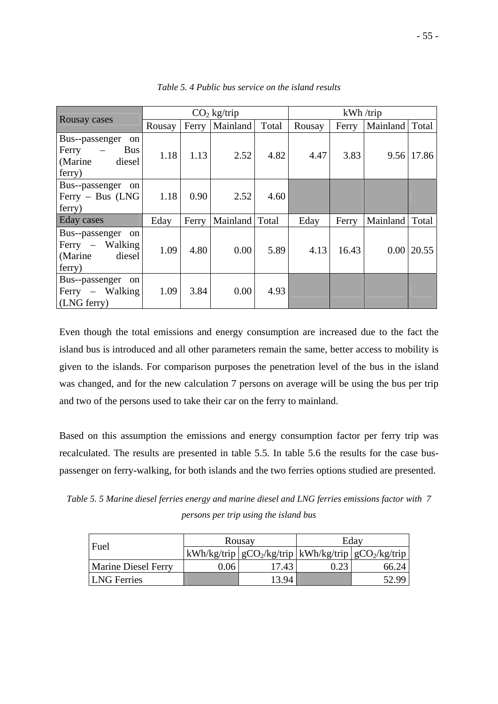|                                                                                    | $CO2$ kg/trip |       |                  | kWh / trip |        |       |                   |       |
|------------------------------------------------------------------------------------|---------------|-------|------------------|------------|--------|-------|-------------------|-------|
| Rousay cases                                                                       | Rousay        |       | Ferry   Mainland | Total      | Rousay | Ferry | Mainland          | Total |
| Bus--passenger<br><sub>on</sub><br>$Ferry -$<br>Bus<br>(Marine<br>diesel<br>ferry) | 1.18          | 1.13  | 2.52             | 4.82       | 4.47   | 3.83  | 9.56              | 17.86 |
| Bus--passenger<br>on<br>$Ferry - Bus$ (LNG<br>ferry)                               | 1.18          | 0.90  | 2.52             | 4.60       |        |       |                   |       |
| Eday cases                                                                         | Eday          | Ferry | Mainland   Total |            | Eday   | Ferry | Mainland          | Total |
| Bus--passenger<br>on<br>Ferry $-$ Walking<br>diesel<br>(Marine<br>ferry)           | 1.09          | 4.80  | 0.00             | 5.89       | 4.13   | 16.43 | 0.00 <sub>l</sub> | 20.55 |
| Bus--passenger<br>on<br>Ferry – Walking<br>(LNG ferry)                             | 1.09          | 3.84  | 0.00             | 4.93       |        |       |                   |       |

*Table 5. 4 Public bus service on the island results* 

Even though the total emissions and energy consumption are increased due to the fact the island bus is introduced and all other parameters remain the same, better access to mobility is given to the islands. For comparison purposes the penetration level of the bus in the island was changed, and for the new calculation 7 persons on average will be using the bus per trip and two of the persons used to take their car on the ferry to mainland.

Based on this assumption the emissions and energy consumption factor per ferry trip was recalculated. The results are presented in table 5.5. In table 5.6 the results for the case buspassenger on ferry-walking, for both islands and the two ferries options studied are presented.

*Table 5. 5 Marine diesel ferries energy and marine diesel and LNG ferries emissions factor with 7 persons per trip using the island bus* 

| Fuel                       |      | Rousay | Edav                                                                                  |
|----------------------------|------|--------|---------------------------------------------------------------------------------------|
|                            |      |        | $\lfloor kWh/kg/trip \rfloor gCO_2/kg/trip \lfloor kWh/kg/trip \rfloor gCO_2/kg/trip$ |
| <b>Marine Diesel Ferry</b> | ).06 | 17.43  | 66.24                                                                                 |
| <b>LNG</b> Ferries         |      | 13.94  | 52.99                                                                                 |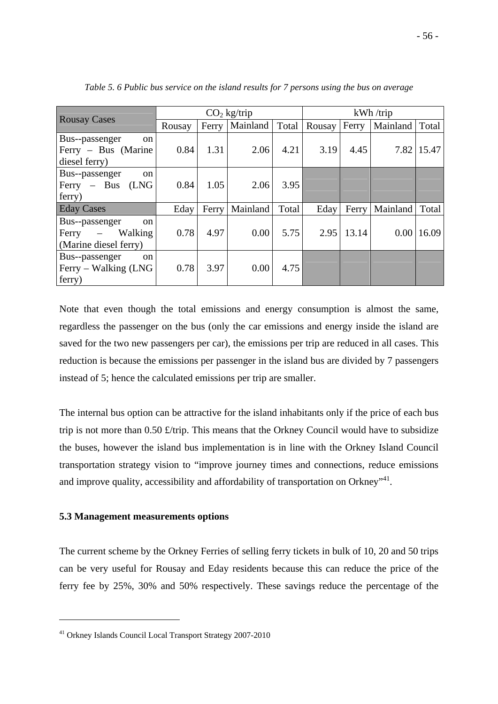|                                      | $CO2$ kg/trip |       |          |       | kWh / trip |       |          |       |
|--------------------------------------|---------------|-------|----------|-------|------------|-------|----------|-------|
| <b>Rousay Cases</b>                  | Rousay        | Ferry | Mainland | Total | Rousay     | Ferry | Mainland | Total |
| Bus--passenger<br><sub>on</sub>      | 0.84          | 1.31  | 2.06     | 4.21  | 3.19       | 4.45  | 7.82     | 15.47 |
| Ferry – Bus (Marine<br>diesel ferry) |               |       |          |       |            |       |          |       |
| Bus--passenger<br><sub>on</sub>      |               |       |          |       |            |       |          |       |
| (LNG<br>$Ferry - Bus$                | 0.84          | 1.05  | 2.06     | 3.95  |            |       |          |       |
| ferry)                               |               |       |          |       |            |       |          |       |
| <b>Eday Cases</b>                    | Eday          | Ferry | Mainland | Total | Eday       | Ferry | Mainland | Total |
| Bus--passenger<br><sub>on</sub>      |               |       |          |       |            |       |          |       |
| Walking<br>Ferry<br>$\frac{1}{2}$    | 0.78          | 4.97  | 0.00     | 5.75  | 2.95       | 13.14 | 0.00     | 16.09 |
| (Marine diesel ferry)                |               |       |          |       |            |       |          |       |
| Bus--passenger<br><sub>on</sub>      |               |       |          |       |            |       |          |       |
| Ferry – Walking (LNG                 | 0.78          | 3.97  | 0.00     | 4.75  |            |       |          |       |
| ferry)                               |               |       |          |       |            |       |          |       |

*Table 5. 6 Public bus service on the island results for 7 persons using the bus on average* 

Note that even though the total emissions and energy consumption is almost the same, regardless the passenger on the bus (only the car emissions and energy inside the island are saved for the two new passengers per car), the emissions per trip are reduced in all cases. This reduction is because the emissions per passenger in the island bus are divided by 7 passengers instead of 5; hence the calculated emissions per trip are smaller.

The internal bus option can be attractive for the island inhabitants only if the price of each bus trip is not more than 0.50 £/trip. This means that the Orkney Council would have to subsidize the buses, however the island bus implementation is in line with the Orkney Island Council transportation strategy vision to "improve journey times and connections, reduce emissions and improve quality, accessibility and affordability of transportation on Orkney<sup>141</sup>.

## **5.3 Management measurements options**

1

The current scheme by the Orkney Ferries of selling ferry tickets in bulk of 10, 20 and 50 trips can be very useful for Rousay and Eday residents because this can reduce the price of the ferry fee by 25%, 30% and 50% respectively. These savings reduce the percentage of the

<sup>41</sup> Orkney Islands Council Local Transport Strategy 2007-2010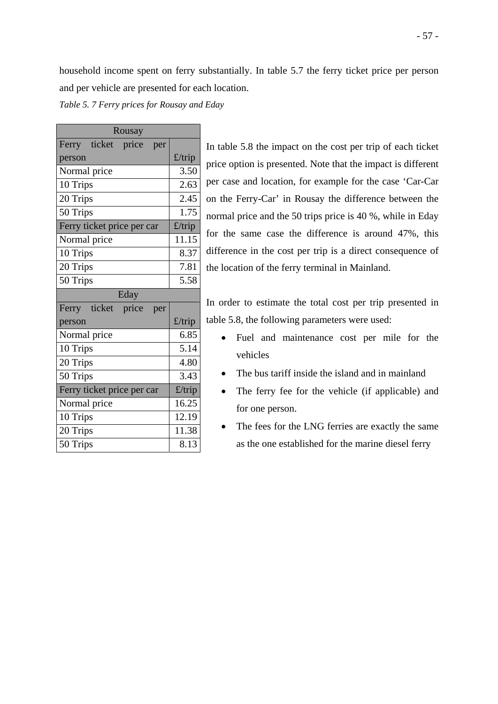household income spent on ferry substantially. In table 5.7 the ferry ticket price per person and per vehicle are presented for each location.

*Table 5. 7 Ferry prices for Rousay and Eday* 

| Rousay                       |        |  |  |  |
|------------------------------|--------|--|--|--|
| Ferry ticket<br>price<br>per |        |  |  |  |
| person                       | £/trip |  |  |  |
| Normal price                 | 3.50   |  |  |  |
| 10 Trips                     | 2.63   |  |  |  |
| 20 Trips                     | 2.45   |  |  |  |
| 50 Trips                     | 1.75   |  |  |  |
| Ferry ticket price per car   | £/trip |  |  |  |
| Normal price                 | 11.15  |  |  |  |
| 10 Trips                     | 8.37   |  |  |  |
| 20 Trips                     | 7.81   |  |  |  |
| 50 Trips                     | 5.58   |  |  |  |
| Eday                         |        |  |  |  |
| Ferry ticket price<br>per    |        |  |  |  |
| person                       | £/trip |  |  |  |
| Normal price                 | 6.85   |  |  |  |
| 10 Trips                     | 5.14   |  |  |  |
| 20 Trips                     | 4.80   |  |  |  |
| 50 Trips                     | 3.43   |  |  |  |
| Ferry ticket price per car   | £/trip |  |  |  |
| Normal price                 | 16.25  |  |  |  |
| 10 Trips                     | 12.19  |  |  |  |
| 20 Trips                     | 11.38  |  |  |  |
| 50 Trips                     | 8.13   |  |  |  |

In table 5.8 the impact on the cost per trip of each ticket price option is presented. Note that the impact is different per case and location, for example for the case 'Car-Car on the Ferry-Car' in Rousay the difference between the normal price and the 50 trips price is 40 %, while in Eday for the same case the difference is around 47%, this difference in the cost per trip is a direct consequence of the location of the ferry terminal in Mainland.

In order to estimate the total cost per trip presented in table 5.8, the following parameters were used:

- Fuel and maintenance cost per mile for the vehicles
- The bus tariff inside the island and in mainland
- The ferry fee for the vehicle (if applicable) and for one person.
- The fees for the LNG ferries are exactly the same as the one established for the marine diesel ferry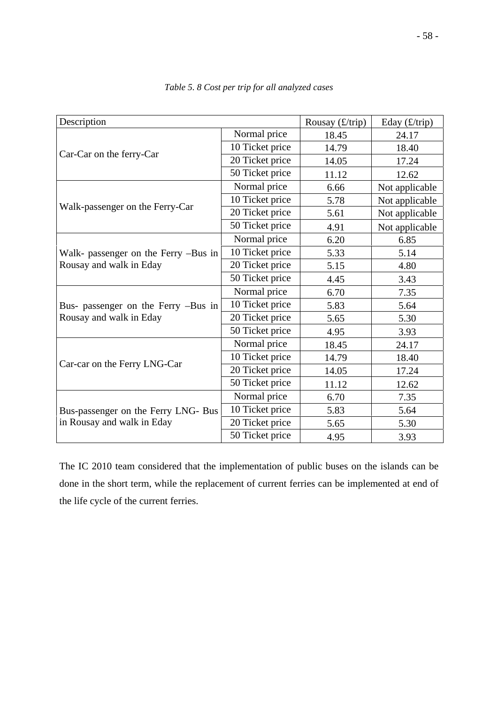| Description                          |                 | Rousay $(f/\text{trip})$ | Eday $(\pounds/\text{trip})$ |
|--------------------------------------|-----------------|--------------------------|------------------------------|
|                                      | Normal price    | 18.45                    | 24.17                        |
| Car-Car on the ferry-Car             | 10 Ticket price | 14.79                    | 18.40                        |
|                                      | 20 Ticket price | 14.05                    | 17.24                        |
|                                      | 50 Ticket price | 11.12                    | 12.62                        |
|                                      | Normal price    | 6.66                     | Not applicable               |
|                                      | 10 Ticket price | 5.78                     | Not applicable               |
| Walk-passenger on the Ferry-Car      | 20 Ticket price | 5.61                     | Not applicable               |
|                                      | 50 Ticket price | 4.91                     | Not applicable               |
|                                      | Normal price    | 6.20                     | 6.85                         |
| Walk- passenger on the Ferry -Bus in | 10 Ticket price | 5.33                     | 5.14                         |
| Rousay and walk in Eday              | 20 Ticket price | 5.15                     | 4.80                         |
|                                      | 50 Ticket price | 4.45                     | 3.43                         |
|                                      | Normal price    | 6.70                     | 7.35                         |
| Bus- passenger on the Ferry -Bus in  | 10 Ticket price | 5.83                     | 5.64                         |
| Rousay and walk in Eday              | 20 Ticket price | 5.65                     | 5.30                         |
|                                      | 50 Ticket price | 4.95                     | 3.93                         |
|                                      | Normal price    | 18.45                    | 24.17                        |
| Car-car on the Ferry LNG-Car         | 10 Ticket price | 14.79                    | 18.40                        |
|                                      | 20 Ticket price | 14.05                    | 17.24                        |
|                                      | 50 Ticket price | 11.12                    | 12.62                        |
|                                      | Normal price    | 6.70                     | 7.35                         |
| Bus-passenger on the Ferry LNG- Bus  | 10 Ticket price | 5.83                     | 5.64                         |
| in Rousay and walk in Eday           | 20 Ticket price | 5.65                     | 5.30                         |
|                                      | 50 Ticket price | 4.95                     | 3.93                         |

*Table 5. 8 Cost per trip for all analyzed cases* 

The IC 2010 team considered that the implementation of public buses on the islands can be done in the short term, while the replacement of current ferries can be implemented at end of the life cycle of the current ferries.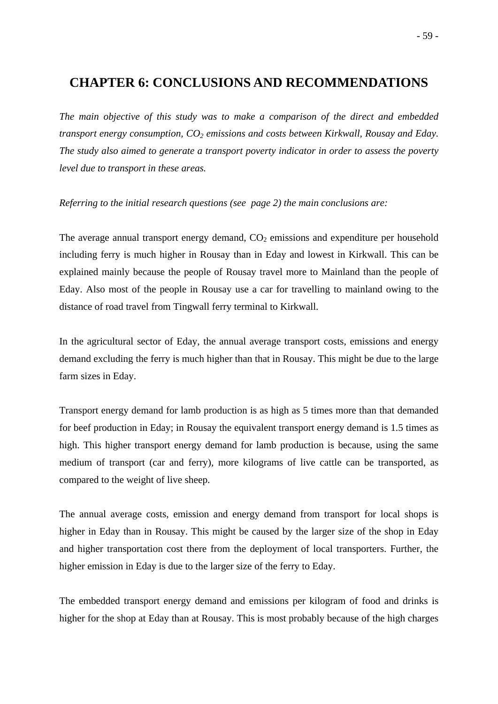# **CHAPTER 6: CONCLUSIONS AND RECOMMENDATIONS**

*The main objective of this study was to make a comparison of the direct and embedded transport energy consumption,*  $CO_2$  *emissions and costs between Kirkwall, Rousay and Eday. The study also aimed to generate a transport poverty indicator in order to assess the poverty level due to transport in these areas.* 

*Referring to the initial research questions (see page 2) the main conclusions are:* 

The average annual transport energy demand,  $CO<sub>2</sub>$  emissions and expenditure per household including ferry is much higher in Rousay than in Eday and lowest in Kirkwall. This can be explained mainly because the people of Rousay travel more to Mainland than the people of Eday. Also most of the people in Rousay use a car for travelling to mainland owing to the distance of road travel from Tingwall ferry terminal to Kirkwall.

In the agricultural sector of Eday, the annual average transport costs, emissions and energy demand excluding the ferry is much higher than that in Rousay. This might be due to the large farm sizes in Eday.

Transport energy demand for lamb production is as high as 5 times more than that demanded for beef production in Eday; in Rousay the equivalent transport energy demand is 1.5 times as high. This higher transport energy demand for lamb production is because, using the same medium of transport (car and ferry), more kilograms of live cattle can be transported, as compared to the weight of live sheep.

The annual average costs, emission and energy demand from transport for local shops is higher in Eday than in Rousay. This might be caused by the larger size of the shop in Eday and higher transportation cost there from the deployment of local transporters. Further, the higher emission in Eday is due to the larger size of the ferry to Eday.

The embedded transport energy demand and emissions per kilogram of food and drinks is higher for the shop at Eday than at Rousay. This is most probably because of the high charges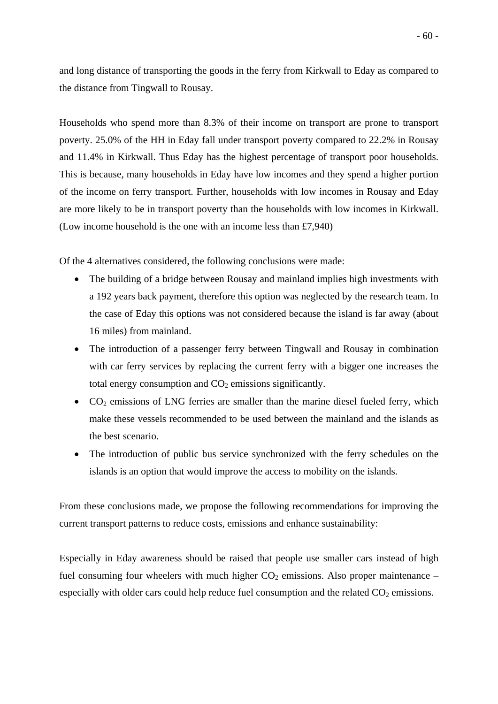and long distance of transporting the goods in the ferry from Kirkwall to Eday as compared to the distance from Tingwall to Rousay.

Households who spend more than 8.3% of their income on transport are prone to transport poverty. 25.0% of the HH in Eday fall under transport poverty compared to 22.2% in Rousay and 11.4% in Kirkwall. Thus Eday has the highest percentage of transport poor households. This is because, many households in Eday have low incomes and they spend a higher portion of the income on ferry transport. Further, households with low incomes in Rousay and Eday are more likely to be in transport poverty than the households with low incomes in Kirkwall. (Low income household is the one with an income less than £7,940)

Of the 4 alternatives considered, the following conclusions were made:

- The building of a bridge between Rousay and mainland implies high investments with a 192 years back payment, therefore this option was neglected by the research team. In the case of Eday this options was not considered because the island is far away (about 16 miles) from mainland.
- The introduction of a passenger ferry between Tingwall and Rousay in combination with car ferry services by replacing the current ferry with a bigger one increases the total energy consumption and  $CO<sub>2</sub>$  emissions significantly.
- $CO<sub>2</sub>$  emissions of LNG ferries are smaller than the marine diesel fueled ferry, which make these vessels recommended to be used between the mainland and the islands as the best scenario.
- The introduction of public bus service synchronized with the ferry schedules on the islands is an option that would improve the access to mobility on the islands.

From these conclusions made, we propose the following recommendations for improving the current transport patterns to reduce costs, emissions and enhance sustainability:

Especially in Eday awareness should be raised that people use smaller cars instead of high fuel consuming four wheelers with much higher  $CO<sub>2</sub>$  emissions. Also proper maintenance – especially with older cars could help reduce fuel consumption and the related  $CO<sub>2</sub>$  emissions.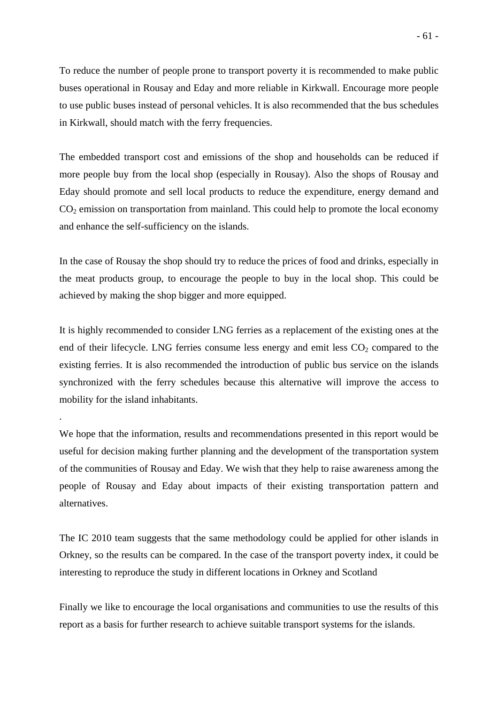To reduce the number of people prone to transport poverty it is recommended to make public buses operational in Rousay and Eday and more reliable in Kirkwall. Encourage more people to use public buses instead of personal vehicles. It is also recommended that the bus schedules in Kirkwall, should match with the ferry frequencies.

The embedded transport cost and emissions of the shop and households can be reduced if more people buy from the local shop (especially in Rousay). Also the shops of Rousay and Eday should promote and sell local products to reduce the expenditure, energy demand and  $CO<sub>2</sub>$  emission on transportation from mainland. This could help to promote the local economy and enhance the self-sufficiency on the islands.

In the case of Rousay the shop should try to reduce the prices of food and drinks, especially in the meat products group, to encourage the people to buy in the local shop. This could be achieved by making the shop bigger and more equipped.

It is highly recommended to consider LNG ferries as a replacement of the existing ones at the end of their lifecycle. LNG ferries consume less energy and emit less  $CO<sub>2</sub>$  compared to the existing ferries. It is also recommended the introduction of public bus service on the islands synchronized with the ferry schedules because this alternative will improve the access to mobility for the island inhabitants.

.

We hope that the information, results and recommendations presented in this report would be useful for decision making further planning and the development of the transportation system of the communities of Rousay and Eday. We wish that they help to raise awareness among the people of Rousay and Eday about impacts of their existing transportation pattern and alternatives.

The IC 2010 team suggests that the same methodology could be applied for other islands in Orkney, so the results can be compared. In the case of the transport poverty index, it could be interesting to reproduce the study in different locations in Orkney and Scotland

Finally we like to encourage the local organisations and communities to use the results of this report as a basis for further research to achieve suitable transport systems for the islands.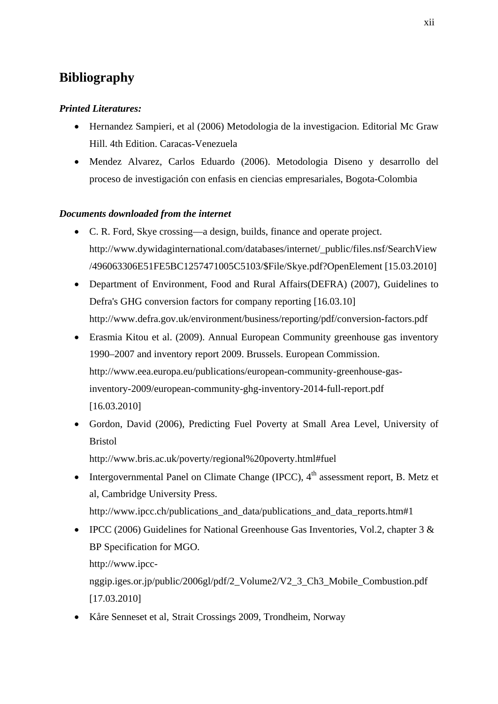# **Bibliography**

#### *Printed Literatures:*

- Hernandez Sampieri, et al (2006) Metodologia de la investigacion. Editorial Mc Graw Hill. 4th Edition. Caracas-Venezuela
- Mendez Alvarez, Carlos Eduardo (2006). Metodologia Diseno y desarrollo del proceso de investigación con enfasis en ciencias empresariales, Bogota-Colombia

#### *Documents downloaded from the internet*

- C. R. Ford, Skye crossing—a design, builds, finance and operate project. http://www.dywidaginternational.com/databases/internet/\_public/files.nsf/SearchView /496063306E51FE5BC1257471005C5103/\$File/Skye.pdf?OpenElement [15.03.2010]
- Department of Environment, Food and Rural Affairs(DEFRA) (2007), Guidelines to Defra's GHG conversion factors for company reporting [16.03.10] http://www.defra.gov.uk/environment/business/reporting/pdf/conversion-factors.pdf
- Erasmia Kitou et al. (2009). Annual European Community greenhouse gas inventory 1990–2007 and inventory report 2009. Brussels. European Commission. http://www.eea.europa.eu/publications/european-community-greenhouse-gasinventory-2009/european-community-ghg-inventory-2014-full-report.pdf [16.03.2010]
- Gordon, David (2006), Predicting Fuel Poverty at Small Area Level, University of Bristol http://www.bris.ac.uk/poverty/regional%20poverty.html#fuel
- Intergovernmental Panel on Climate Change (IPCC),  $4<sup>th</sup>$  assessment report, B. Metz et al, Cambridge University Press. http://www.ipcc.ch/publications\_and\_data/publications\_and\_data\_reports.htm#1
- IPCC (2006) Guidelines for National Greenhouse Gas Inventories, Vol.2, chapter 3 & BP Specification for MGO. http://www.ipcc-

nggip.iges.or.jp/public/2006gl/pdf/2\_Volume2/V2\_3\_Ch3\_Mobile\_Combustion.pdf [17.03.2010]

• Kåre Senneset et al, Strait Crossings 2009, Trondheim, Norway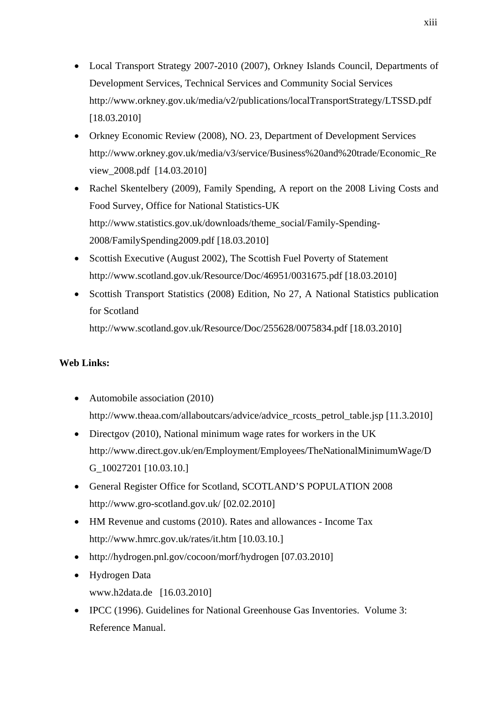- Local Transport Strategy 2007-2010 (2007), Orkney Islands Council, Departments of Development Services, Technical Services and Community Social Services http://www.orkney.gov.uk/media/v2/publications/localTransportStrategy/LTSSD.pdf [18.03.2010]
- Orkney Economic Review (2008), NO. 23, Department of Development Services http://www.orkney.gov.uk/media/v3/service/Business%20and%20trade/Economic\_Re view\_2008.pdf [14.03.2010]
- Rachel Skentelbery (2009), Family Spending, A report on the 2008 Living Costs and Food Survey, Office for National Statistics-UK http://www.statistics.gov.uk/downloads/theme\_social/Family-Spending-2008/FamilySpending2009.pdf [18.03.2010]
- Scottish Executive (August 2002), The Scottish Fuel Poverty of Statement http://www.scotland.gov.uk/Resource/Doc/46951/0031675.pdf [18.03.2010]
- Scottish Transport Statistics (2008) Edition, No 27, A National Statistics publication for Scotland

http://www.scotland.gov.uk/Resource/Doc/255628/0075834.pdf [18.03.2010]

#### **Web Links:**

- Automobile association (2010) http://www.theaa.com/allaboutcars/advice/advice\_rcosts\_petrol\_table.jsp [11.3.2010]
- Directgov (2010), National minimum wage rates for workers in the UK http://www.direct.gov.uk/en/Employment/Employees/TheNationalMinimumWage/D G\_10027201 [10.03.10.]
- General Register Office for Scotland, SCOTLAND'S POPULATION 2008 http://www.gro-scotland.gov.uk/ [02.02.2010]
- HM Revenue and customs (2010). Rates and allowances Income Tax http://www.hmrc.gov.uk/rates/it.htm [10.03.10.]
- http://hydrogen.pnl.gov/cocoon/morf/hydrogen [07.03.2010]
- Hydrogen Data www.h2data.de [16.03.2010]
- IPCC (1996). Guidelines for National Greenhouse Gas Inventories. Volume 3: Reference Manual.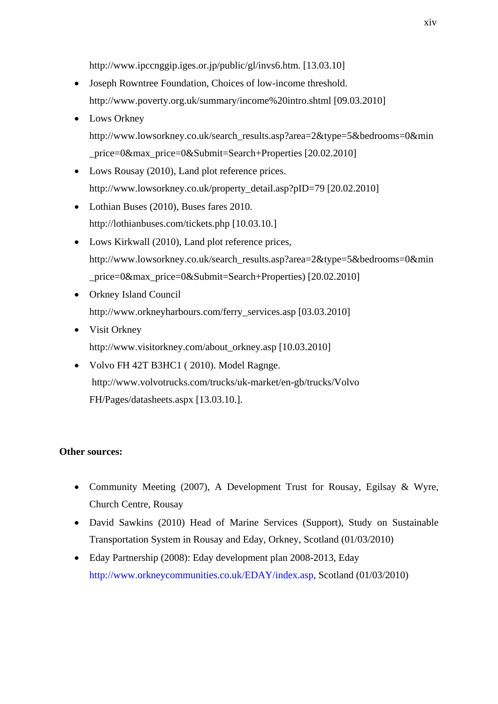http://www.ipccnggip.iges.or.jp/public/gl/invs6.htm. [13.03.10]

- Joseph Rowntree Foundation, Choices of low-income threshold. http://www.poverty.org.uk/summary/income%20intro.shtml [09.03.2010]
- Lows Orkney http://www.lowsorkney.co.uk/search\_results.asp?area=2&type=5&bedrooms=0&min \_price=0&max\_price=0&Submit=Search+Properties [20.02.2010]
- Lows Rousay (2010), Land plot reference prices. http://www.lowsorkney.co.uk/property\_detail.asp?pID=79 [20.02.2010]
- Lothian Buses (2010), Buses fares 2010. http://lothianbuses.com/tickets.php [10.03.10.]
- Lows Kirkwall (2010), Land plot reference prices, http://www.lowsorkney.co.uk/search\_results.asp?area=2&type=5&bedrooms=0&min \_price=0&max\_price=0&Submit=Search+Properties) [20.02.2010]
- Orkney Island Council http://www.orkneyharbours.com/ferry\_services.asp [03.03.2010]
- Visit Orkney http://www.visitorkney.com/about\_orkney.asp [10.03.2010]
- Volvo FH 42T B3HC1 ( 2010). Model Ragnge. http://www.volvotrucks.com/trucks/uk-market/en-gb/trucks/Volvo FH/Pages/datasheets.aspx [13.03.10.].

#### **Other sources:**

- Community Meeting (2007), A Development Trust for Rousay, Egilsay & Wyre, Church Centre, Rousay
- David Sawkins (2010) Head of Marine Services (Support), Study on Sustainable Transportation System in Rousay and Eday, Orkney, Scotland (01/03/2010)
- Eday Partnership (2008): Eday development plan 2008-2013, Eday http://www.orkneycommunities.co.uk/EDAY/index.asp, Scotland (01/03/2010)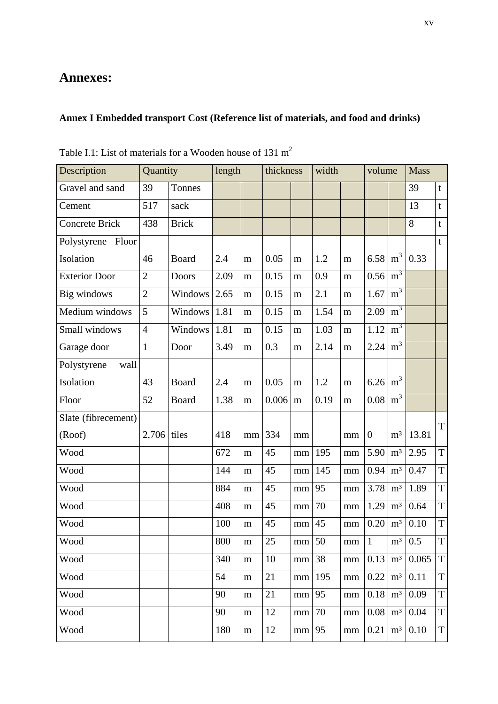### **Annexes:**

## **Annex I Embedded transport Cost (Reference list of materials, and food and drinks)**

| Description           | Quantity       |              | length |           | thickness |          | width |          | volume       |                | <b>Mass</b> |                |
|-----------------------|----------------|--------------|--------|-----------|-----------|----------|-------|----------|--------------|----------------|-------------|----------------|
| Gravel and sand       | 39             | Tonnes       |        |           |           |          |       |          |              |                | 39          | t              |
| Cement                | 517            | sack         |        |           |           |          |       |          |              |                | 13          | $\mathbf t$    |
| <b>Concrete Brick</b> | 438            | <b>Brick</b> |        |           |           |          |       |          |              |                | 8           | t              |
| Polystyrene Floor     |                |              |        |           |           |          |       |          |              |                |             | $\mathbf{t}$   |
| Isolation             | 46             | <b>Board</b> | 2.4    | m         | 0.05      | m        | 1.2   | m        | 6.58         | m <sup>3</sup> | 0.33        |                |
| <b>Exterior Door</b>  | $\overline{2}$ | Doors        | 2.09   | m         | 0.15      | m        | 0.9   | m        | 0.56         | m <sup>3</sup> |             |                |
| Big windows           | $\overline{2}$ | Windows      | 2.65   | m         | 0.15      | m        | 2.1   | m        | 1.67         | m <sup>3</sup> |             |                |
| Medium windows        | 5              | Windows      | 1.81   | m         | 0.15      | m        | 1.54  | m        | 2.09         | m <sup>3</sup> |             |                |
| Small windows         | $\overline{4}$ | Windows      | 1.81   | m         | 0.15      | m        | 1.03  | m        | 1.12         | m <sup>3</sup> |             |                |
| Garage door           | $\mathbf{1}$   | Door         | 3.49   | m         | 0.3       | m        | 2.14  | m        | 2.24         | m <sup>3</sup> |             |                |
| wall<br>Polystyrene   |                |              |        |           |           |          |       |          |              |                |             |                |
| Isolation             | 43             | <b>Board</b> | 2.4    | m         | 0.05      | m        | 1.2   | m        | 6.26         | m <sup>3</sup> |             |                |
| Floor                 | 52             | <b>Board</b> | 1.38   | m         | 0.006     | m        | 0.19  | m        | 0.08         | m <sup>3</sup> |             |                |
| Slate (fibrecement)   |                |              |        |           |           |          |       |          |              |                |             | T              |
| (Roof)                | $2,706$ tiles  |              | 418    | mm        | 334       | mm       |       | mm       | $\theta$     | m <sup>3</sup> | 13.81       |                |
| Wood                  |                |              | 672    | m         | 45        | mm       | 195   | mm       | 5.90         | m <sup>3</sup> | 2.95        | $\overline{T}$ |
| Wood                  |                |              | 144    | m         | 45        | mm       | 145   | mm       | 0.94         | m <sup>3</sup> | 0.47        | $\overline{T}$ |
| Wood                  |                |              | 884    | m         | 45        | mm       | 95    | mm       | 3.78         | m <sup>3</sup> | 1.89        | T              |
| Wood                  |                |              | 408    | m         | 45        | mm       | 70    | mm       | 1.29         | m <sup>3</sup> | 0.64        | $\overline{T}$ |
| Wood                  |                |              | 100    | m         | 45        | mm       | 45    | mm       | 0.20         | m <sup>3</sup> | 0.10        | $\overline{T}$ |
| Wood                  |                |              | 800    | m         | 25        | mm       | 50    | mm       | $\mathbf{1}$ | m <sup>3</sup> | 0.5         | $\overline{T}$ |
| Wood                  |                |              | 340    | m         | 10        | mm       | 38    | $\rm mm$ | 0.13         | m <sup>3</sup> | 0.065       | $\mathbf T$    |
| Wood                  |                |              | 54     | ${\bf m}$ | 21        | mm       | 195   | mm       | 0.22         | m <sup>3</sup> | 0.11        | $\overline{T}$ |
| Wood                  |                |              | 90     | ${\bf m}$ | 21        | mm       | 95    | mm       | 0.18         | $\mathbf{m}^3$ | 0.09        | $\overline{T}$ |
| Wood                  |                |              | 90     | ${\bf m}$ | 12        | $\rm mm$ | 70    | mm       | 0.08         | m <sup>3</sup> | 0.04        | T              |
| Wood                  |                |              | 180    | ${\bf m}$ | 12        | $\rm mm$ | 95    | mm       | 0.21         | m <sup>3</sup> | 0.10        | T              |

Table I.1: List of materials for a Wooden house of 131 m<sup>2</sup>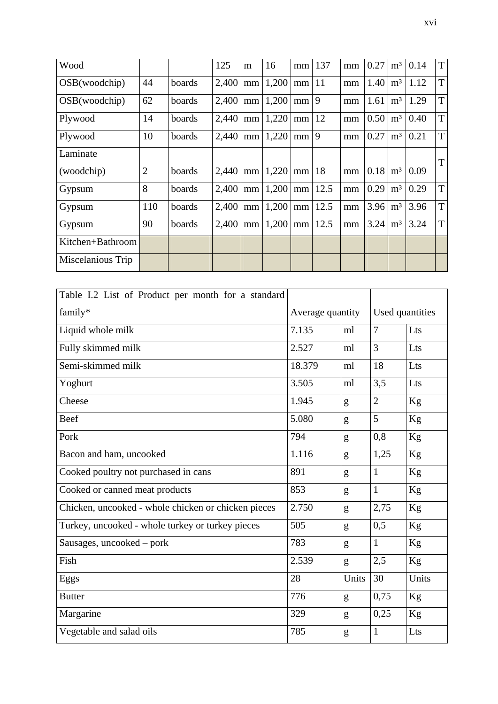| Wood              |                |        | 125   | m  | 16    |                 | $mm$   137 | mm | 0.27 |                | $m^3$ 0.14 | T           |
|-------------------|----------------|--------|-------|----|-------|-----------------|------------|----|------|----------------|------------|-------------|
| OSB(woodchip)     | 44             | boards | 2,400 | mm | 1,200 | mm              | 11         | mm | 1.40 | m <sup>3</sup> | 1.12       | T           |
| OSB(woodchip)     | 62             | boards | 2,400 | mm | 1,200 | mm <sub>l</sub> | 9          | mm | 1.61 | m <sup>3</sup> | 1.29       | T           |
| Plywood           | 14             | boards | 2,440 | mm | 1,220 | mm              | 12         | mm | 0.50 | $m^3$          | 0.40       | T           |
| Plywood           | 10             | boards | 2,440 | mm | 1,220 | mm              | 9          | mm | 0.27 | m <sup>3</sup> | 0.21       | T           |
| Laminate          |                |        |       |    |       |                 |            |    |      |                |            | T           |
| (woodchip)        | $\overline{2}$ | boards | 2,440 | mm | 1,220 | $mm$   18       |            | mm | 0.18 | m <sup>3</sup> | 0.09       |             |
| Gypsum            | 8              | boards | 2,400 | mm | 1,200 |                 | $mm$ 12.5  | mm | 0.29 | m <sup>3</sup> | 0.29       | T           |
| Gypsum            | 110            | boards | 2,400 | mm | 1,200 | mm              | 12.5       | mm | 3.96 | m <sup>3</sup> | 3.96       | $\mathbf T$ |
| Gypsum            | 90             | boards | 2,400 | mm | 1,200 | mm              | 12.5       | mm | 3.24 | m <sup>3</sup> | 3.24       | T           |
| Kitchen+Bathroom  |                |        |       |    |       |                 |            |    |      |                |            |             |
| Miscelanious Trip |                |        |       |    |       |                 |            |    |      |                |            |             |

| Table I.2 List of Product per month for a standard  |                  |       |                 |       |  |
|-----------------------------------------------------|------------------|-------|-----------------|-------|--|
| family*                                             | Average quantity |       | Used quantities |       |  |
| Liquid whole milk                                   | 7.135            | ml    | 7               | Lts   |  |
| Fully skimmed milk                                  | 2.527            | ml    | $\overline{3}$  | Lts   |  |
| Semi-skimmed milk                                   | 18.379           | ml    | 18              | Lts   |  |
| Yoghurt                                             | 3.505            | ml    | 3,5             | Lts   |  |
| Cheese                                              | 1.945            | g     | $\overline{2}$  | Kg    |  |
| Beef                                                | 5.080            | g     | 5               | Kg    |  |
| Pork                                                | 794              | g     | 0,8             | Kg    |  |
| Bacon and ham, uncooked                             | 1.116            | g     | 1,25            | Kg    |  |
| Cooked poultry not purchased in cans                | 891              | g     | $\mathbf{1}$    | Kg    |  |
| Cooked or canned meat products                      | 853              | g     | $\mathbf{1}$    | Kg    |  |
| Chicken, uncooked - whole chicken or chicken pieces | 2.750            | g     | 2,75            | Kg    |  |
| Turkey, uncooked - whole turkey or turkey pieces    | 505              | g     | 0,5             | Kg    |  |
| Sausages, uncooked – pork                           | 783              | g     | $\mathbf{1}$    | Kg    |  |
| Fish                                                | 2.539            | g     | 2,5             | Kg    |  |
| Eggs                                                | 28               | Units | 30              | Units |  |
| <b>Butter</b>                                       | 776              | g     | 0,75            | Kg    |  |
| Margarine                                           | 329              | g     | 0,25            | Kg    |  |
| Vegetable and salad oils                            | 785              | g     | 1               | Lts   |  |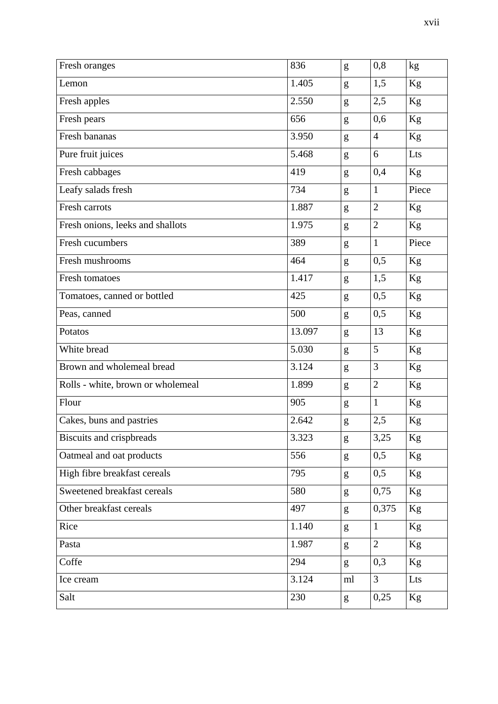| Fresh oranges                     | 836    | g  | 0,8            | kg       |
|-----------------------------------|--------|----|----------------|----------|
| Lemon                             | 1.405  | g  | 1,5            | Kg       |
| Fresh apples                      | 2.550  | g  | 2,5            | Kg       |
| Fresh pears                       | 656    | g  | 0,6            | $\rm Kg$ |
| Fresh bananas                     | 3.950  | g  | $\overline{4}$ | Kg       |
| Pure fruit juices                 | 5.468  | g  | 6              | Lts      |
| Fresh cabbages                    | 419    | g  | 0,4            | Kg       |
| Leafy salads fresh                | 734    | g  | $\mathbf{1}$   | Piece    |
| Fresh carrots                     | 1.887  | g  | $\overline{2}$ | Kg       |
| Fresh onions, leeks and shallots  | 1.975  | g  | $\overline{2}$ | Kg       |
| Fresh cucumbers                   | 389    | g  | $\mathbf{1}$   | Piece    |
| Fresh mushrooms                   | 464    | g  | 0,5            | Kg       |
| Fresh tomatoes                    | 1.417  | g  | 1,5            | Kg       |
| Tomatoes, canned or bottled       | 425    | g  | 0,5            | Kg       |
| Peas, canned                      | 500    | g  | 0,5            | Kg       |
| Potatos                           | 13.097 | g  | 13             | Kg       |
| White bread                       | 5.030  | g  | 5              | Kg       |
| Brown and wholemeal bread         | 3.124  | g  | 3              | Kg       |
| Rolls - white, brown or wholemeal | 1.899  | g  | $\overline{2}$ | Kg       |
| Flour                             | 905    | g  | $\mathbf{1}$   | Kg       |
| Cakes, buns and pastries          | 2.642  | g  | 2,5            | Kg       |
| Biscuits and crispbreads          | 3.323  | g  | 3,25           | Kg       |
| Oatmeal and oat products          | 556    | g  | 0,5            | Kg       |
| High fibre breakfast cereals      | 795    | g  | 0,5            | Kg       |
| Sweetened breakfast cereals       | 580    | g  | 0,75           | Kg       |
| Other breakfast cereals           | 497    | g  | 0,375          | Kg       |
| Rice                              | 1.140  | g  | $\mathbf{1}$   | Kg       |
| Pasta                             | 1.987  | g  | $\overline{2}$ | Kg       |
| Coffe                             | 294    | g  | 0,3            | Kg       |
| Ice cream                         | 3.124  | ml | 3              | Lts      |
| Salt                              | 230    | g  | 0,25           | Kg       |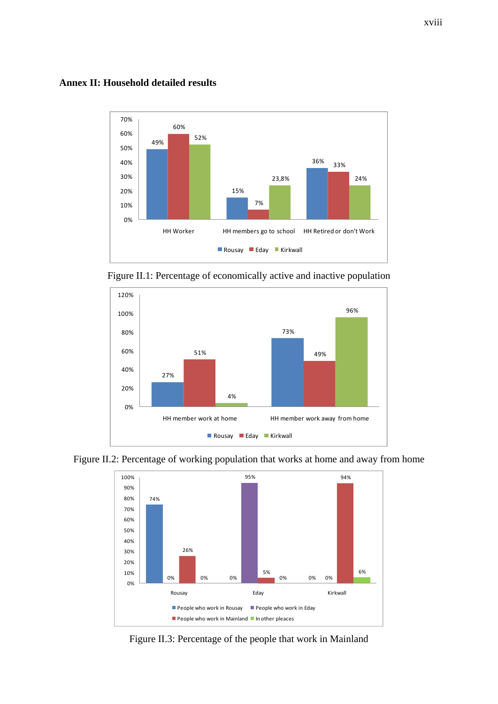**Annex II: Household detailed results** 



Figure II.1: Percentage of economically active and inactive population





Figure II.2: Percentage of working population that works at home and away from home

Figure II.3: Percentage of the people that work in Mainland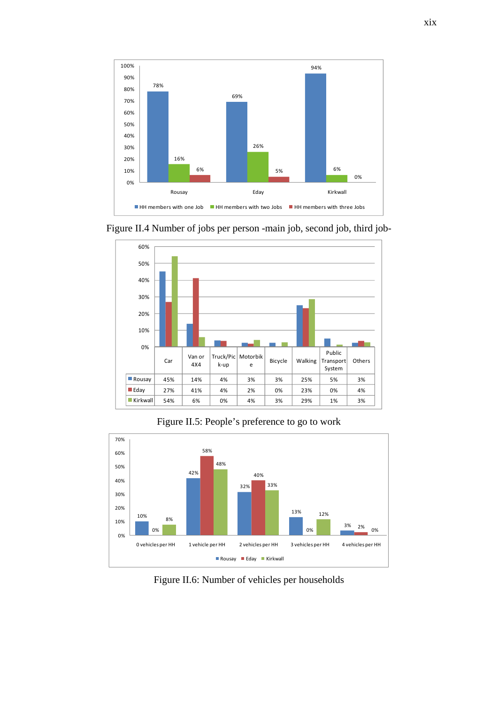



Figure II.4 Number of jobs per person -main job, second job, third job-

Figure II.5: People's preference to go to work



Figure II.6: Number of vehicles per households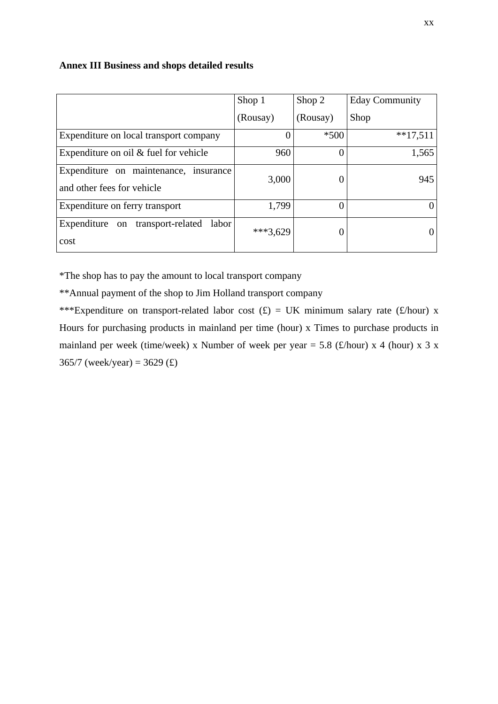#### **Annex III Business and shops detailed results**

|                                                                     | Shop 1     | Shop 2   | <b>Eday Community</b> |
|---------------------------------------------------------------------|------------|----------|-----------------------|
|                                                                     | (Rousay)   | (Rousay) | Shop                  |
| Expenditure on local transport company                              |            | $*500$   | $**17,511$            |
| Expenditure on oil $&$ fuel for vehicle                             | 960        |          | 1,565                 |
| Expenditure on maintenance, insurance<br>and other fees for vehicle | 3,000      |          | 945                   |
| Expenditure on ferry transport                                      | 1,799      | 0        |                       |
| Expenditure<br>transport-related<br>labor<br>on<br>cost             | $***3,629$ |          |                       |

\*The shop has to pay the amount to local transport company

\*\*Annual payment of the shop to Jim Holland transport company

\*\*\*Expenditure on transport-related labor cost  $(f) = UK$  minimum salary rate  $(f/hour)$  x Hours for purchasing products in mainland per time (hour) x Times to purchase products in mainland per week (time/week) x Number of week per year = 5.8 (£/hour) x 4 (hour) x 3 x 365/7 (week/year) = 3629 (£)